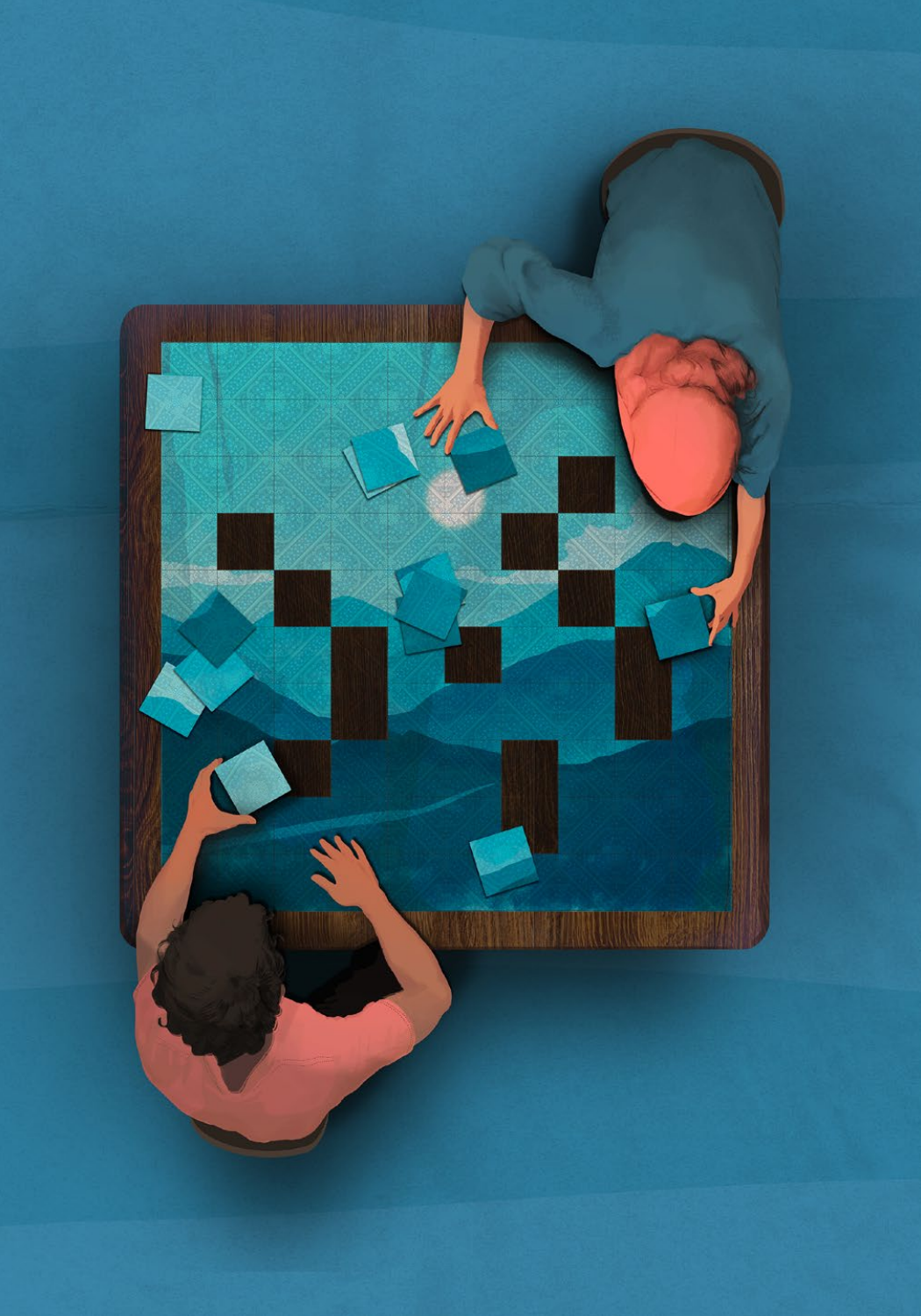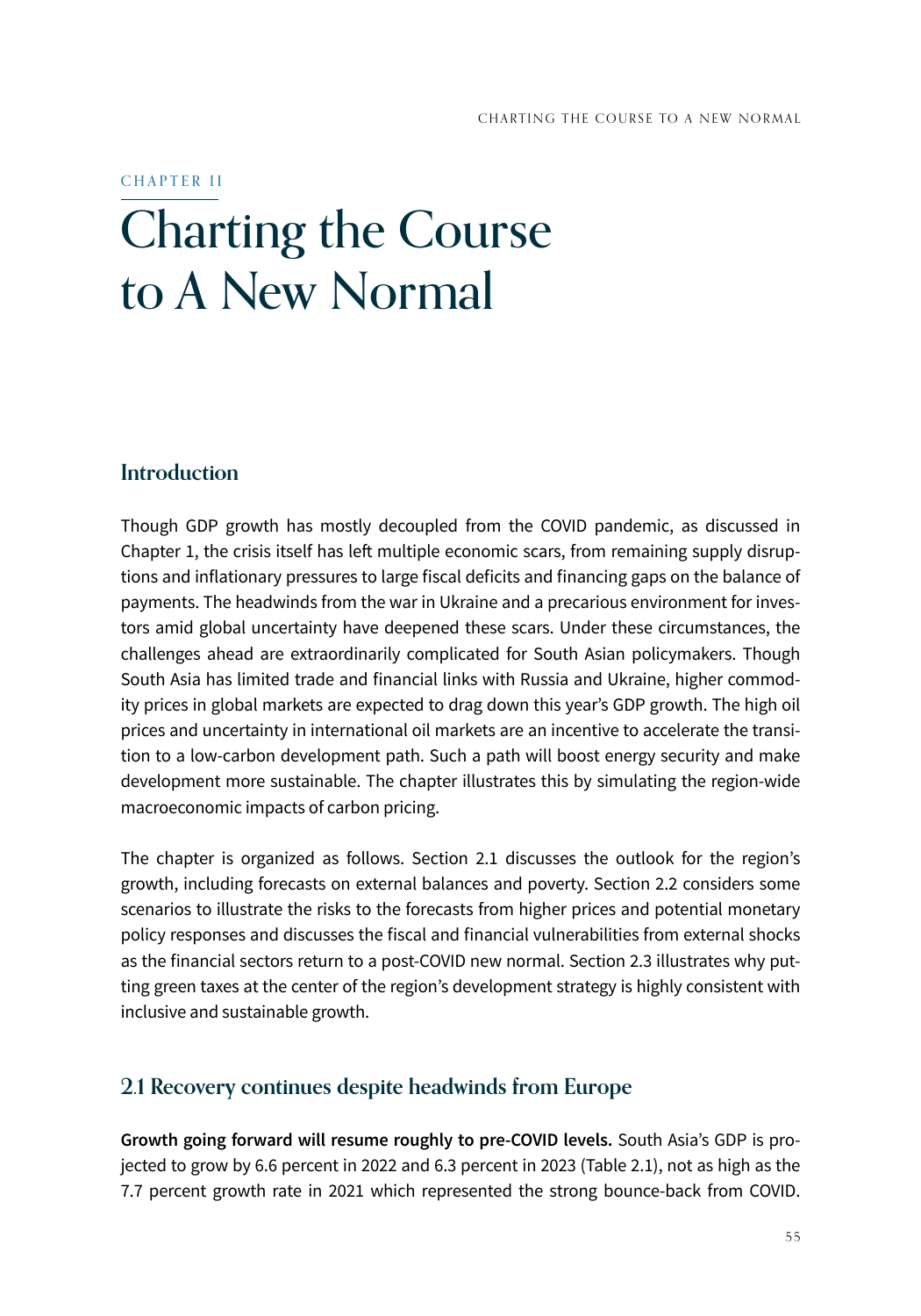CHAPTER II

# Charting the Course to A New Normal

## **Introduction**

Though GDP growth has mostly decoupled from the COVID pandemic, as discussed in Chapter 1, the crisis itself has left multiple economic scars, from remaining supply disruptions and inflationary pressures to large fiscal deficits and financing gaps on the balance of payments. The headwinds from the war in Ukraine and a precarious environment for investors amid global uncertainty have deepened these scars. Under these circumstances, the challenges ahead are extraordinarily complicated for South Asian policymakers. Though South Asia has limited trade and financial links with Russia and Ukraine, higher commodity prices in global markets are expected to drag down this year's GDP growth. The high oil prices and uncertainty in international oil markets are an incentive to accelerate the transition to a low-carbon development path. Such a path will boost energy security and make development more sustainable. The chapter illustrates this by simulating the region-wide macroeconomic impacts of carbon pricing.

The chapter is organized as follows. Section 2.1 discusses the outlook for the region's growth, including forecasts on external balances and poverty. Section 2.2 considers some scenarios to illustrate the risks to the forecasts from higher prices and potential monetary policy responses and discusses the fiscal and financial vulnerabilities from external shocks as the financial sectors return to a post-COVID new normal. Section 2.3 illustrates why putting green taxes at the center of the region's development strategy is highly consistent with inclusive and sustainable growth.

### **2.1 Recovery continues despite headwinds from Europe**

**Growth going forward will resume roughly to pre-COVID levels.** South Asia's GDP is projected to grow by 6.6 percent in 2022 and 6.3 percent in 2023 (Table 2.1), not as high as the 7.7 percent growth rate in 2021 which represented the strong bounce-back from COVID.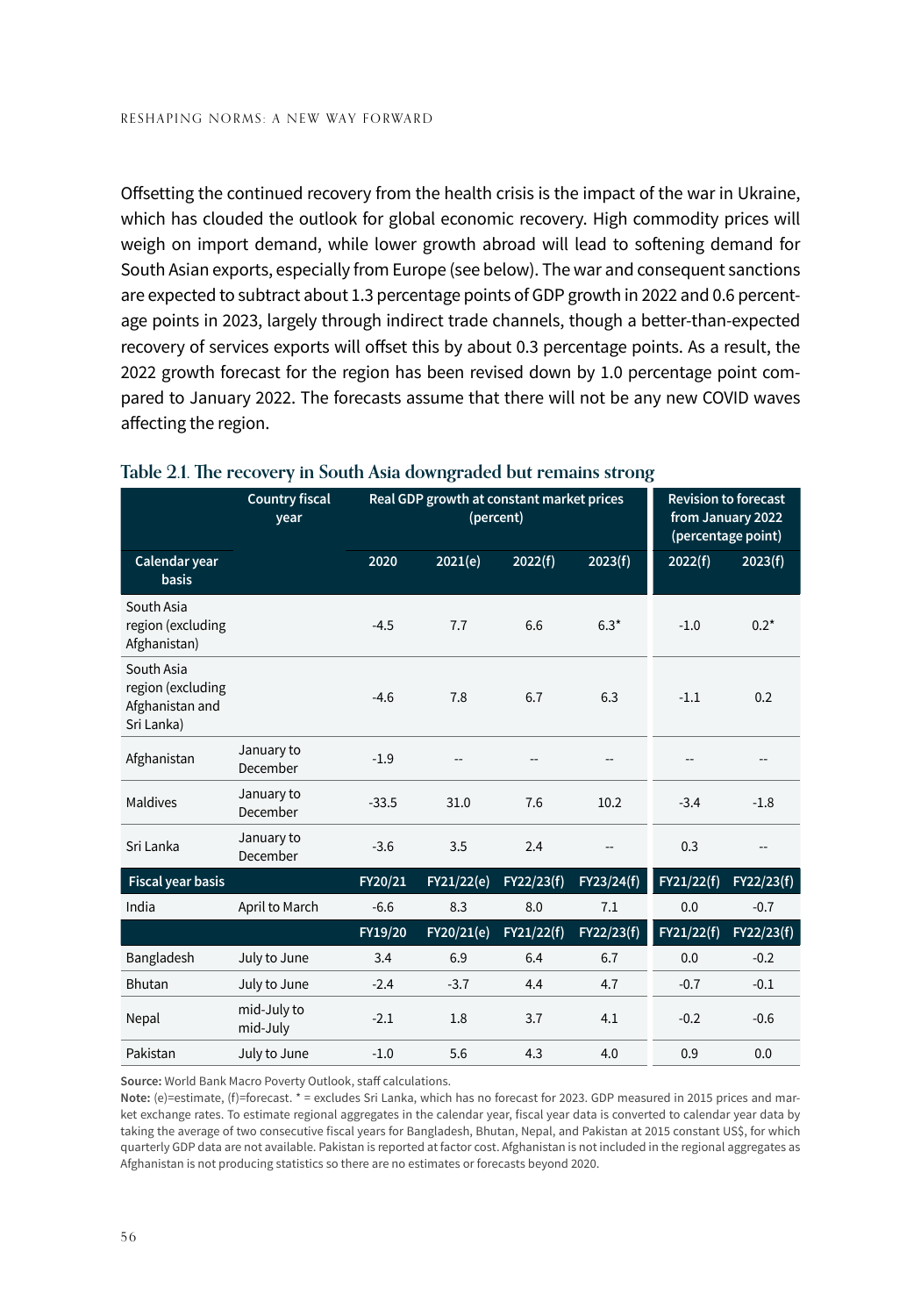Offsetting the continued recovery from the health crisis is the impact of the war in Ukraine, which has clouded the outlook for global economic recovery. High commodity prices will weigh on import demand, while lower growth abroad will lead to softening demand for South Asian exports, especially from Europe (see below). The war and consequent sanctions are expected to subtract about 1.3 percentage points of GDP growth in 2022 and 0.6 percentage points in 2023, largely through indirect trade channels, though a better-than-expected recovery of services exports will offset this by about 0.3 percentage points. As a result, the 2022 growth forecast for the region has been revised down by 1.0 percentage point compared to January 2022. The forecasts assume that there will not be any new COVID waves affecting the region.

|                                                                  | <b>Country fiscal</b><br>year |         | Real GDP growth at constant market prices<br>(percent) | <b>Revision to forecast</b><br>from January 2022<br>(percentage point) |            |            |                          |
|------------------------------------------------------------------|-------------------------------|---------|--------------------------------------------------------|------------------------------------------------------------------------|------------|------------|--------------------------|
| Calendar year<br><b>basis</b>                                    |                               | 2020    | 2021(e)                                                | 2022(f)                                                                | 2023(f)    | 2022(f)    | 2023(f)                  |
| South Asia<br>region (excluding<br>Afghanistan)                  |                               | $-4.5$  | 7.7                                                    | 6.6                                                                    | $6.3*$     | $-1.0$     | $0.2*$                   |
| South Asia<br>region (excluding<br>Afghanistan and<br>Sri Lanka) |                               | $-4.6$  | 7.8                                                    | 6.7                                                                    | 6.3        | $-1.1$     | 0.2                      |
| Afghanistan                                                      | January to<br>December        | $-1.9$  |                                                        | --                                                                     |            |            |                          |
| Maldives                                                         | January to<br>December        | $-33.5$ | 31.0                                                   | 7.6                                                                    | 10.2       | $-3.4$     | $-1.8$                   |
| Sri Lanka                                                        | January to<br>December        | $-3.6$  | 3.5                                                    | 2.4                                                                    | --         | 0.3        | $\overline{\phantom{a}}$ |
| <b>Fiscal year basis</b>                                         |                               | FY20/21 | FY21/22(e)                                             | FY22/23(f)                                                             | FY23/24(f) | FY21/22(f) | FY22/23(f)               |
| India                                                            | April to March                | $-6.6$  | 8.3                                                    | 8.0                                                                    | 7.1        | 0.0        | $-0.7$                   |
|                                                                  |                               | FY19/20 | FY20/21(e)                                             | FY21/22(f)                                                             | FY22/23(f) | FY21/22(f) | FY22/23(f)               |
| Bangladesh                                                       | July to June                  | 3.4     | 6.9                                                    | 6.4                                                                    | 6.7        | 0.0        | $-0.2$                   |
| <b>Bhutan</b>                                                    | July to June                  | $-2.4$  | $-3.7$                                                 | 4.4                                                                    | 4.7        | $-0.7$     | $-0.1$                   |
| Nepal                                                            | mid-July to<br>mid-July       | $-2.1$  | 1.8                                                    | 3.7                                                                    | 4.1        | $-0.2$     | $-0.6$                   |
| Pakistan                                                         | July to June                  | $-1.0$  | 5.6                                                    | 4.3                                                                    | 4.0        | 0.9        | 0.0                      |

### **Table 2.1. The recovery in South Asia downgraded but remains strong**

**Source:** World Bank Macro Poverty Outlook, staff calculations.

Note: (e)=estimate, (f)=forecast. \* = excludes Sri Lanka, which has no forecast for 2023. GDP measured in 2015 prices and market exchange rates. To estimate regional aggregates in the calendar year, fiscal year data is converted to calendar year data by taking the average of two consecutive fiscal years for Bangladesh, Bhutan, Nepal, and Pakistan at 2015 constant US\$, for which quarterly GDP data are not available. Pakistan is reported at factor cost. Afghanistan is not included in the regional aggregates as Afghanistan is not producing statistics so there are no estimates or forecasts beyond 2020.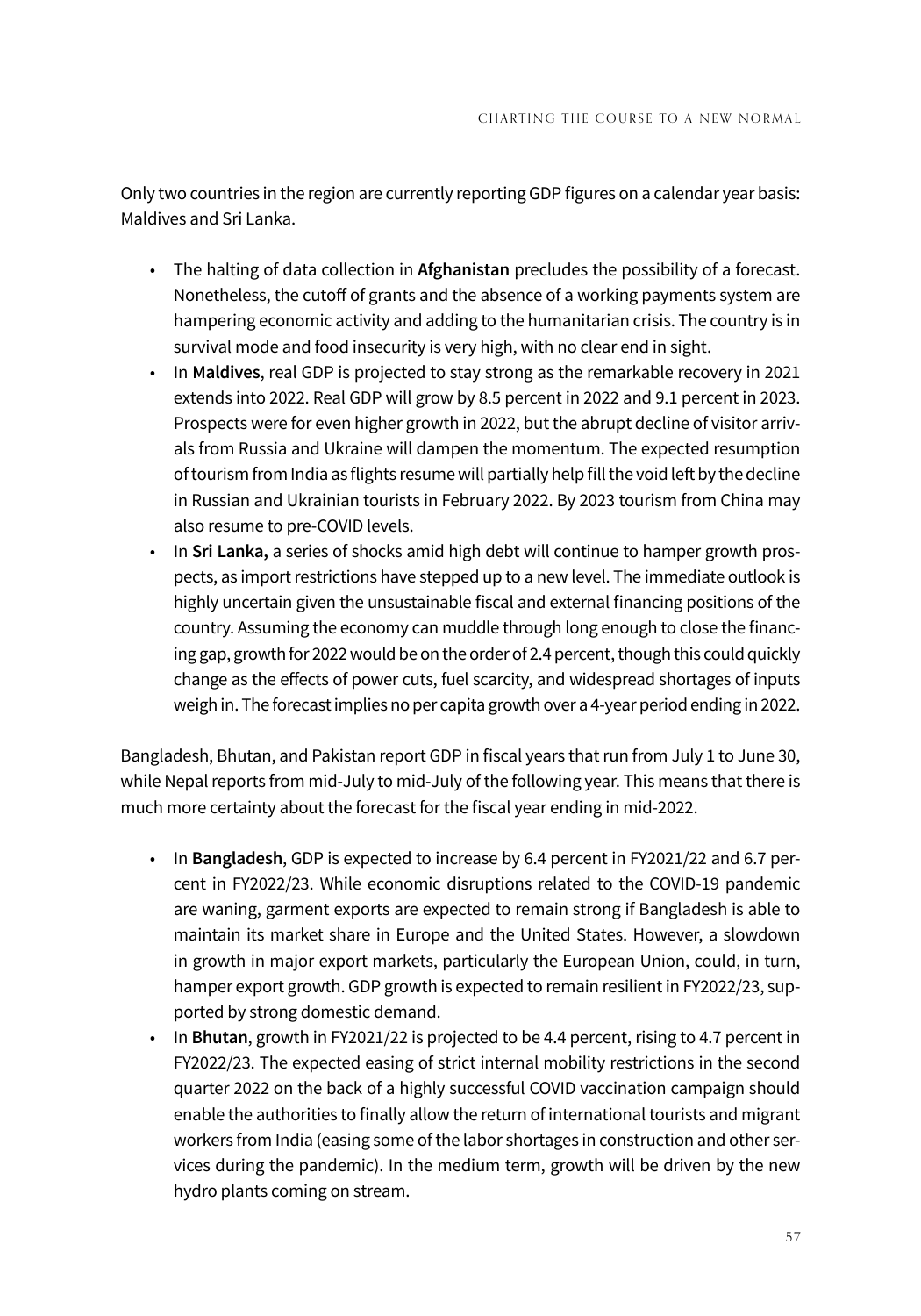Only two countries in the region are currently reporting GDP figures on a calendar year basis: Maldives and Sri Lanka.

- The halting of data collection in **Afghanistan** precludes the possibility of a forecast. Nonetheless, the cutoff of grants and the absence of a working payments system are hampering economic activity and adding to the humanitarian crisis. The country is in survival mode and food insecurity is very high, with no clear end in sight.
- In **Maldives**, real GDP is projected to stay strong as the remarkable recovery in 2021 extends into 2022. Real GDP will grow by 8.5 percent in 2022 and 9.1 percent in 2023. Prospects were for even higher growth in 2022, but the abrupt decline of visitor arrivals from Russia and Ukraine will dampen the momentum. The expected resumption of tourism from India as flights resume will partially help fill the void left by the decline in Russian and Ukrainian tourists in February 2022. By 2023 tourism from China may also resume to pre-COVID levels.
- In **Sri Lanka,** a series of shocks amid high debt will continue to hamper growth prospects, as import restrictions have stepped up to a new level. The immediate outlook is highly uncertain given the unsustainable fiscal and external financing positions of the country. Assuming the economy can muddle through long enough to close the financing gap, growth for 2022 would be on the order of 2.4 percent, though this could quickly change as the effects of power cuts, fuel scarcity, and widespread shortages of inputs weigh in. The forecast implies no per capita growth over a 4-year period ending in 2022.

Bangladesh, Bhutan, and Pakistan report GDP in fiscal years that run from July 1 to June 30, while Nepal reports from mid-July to mid-July of the following year. This means that there is much more certainty about the forecast for the fiscal year ending in mid-2022.

- In **Bangladesh**, GDP is expected to increase by 6.4 percent in FY2021/22 and 6.7 percent in FY2022/23. While economic disruptions related to the COVID-19 pandemic are waning, garment exports are expected to remain strong if Bangladesh is able to maintain its market share in Europe and the United States. However, a slowdown in growth in major export markets, particularly the European Union, could, in turn, hamper export growth. GDP growth is expected to remain resilient in FY2022/23, supported by strong domestic demand.
- In **Bhutan**, growth in FY2021/22 is projected to be 4.4 percent, rising to 4.7 percent in FY2022/23. The expected easing of strict internal mobility restrictions in the second quarter 2022 on the back of a highly successful COVID vaccination campaign should enable the authorities to finally allow the return of international tourists and migrant workers from India (easing some of the labor shortages in construction and other services during the pandemic). In the medium term, growth will be driven by the new hydro plants coming on stream.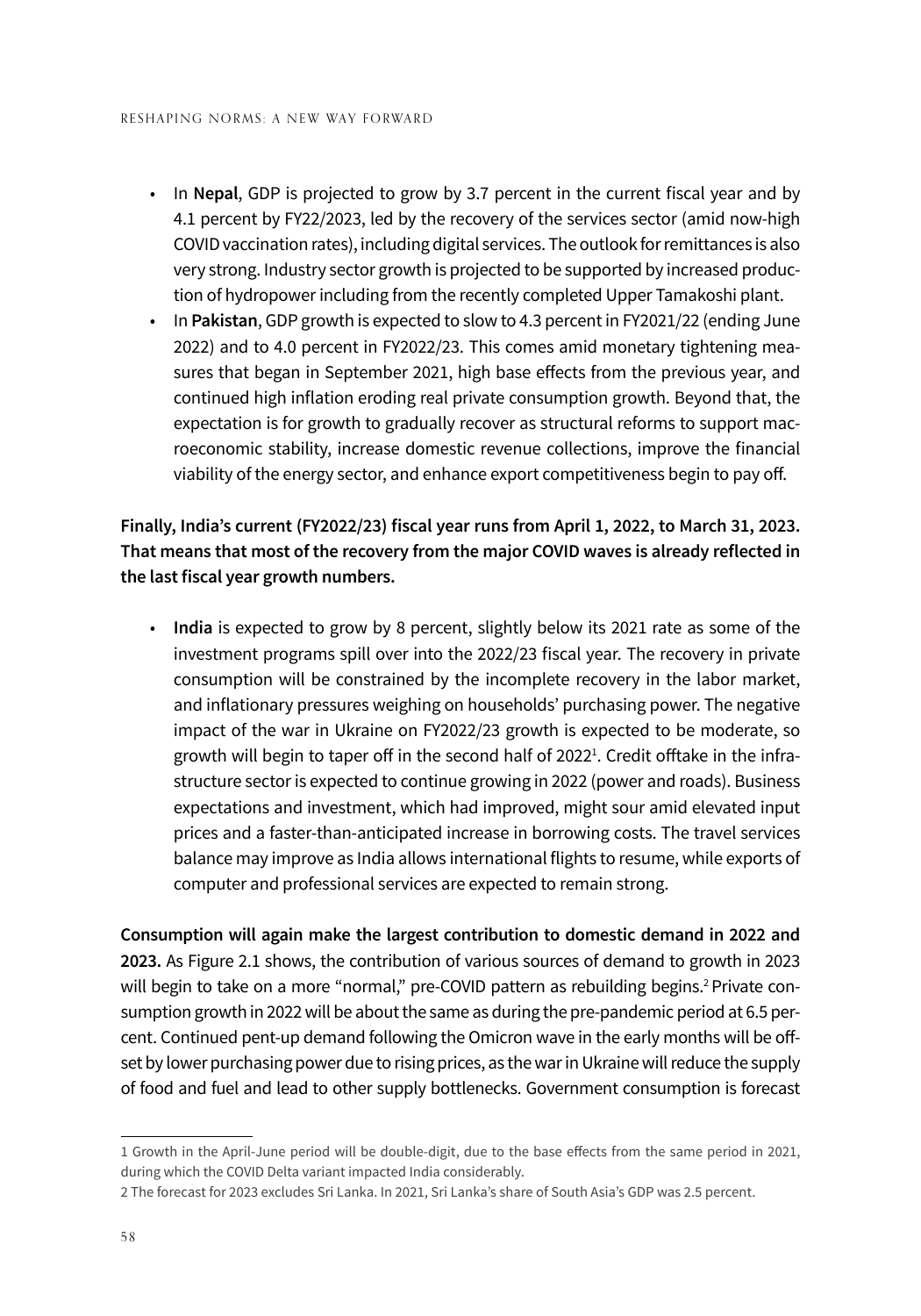- In **Nepal**, GDP is projected to grow by 3.7 percent in the current fiscal year and by 4.1 percent by FY22/2023, led by the recovery of the services sector (amid now-high COVID vaccination rates), including digital services. The outlook for remittances is also very strong. Industry sector growth is projected to be supported by increased production of hydropower including from the recently completed Upper Tamakoshi plant.
- In **Pakistan**, GDP growth is expected to slow to 4.3 percent in FY2021/22 (ending June 2022) and to 4.0 percent in FY2022/23. This comes amid monetary tightening measures that began in September 2021, high base effects from the previous year, and continued high inflation eroding real private consumption growth. Beyond that, the expectation is for growth to gradually recover as structural reforms to support macroeconomic stability, increase domestic revenue collections, improve the financial viability of the energy sector, and enhance export competitiveness begin to pay off.

**Finally, India's current (FY2022/23) fiscal year runs from April 1, 2022, to March 31, 2023. That means that most of the recovery from the major COVID waves is already reflected in the last fiscal year growth numbers.**

• **India** is expected to grow by 8 percent, slightly below its 2021 rate as some of the investment programs spill over into the 2022/23 fiscal year. The recovery in private consumption will be constrained by the incomplete recovery in the labor market, and inflationary pressures weighing on households' purchasing power. The negative impact of the war in Ukraine on FY2022/23 growth is expected to be moderate, so growth will begin to taper off in the second half of 2022<sup>1</sup>. Credit offtake in the infrastructure sector is expected to continue growing in 2022 (power and roads). Business expectations and investment, which had improved, might sour amid elevated input prices and a faster-than-anticipated increase in borrowing costs. The travel services balance may improve as India allows international flights to resume, while exports of computer and professional services are expected to remain strong.

**Consumption will again make the largest contribution to domestic demand in 2022 and 2023.** As Figure 2.1 shows, the contribution of various sources of demand to growth in 2023 will begin to take on a more "normal," pre-COVID pattern as rebuilding begins.<sup>2</sup> Private consumption growth in 2022 will be about the same as during the pre-pandemic period at 6.5 percent. Continued pent-up demand following the Omicron wave in the early months will be offset by lower purchasing power due to rising prices, as the war in Ukraine will reduce the supply of food and fuel and lead to other supply bottlenecks. Government consumption is forecast

<sup>1</sup> Growth in the April-June period will be double-digit, due to the base effects from the same period in 2021, during which the COVID Delta variant impacted India considerably.

<sup>2</sup> The forecast for 2023 excludes Sri Lanka. In 2021, Sri Lanka's share of South Asia's GDP was 2.5 percent.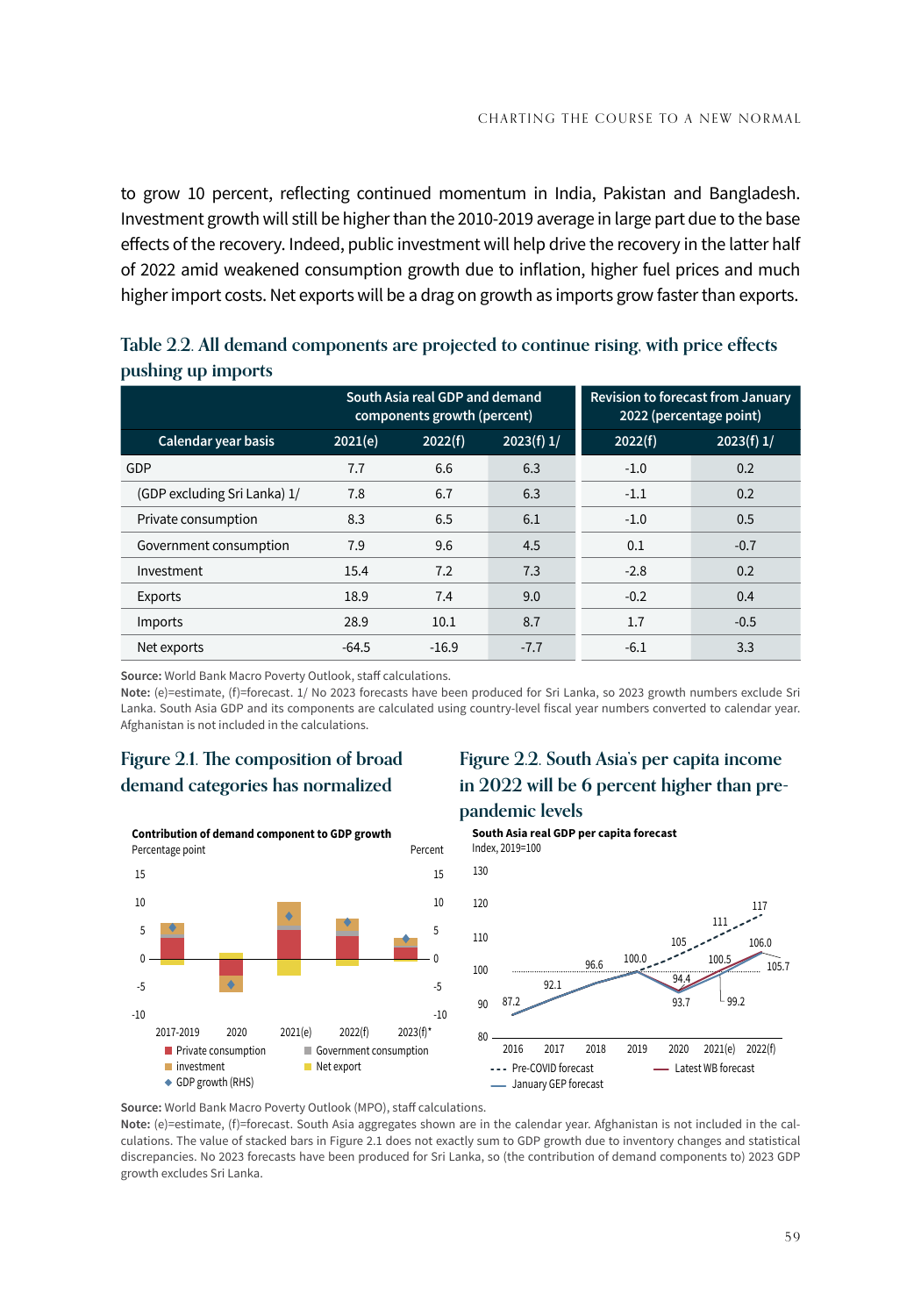to grow 10 percent, reflecting continued momentum in India, Pakistan and Bangladesh. Investment growth will still be higher than the 2010-2019 average in large part due to the base effects of the recovery. Indeed, public investment will help drive the recovery in the latter half of 2022 amid weakened consumption growth due to inflation, higher fuel prices and much higher import costs. Net exports will be a drag on growth as imports grow faster than exports.

| ----------o ---r ----r ---   |                                                               |         |            |                                                                     |            |  |  |
|------------------------------|---------------------------------------------------------------|---------|------------|---------------------------------------------------------------------|------------|--|--|
|                              | South Asia real GDP and demand<br>components growth (percent) |         |            | <b>Revision to forecast from January</b><br>2022 (percentage point) |            |  |  |
| Calendar year basis          | 2021(e)                                                       | 2022(f) | 2023(f) 1/ | 2022(f)                                                             | 2023(f) 1/ |  |  |
| GDP                          | 7.7                                                           | 6.6     | 6.3        | $-1.0$                                                              | 0.2        |  |  |
| (GDP excluding Sri Lanka) 1/ | 7.8                                                           | 6.7     | 6.3        | $-1.1$                                                              | 0.2        |  |  |
| Private consumption          | 8.3                                                           | 6.5     | 6.1        | $-1.0$                                                              | 0.5        |  |  |
| Government consumption       | 7.9                                                           | 9.6     | 4.5        | 0.1                                                                 | $-0.7$     |  |  |
| Investment                   | 15.4                                                          | 7.2     | 7.3        | $-2.8$                                                              | 0.2        |  |  |
| Exports                      | 18.9                                                          | 7.4     | 9.0        | $-0.2$                                                              | 0.4        |  |  |
| Imports                      | 28.9                                                          | 10.1    | 8.7        | 1.7                                                                 | $-0.5$     |  |  |
| Net exports                  | $-64.5$                                                       | $-16.9$ | $-7.7$     | $-6.1$                                                              | 3.3        |  |  |

| Table 2.2. All demand components are projected to continue rising, with price effects |  |
|---------------------------------------------------------------------------------------|--|
| pushing up imports                                                                    |  |

**Source:** World Bank Macro Poverty Outlook, staff calculations.

**Note:** (e)=estimate, (f)=forecast. 1/ No 2023 forecasts have been produced for Sri Lanka, so 2023 growth numbers exclude Sri Lanka. South Asia GDP and its components are calculated using country-level fiscal year numbers converted to calendar year. Afghanistan is not included in the calculations.

## **Figure 2.1. The composition of broad demand categories has normalized**



## **Figure 2.2. South Asia's per capita income in 2022 will be 6 percent higher than prepandemic levels**



**Source:** World Bank Macro Poverty Outlook (MPO), staff calculations.

**Note:** (e)=estimate, (f)=forecast. South Asia aggregates shown are in the calendar year. Afghanistan is not included in the calculations. The value of stacked bars in Figure 2.1 does not exactly sum to GDP growth due to inventory changes and statistical discrepancies. No 2023 forecasts have been produced for Sri Lanka, so (the contribution of demand components to) 2023 GDP growth excludes Sri Lanka.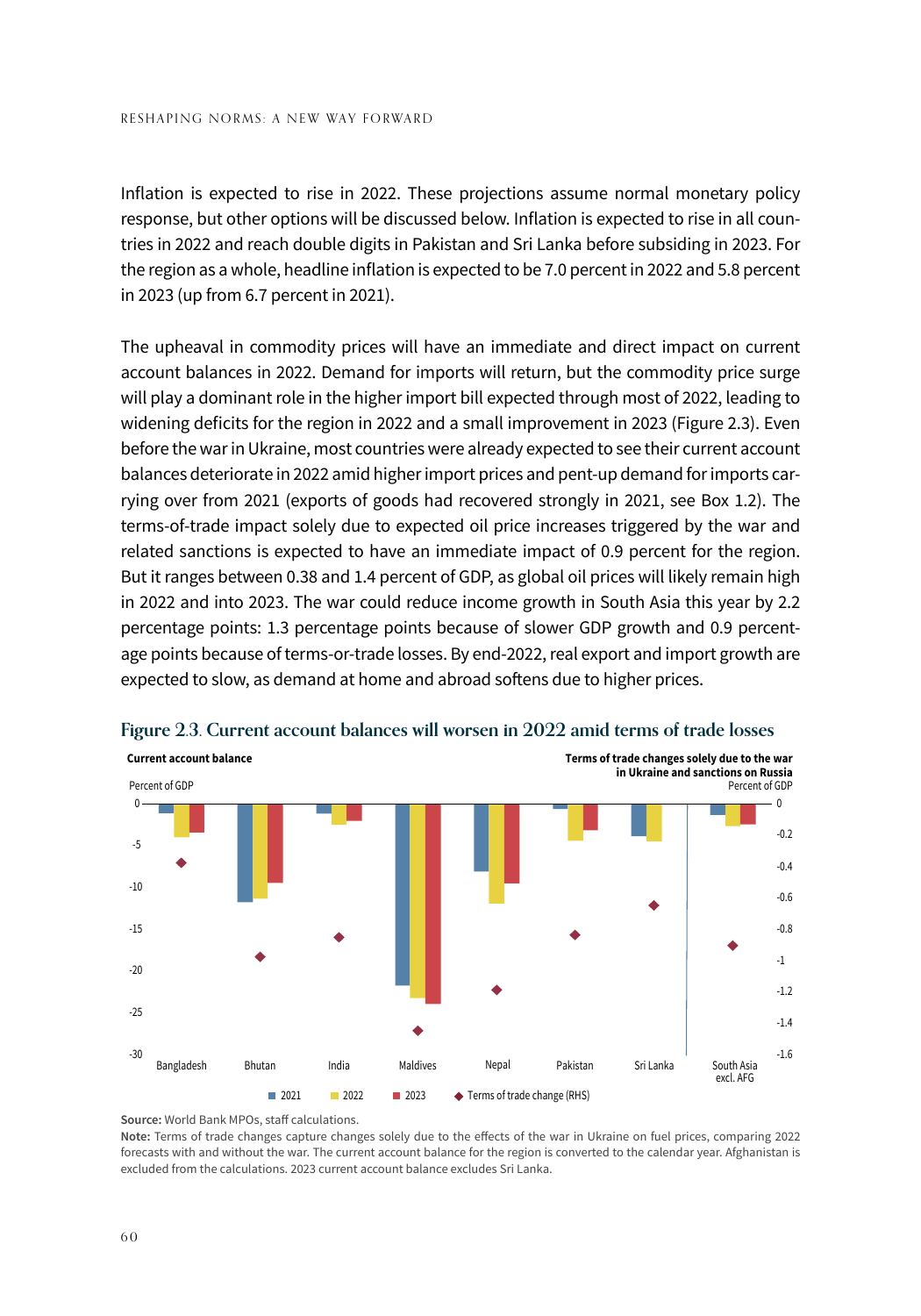Inflation is expected to rise in 2022. These projections assume normal monetary policy response, but other options will be discussed below. Inflation is expected to rise in all countries in 2022 and reach double digits in Pakistan and Sri Lanka before subsiding in 2023. For the region as a whole, headline inflation is expected to be 7.0 percent in 2022 and 5.8 percent in 2023 (up from 6.7 percent in 2021).

The upheaval in commodity prices will have an immediate and direct impact on current account balances in 2022. Demand for imports will return, but the commodity price surge will play a dominant role in the higher import bill expected through most of 2022, leading to widening deficits for the region in 2022 and a small improvement in 2023 (Figure 2.3). Even before the war in Ukraine, most countries were already expected to see their current account balances deteriorate in 2022 amid higher import prices and pent-up demand for imports carrying over from 2021 (exports of goods had recovered strongly in 2021, see Box 1.2). The terms-of-trade impact solely due to expected oil price increases triggered by the war and related sanctions is expected to have an immediate impact of 0.9 percent for the region. But it ranges between 0.38 and 1.4 percent of GDP, as global oil prices will likely remain high in 2022 and into 2023. The war could reduce income growth in South Asia this year by 2.2 percentage points: 1.3 percentage points because of slower GDP growth and 0.9 percentage points because of terms-or-trade losses. By end-2022, real export and import growth are expected to slow, as demand at home and abroad softens due to higher prices.



**Figure 2.3. Current account balances will worsen in 2022 amid terms of trade losses** 

**Note:** Terms of trade changes capture changes solely due to the effects of the war in Ukraine on fuel prices, comparing 2022 forecasts with and without the war. The current account balance for the region is converted to the calendar year. Afghanistan is excluded from the calculations. 2023 current account balance excludes Sri Lanka.

**Source:** World Bank MPOs, staff calculations.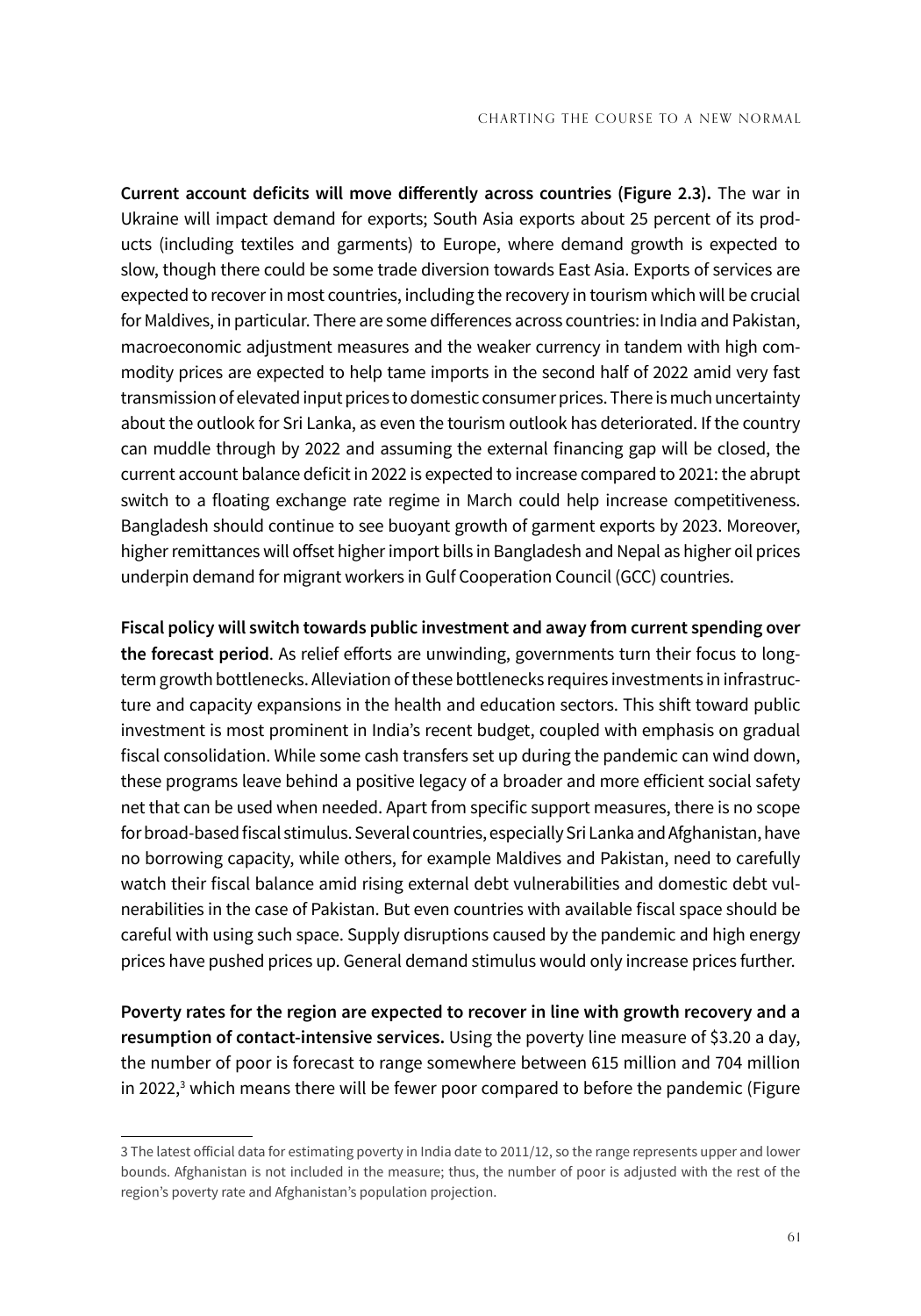**Current account deficits will move differently across countries (Figure 2.3).** The war in Ukraine will impact demand for exports; South Asia exports about 25 percent of its products (including textiles and garments) to Europe, where demand growth is expected to slow, though there could be some trade diversion towards East Asia. Exports of services are expected to recover in most countries, including the recovery in tourism which will be crucial for Maldives, in particular. There are some differences across countries: in India and Pakistan, macroeconomic adjustment measures and the weaker currency in tandem with high commodity prices are expected to help tame imports in the second half of 2022 amid very fast transmission of elevated input prices to domestic consumer prices. There is much uncertainty about the outlook for Sri Lanka, as even the tourism outlook has deteriorated. If the country can muddle through by 2022 and assuming the external financing gap will be closed, the current account balance deficit in 2022 is expected to increase compared to 2021: the abrupt switch to a floating exchange rate regime in March could help increase competitiveness. Bangladesh should continue to see buoyant growth of garment exports by 2023. Moreover, higher remittances will offset higher import bills in Bangladesh and Nepal as higher oil prices underpin demand for migrant workers in Gulf Cooperation Council (GCC) countries.

**Fiscal policy will switch towards public investment and away from current spending over the forecast period**. As relief efforts are unwinding, governments turn their focus to longterm growth bottlenecks. Alleviation of these bottlenecks requires investments in infrastructure and capacity expansions in the health and education sectors. This shift toward public investment is most prominent in India's recent budget, coupled with emphasis on gradual fiscal consolidation. While some cash transfers set up during the pandemic can wind down, these programs leave behind a positive legacy of a broader and more efficient social safety net that can be used when needed. Apart from specific support measures, there is no scope for broad-based fiscal stimulus. Several countries, especially Sri Lanka and Afghanistan, have no borrowing capacity, while others, for example Maldives and Pakistan, need to carefully watch their fiscal balance amid rising external debt vulnerabilities and domestic debt vulnerabilities in the case of Pakistan. But even countries with available fiscal space should be careful with using such space. Supply disruptions caused by the pandemic and high energy prices have pushed prices up. General demand stimulus would only increase prices further.

**Poverty rates for the region are expected to recover in line with growth recovery and a resumption of contact-intensive services.** Using the poverty line measure of \$3.20 a day, the number of poor is forecast to range somewhere between 615 million and 704 million in 2022,<sup>3</sup> which means there will be fewer poor compared to before the pandemic (Figure

<sup>3</sup> The latest official data for estimating poverty in India date to 2011/12, so the range represents upper and lower bounds. Afghanistan is not included in the measure; thus, the number of poor is adjusted with the rest of the region's poverty rate and Afghanistan's population projection.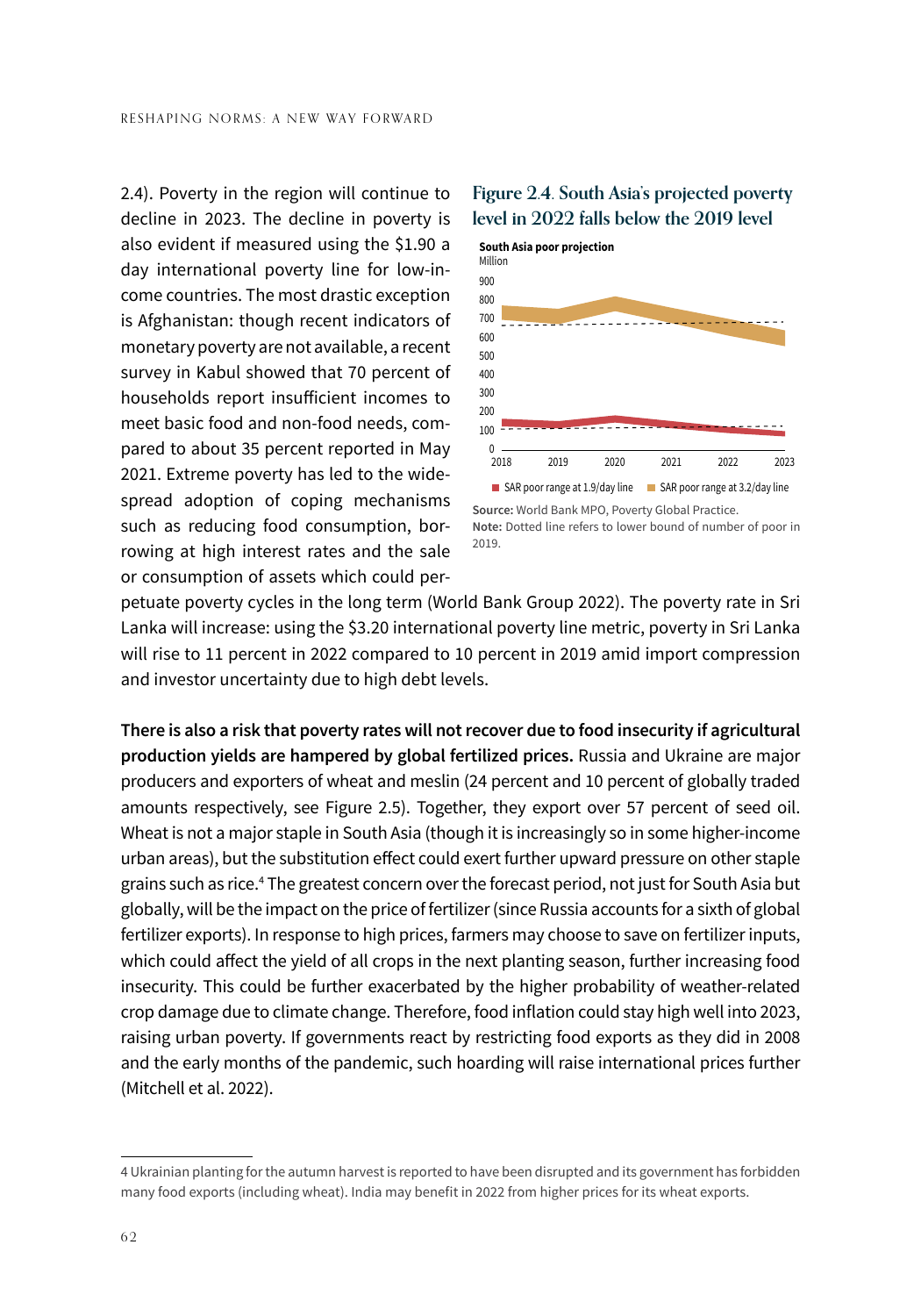2.4). Poverty in the region will continue to decline in 2023. The decline in poverty is also evident if measured using the \$1.90 a day international poverty line for low-income countries. The most drastic exception is Afghanistan: though recent indicators of monetary poverty are not available, a recent survey in Kabul showed that 70 percent of households report insufficient incomes to meet basic food and non-food needs, compared to about 35 percent reported in May 2021. Extreme poverty has led to the widespread adoption of coping mechanisms such as reducing food consumption, borrowing at high interest rates and the sale or consumption of assets which could per-

## **Figure 2.4. South Asia's projected poverty level in 2022 falls below the 2019 level**



**Source:** World Bank MPO, Poverty Global Practice. **Note:** Dotted line refers to lower bound of number of poor in 2019.

petuate poverty cycles in the long term (World Bank Group 2022). The poverty rate in Sri Lanka will increase: using the \$3.20 international poverty line metric, poverty in Sri Lanka will rise to 11 percent in 2022 compared to 10 percent in 2019 amid import compression and investor uncertainty due to high debt levels.

**There is also a risk that poverty rates will not recover due to food insecurity if agricultural production yields are hampered by global fertilized prices.** Russia and Ukraine are major producers and exporters of wheat and meslin (24 percent and 10 percent of globally traded amounts respectively, see Figure 2.5). Together, they export over 57 percent of seed oil. Wheat is not a major staple in South Asia (though it is increasingly so in some higher-income urban areas), but the substitution effect could exert further upward pressure on other staple grains such as rice.4 The greatest concern over the forecast period, not just for South Asia but globally, will be the impact on the price of fertilizer (since Russia accounts for a sixth of global fertilizer exports). In response to high prices, farmers may choose to save on fertilizer inputs, which could affect the yield of all crops in the next planting season, further increasing food insecurity. This could be further exacerbated by the higher probability of weather-related crop damage due to climate change. Therefore, food inflation could stay high well into 2023, raising urban poverty. If governments react by restricting food exports as they did in 2008 and the early months of the pandemic, such hoarding will raise international prices further (Mitchell et al. 2022).

<sup>4</sup> Ukrainian planting for the autumn harvest is reported to have been disrupted and its government has forbidden many food exports (including wheat). India may benefit in 2022 from higher prices for its wheat exports.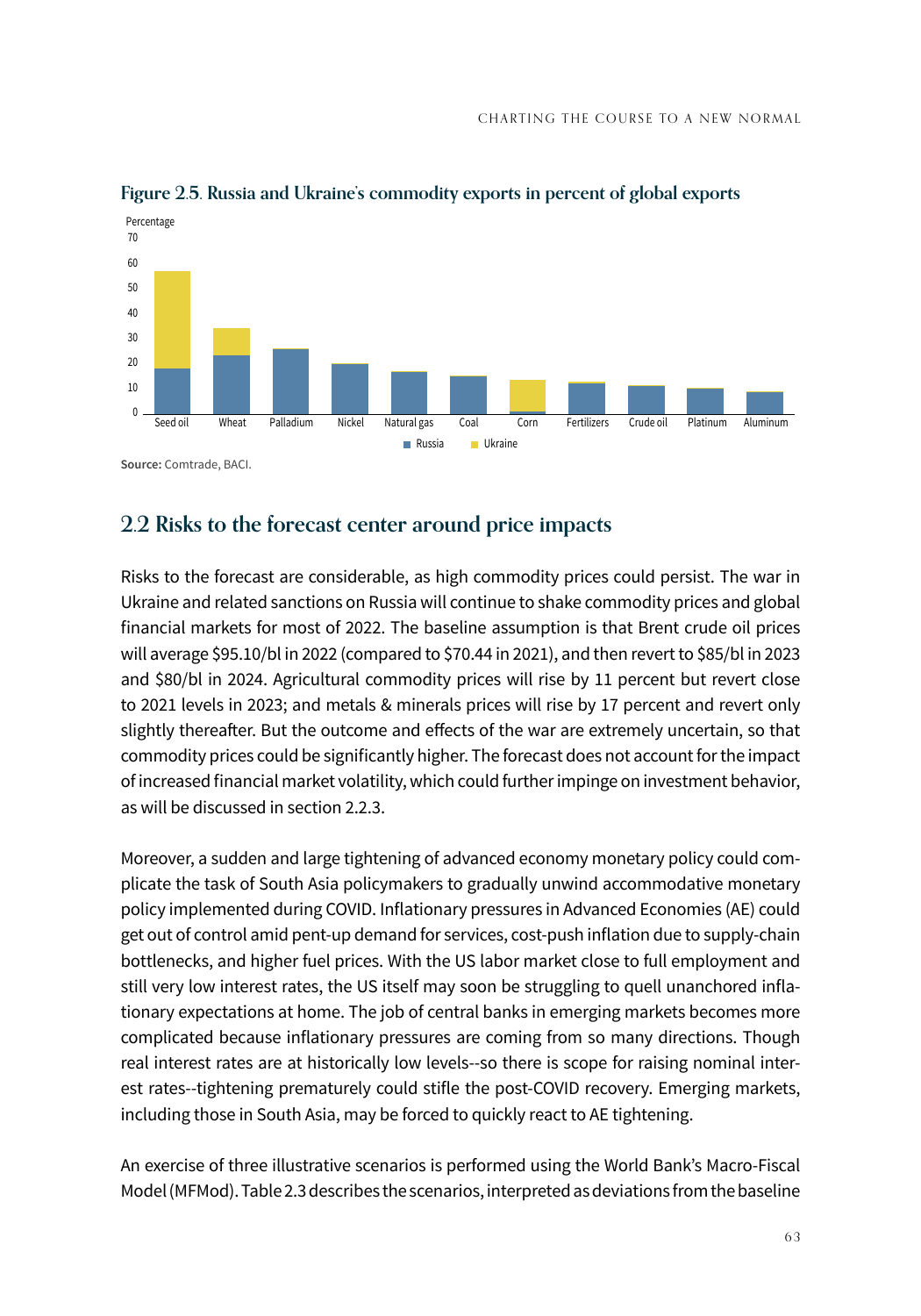

**Figure 2.5. Russia and Ukraine's commodity exports in percent of global exports**

## **2.2 Risks to the forecast center around price impacts**

Risks to the forecast are considerable, as high commodity prices could persist. The war in Ukraine and related sanctions on Russia will continue to shake commodity prices and global financial markets for most of 2022. The baseline assumption is that Brent crude oil prices will average \$95.10/bl in 2022 (compared to \$70.44 in 2021), and then revert to \$85/bl in 2023 and \$80/bl in 2024. Agricultural commodity prices will rise by 11 percent but revert close to 2021 levels in 2023; and metals & minerals prices will rise by 17 percent and revert only slightly thereafter. But the outcome and effects of the war are extremely uncertain, so that commodity prices could be significantly higher. The forecast does not account for the impact of increased financial market volatility, which could further impinge on investment behavior, as will be discussed in section 2.2.3.

Moreover, a sudden and large tightening of advanced economy monetary policy could complicate the task of South Asia policymakers to gradually unwind accommodative monetary policy implemented during COVID. Inflationary pressures in Advanced Economies (AE) could get out of control amid pent-up demand for services, cost-push inflation due to supply-chain bottlenecks, and higher fuel prices. With the US labor market close to full employment and still very low interest rates, the US itself may soon be struggling to quell unanchored inflationary expectations at home. The job of central banks in emerging markets becomes more complicated because inflationary pressures are coming from so many directions. Though real interest rates are at historically low levels--so there is scope for raising nominal interest rates--tightening prematurely could stifle the post-COVID recovery. Emerging markets, including those in South Asia, may be forced to quickly react to AE tightening.

An exercise of three illustrative scenarios is performed using the World Bank's Macro-Fiscal Model (MFMod). Table 2.3 describes the scenarios, interpreted as deviations from the baseline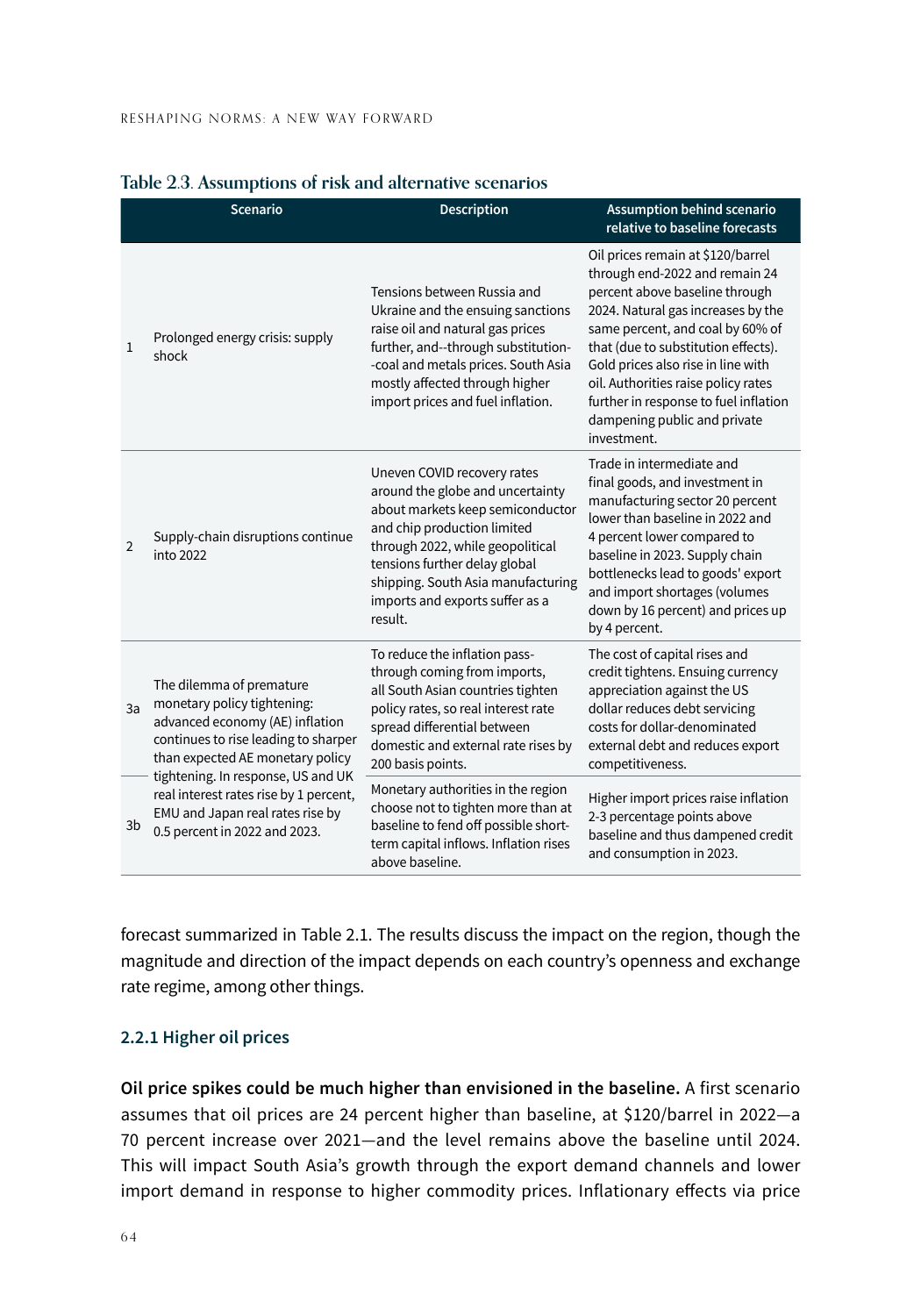|                | <b>Scenario</b>                                                                                                                                                        | Description                                                                                                                                                                                                                                                                                 | <b>Assumption behind scenario</b><br>relative to baseline forecasts                                                                                                                                                                                                                                                                                                                         |
|----------------|------------------------------------------------------------------------------------------------------------------------------------------------------------------------|---------------------------------------------------------------------------------------------------------------------------------------------------------------------------------------------------------------------------------------------------------------------------------------------|---------------------------------------------------------------------------------------------------------------------------------------------------------------------------------------------------------------------------------------------------------------------------------------------------------------------------------------------------------------------------------------------|
| $\mathbf{1}$   | Prolonged energy crisis: supply<br>shock                                                                                                                               | Tensions between Russia and<br>Ukraine and the ensuing sanctions<br>raise oil and natural gas prices<br>further, and--through substitution-<br>-coal and metals prices. South Asia<br>mostly affected through higher<br>import prices and fuel inflation.                                   | Oil prices remain at \$120/barrel<br>through end-2022 and remain 24<br>percent above baseline through<br>2024. Natural gas increases by the<br>same percent, and coal by 60% of<br>that (due to substitution effects).<br>Gold prices also rise in line with<br>oil. Authorities raise policy rates<br>further in response to fuel inflation<br>dampening public and private<br>investment. |
| $\overline{2}$ | Supply-chain disruptions continue<br>into 2022                                                                                                                         | Uneven COVID recovery rates<br>around the globe and uncertainty<br>about markets keep semiconductor<br>and chip production limited<br>through 2022, while geopolitical<br>tensions further delay global<br>shipping. South Asia manufacturing<br>imports and exports suffer as a<br>result. | Trade in intermediate and<br>final goods, and investment in<br>manufacturing sector 20 percent<br>lower than baseline in 2022 and<br>4 percent lower compared to<br>baseline in 2023. Supply chain<br>bottlenecks lead to goods' export<br>and import shortages (volumes<br>down by 16 percent) and prices up<br>by 4 percent.                                                              |
| 3a             | The dilemma of premature<br>monetary policy tightening:<br>advanced economy (AE) inflation<br>continues to rise leading to sharper<br>than expected AE monetary policy | To reduce the inflation pass-<br>through coming from imports,<br>all South Asian countries tighten<br>policy rates, so real interest rate<br>spread differential between<br>domestic and external rate rises by<br>200 basis points.                                                        | The cost of capital rises and<br>credit tightens. Ensuing currency<br>appreciation against the US<br>dollar reduces debt servicing<br>costs for dollar-denominated<br>external debt and reduces export<br>competitiveness.                                                                                                                                                                  |
| 3b             | tightening. In response, US and UK<br>real interest rates rise by 1 percent,<br>EMU and Japan real rates rise by<br>0.5 percent in 2022 and 2023.                      | Monetary authorities in the region<br>choose not to tighten more than at<br>baseline to fend off possible short-<br>term capital inflows. Inflation rises<br>above baseline.                                                                                                                | Higher import prices raise inflation<br>2-3 percentage points above<br>baseline and thus dampened credit<br>and consumption in 2023.                                                                                                                                                                                                                                                        |

#### **Table 2.3. Assumptions of risk and alternative scenarios**

forecast summarized in Table 2.1. The results discuss the impact on the region, though the magnitude and direction of the impact depends on each country's openness and exchange rate regime, among other things.

### **2.2.1 Higher oil prices**

**Oil price spikes could be much higher than envisioned in the baseline.** A first scenario assumes that oil prices are 24 percent higher than baseline, at \$120/barrel in 2022—a 70 percent increase over 2021—and the level remains above the baseline until 2024. This will impact South Asia's growth through the export demand channels and lower import demand in response to higher commodity prices. Inflationary effects via price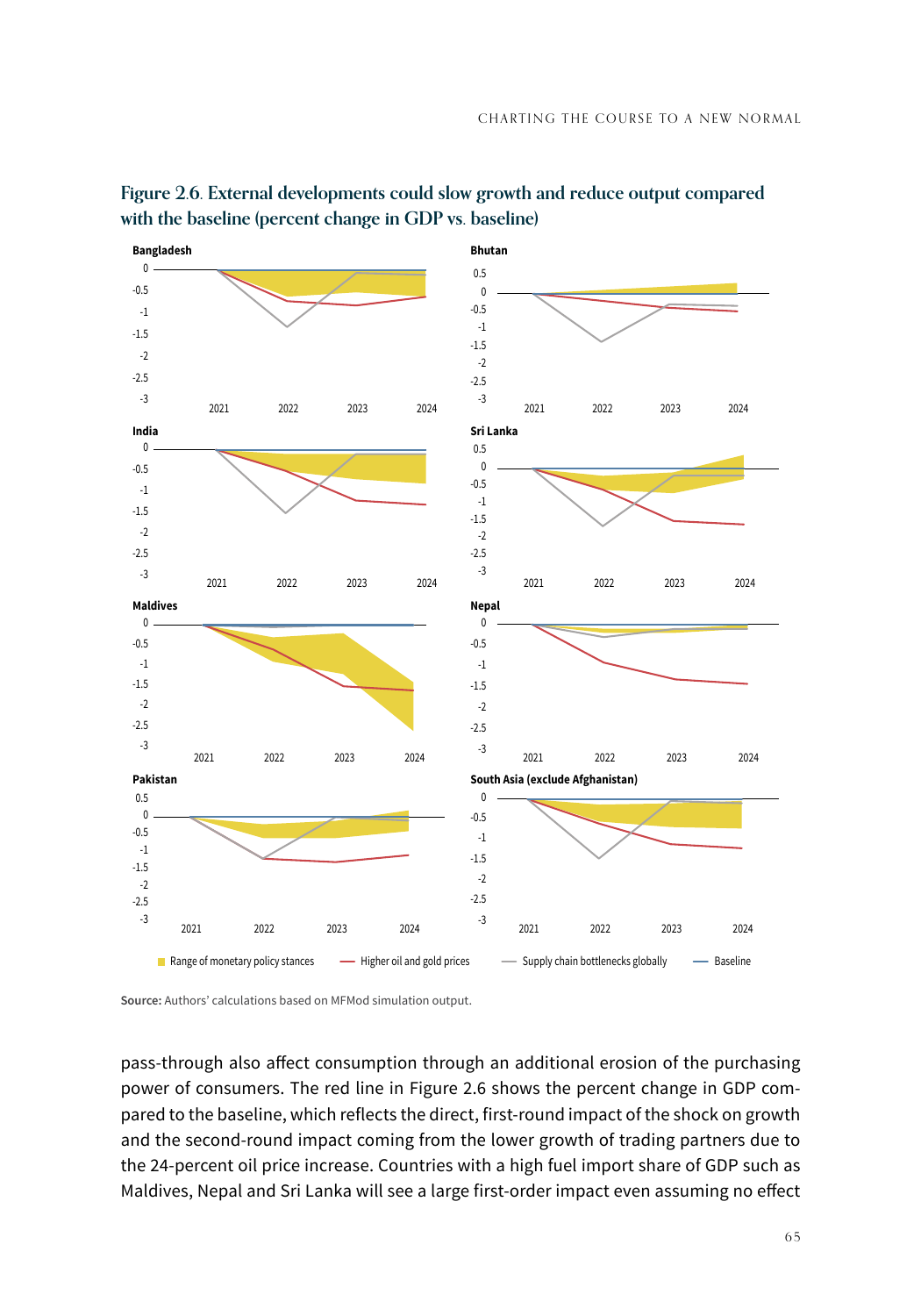



pass-through also affect consumption through an additional erosion of the purchasing power of consumers. The red line in Figure 2.6 shows the percent change in GDP compared to the baseline, which reflects the direct, first-round impact of the shock on growth and the second-round impact coming from the lower growth of trading partners due to the 24-percent oil price increase. Countries with a high fuel import share of GDP such as Maldives, Nepal and Sri Lanka will see a large first-order impact even assuming no effect

**Source:** Authors' calculations based on MFMod simulation output.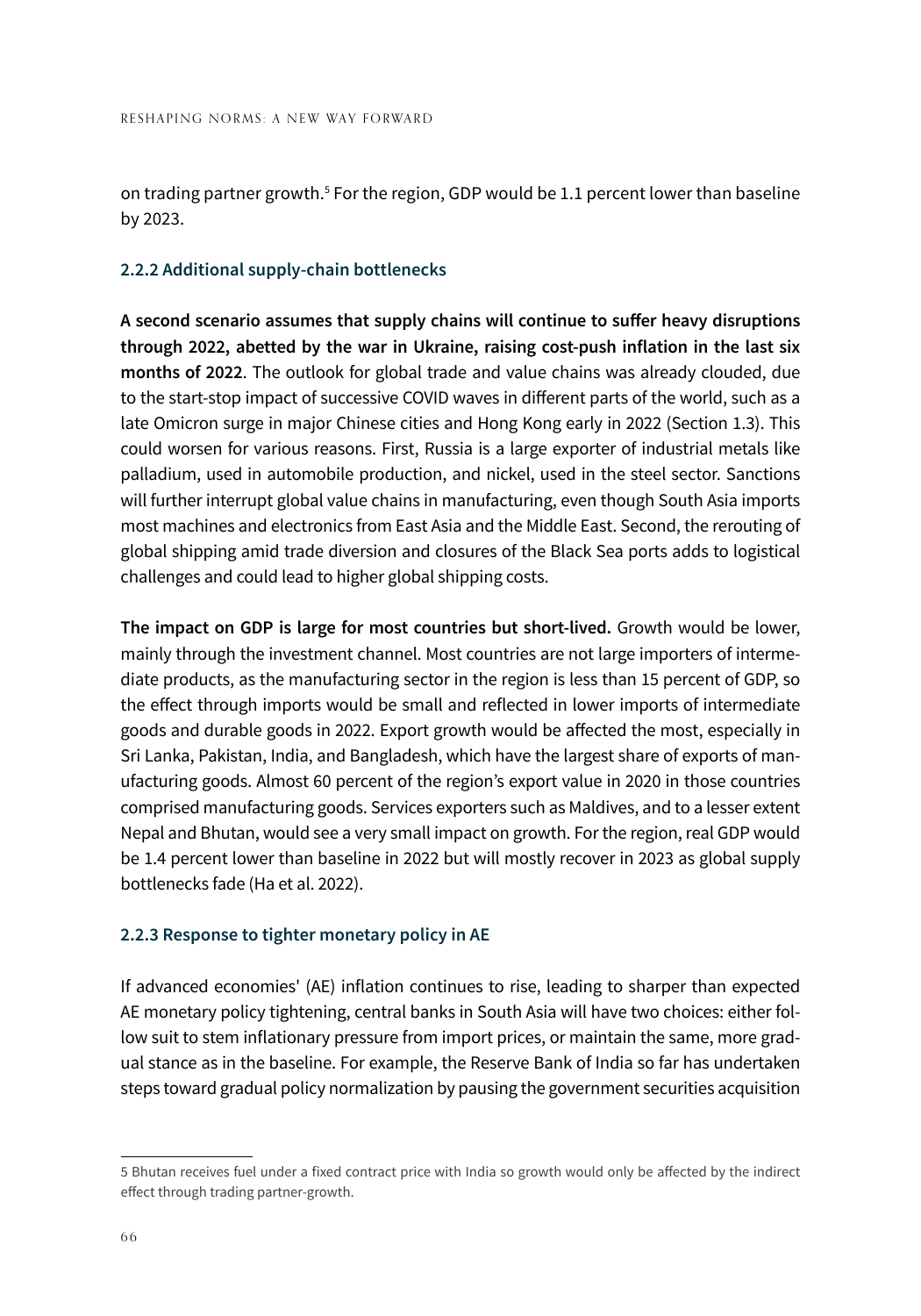on trading partner growth.<sup>5</sup> For the region, GDP would be 1.1 percent lower than baseline by 2023.

#### **2.2.2 Additional supply-chain bottlenecks**

**A second scenario assumes that supply chains will continue to suffer heavy disruptions through 2022, abetted by the war in Ukraine, raising cost-push inflation in the last six months of 2022**. The outlook for global trade and value chains was already clouded, due to the start-stop impact of successive COVID waves in different parts of the world, such as a late Omicron surge in major Chinese cities and Hong Kong early in 2022 (Section 1.3). This could worsen for various reasons. First, Russia is a large exporter of industrial metals like palladium, used in automobile production, and nickel, used in the steel sector. Sanctions will further interrupt global value chains in manufacturing, even though South Asia imports most machines and electronics from East Asia and the Middle East. Second, the rerouting of global shipping amid trade diversion and closures of the Black Sea ports adds to logistical challenges and could lead to higher global shipping costs.

**The impact on GDP is large for most countries but short-lived.** Growth would be lower, mainly through the investment channel. Most countries are not large importers of intermediate products, as the manufacturing sector in the region is less than 15 percent of GDP, so the effect through imports would be small and reflected in lower imports of intermediate goods and durable goods in 2022. Export growth would be affected the most, especially in Sri Lanka, Pakistan, India, and Bangladesh, which have the largest share of exports of manufacturing goods. Almost 60 percent of the region's export value in 2020 in those countries comprised manufacturing goods. Services exporters such as Maldives, and to a lesser extent Nepal and Bhutan, would see a very small impact on growth. For the region, real GDP would be 1.4 percent lower than baseline in 2022 but will mostly recover in 2023 as global supply bottlenecks fade (Ha et al. 2022).

### **2.2.3 Response to tighter monetary policy in AE**

If advanced economies' (AE) inflation continues to rise, leading to sharper than expected AE monetary policy tightening, central banks in South Asia will have two choices: either follow suit to stem inflationary pressure from import prices, or maintain the same, more gradual stance as in the baseline. For example, the Reserve Bank of India so far has undertaken steps toward gradual policy normalization by pausing the government securities acquisition

<sup>5</sup> Bhutan receives fuel under a fixed contract price with India so growth would only be affected by the indirect effect through trading partner-growth.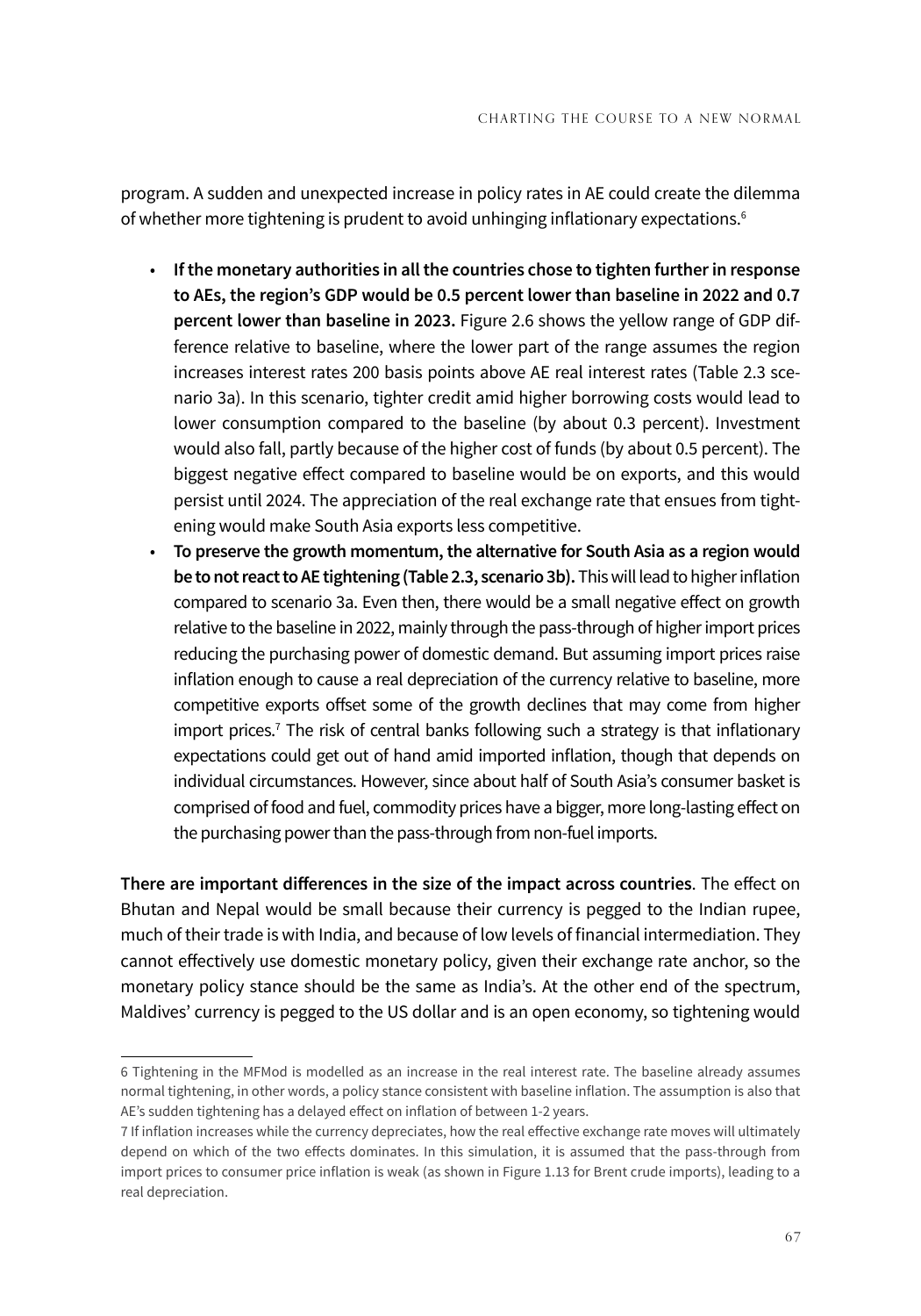program. A sudden and unexpected increase in policy rates in AE could create the dilemma of whether more tightening is prudent to avoid unhinging inflationary expectations.<sup>6</sup>

- **If the monetary authorities in all the countries chose to tighten further in response to AEs, the region's GDP would be 0.5 percent lower than baseline in 2022 and 0.7 percent lower than baseline in 2023.** Figure 2.6 shows the yellow range of GDP difference relative to baseline, where the lower part of the range assumes the region increases interest rates 200 basis points above AE real interest rates (Table 2.3 scenario 3a). In this scenario, tighter credit amid higher borrowing costs would lead to lower consumption compared to the baseline (by about 0.3 percent). Investment would also fall, partly because of the higher cost of funds (by about 0.5 percent). The biggest negative effect compared to baseline would be on exports, and this would persist until 2024. The appreciation of the real exchange rate that ensues from tightening would make South Asia exports less competitive.
- **To preserve the growth momentum, the alternative for South Asia as a region would be to not react to AE tightening (Table 2.3, scenario 3b).** This will lead to higher inflation compared to scenario 3a. Even then, there would be a small negative effect on growth relative to the baseline in 2022, mainly through the pass-through of higher import prices reducing the purchasing power of domestic demand. But assuming import prices raise inflation enough to cause a real depreciation of the currency relative to baseline, more competitive exports offset some of the growth declines that may come from higher import prices.<sup>7</sup> The risk of central banks following such a strategy is that inflationary expectations could get out of hand amid imported inflation, though that depends on individual circumstances. However, since about half of South Asia's consumer basket is comprised of food and fuel, commodity prices have a bigger, more long-lasting effect on the purchasing power than the pass-through from non-fuel imports.

**There are important differences in the size of the impact across countries**. The effect on Bhutan and Nepal would be small because their currency is pegged to the Indian rupee, much of their trade is with India, and because of low levels of financial intermediation. They cannot effectively use domestic monetary policy, given their exchange rate anchor, so the monetary policy stance should be the same as India's. At the other end of the spectrum, Maldives' currency is pegged to the US dollar and is an open economy, so tightening would

<sup>6</sup> Tightening in the MFMod is modelled as an increase in the real interest rate. The baseline already assumes normal tightening, in other words, a policy stance consistent with baseline inflation. The assumption is also that AE's sudden tightening has a delayed effect on inflation of between 1-2 years.

<sup>7</sup> If inflation increases while the currency depreciates, how the real effective exchange rate moves will ultimately depend on which of the two effects dominates. In this simulation, it is assumed that the pass-through from import prices to consumer price inflation is weak (as shown in Figure 1.13 for Brent crude imports), leading to a real depreciation.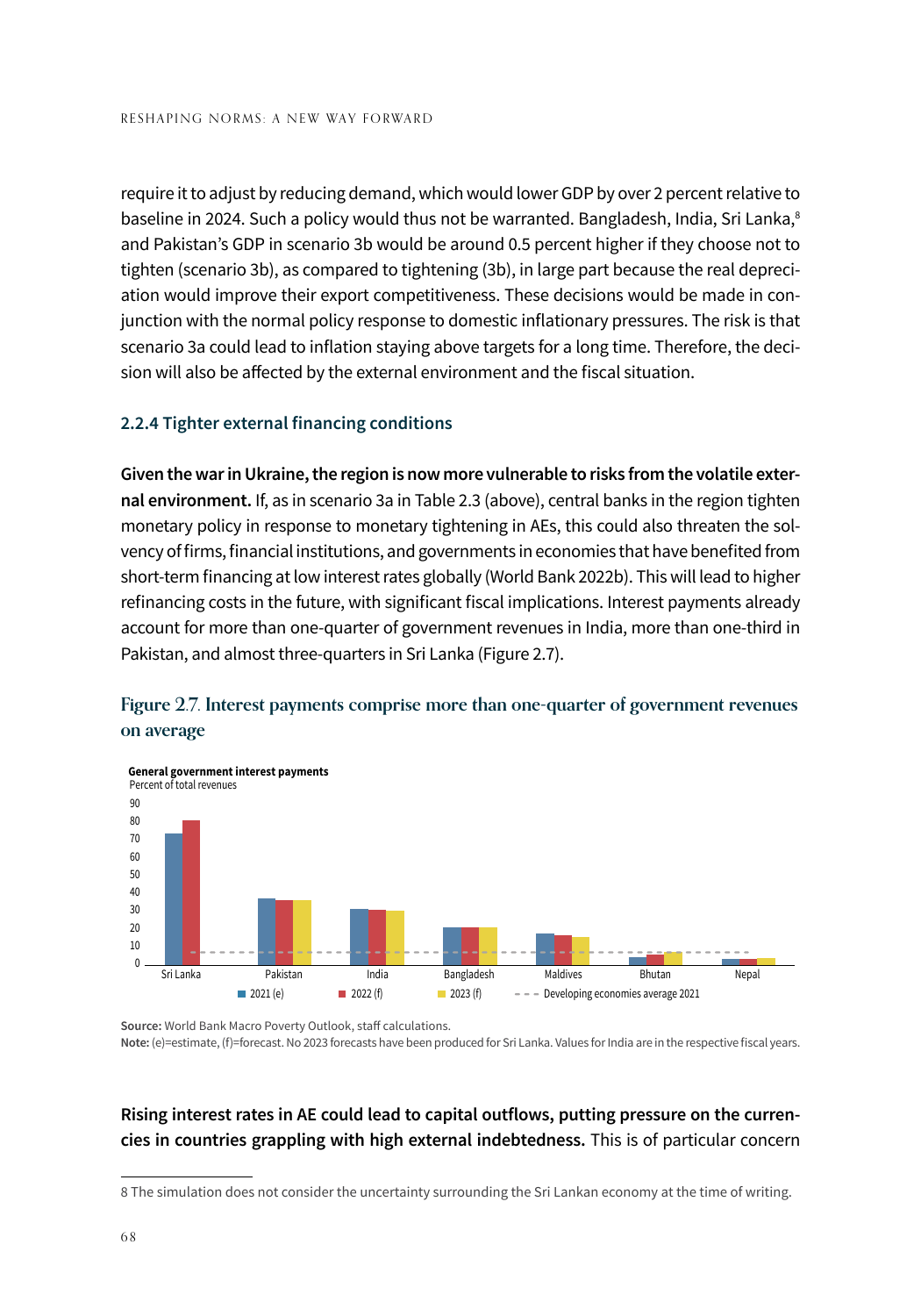require it to adjust by reducing demand, which would lower GDP by over 2 percent relative to baseline in 2024. Such a policy would thus not be warranted. Bangladesh, India, Sri Lanka,<sup>8</sup> and Pakistan's GDP in scenario 3b would be around 0.5 percent higher if they choose not to tighten (scenario 3b), as compared to tightening (3b), in large part because the real depreciation would improve their export competitiveness. These decisions would be made in conjunction with the normal policy response to domestic inflationary pressures. The risk is that scenario 3a could lead to inflation staying above targets for a long time. Therefore, the decision will also be affected by the external environment and the fiscal situation.

#### **2.2.4 Tighter external financing conditions**

**Given the war in Ukraine, the region is now more vulnerable to risks from the volatile external environment.** If, as in scenario 3a in Table 2.3 (above), central banks in the region tighten monetary policy in response to monetary tightening in AEs, this could also threaten the solvency of firms, financial institutions, and governments in economies that have benefited from short-term financing at low interest rates globally (World Bank 2022b). This will lead to higher refinancing costs in the future, with significant fiscal implications. Interest payments already account for more than one-quarter of government revenues in India, more than one-third in Pakistan, and almost three-quarters in Sri Lanka (Figure 2.7).

## **Figure 2.7. Interest payments comprise more than one-quarter of government revenues on average**



**Source:** World Bank Macro Poverty Outlook, staff calculations. **Note:** (e)=estimate, (f)=forecast. No 2023 forecasts have been produced for Sri Lanka. Values for India are in the respective fiscal years.

## **Rising interest rates in AE could lead to capital outflows, putting pressure on the currencies in countries grappling with high external indebtedness.** This is of particular concern

<sup>8</sup> The simulation does not consider the uncertainty surrounding the Sri Lankan economy at the time of writing.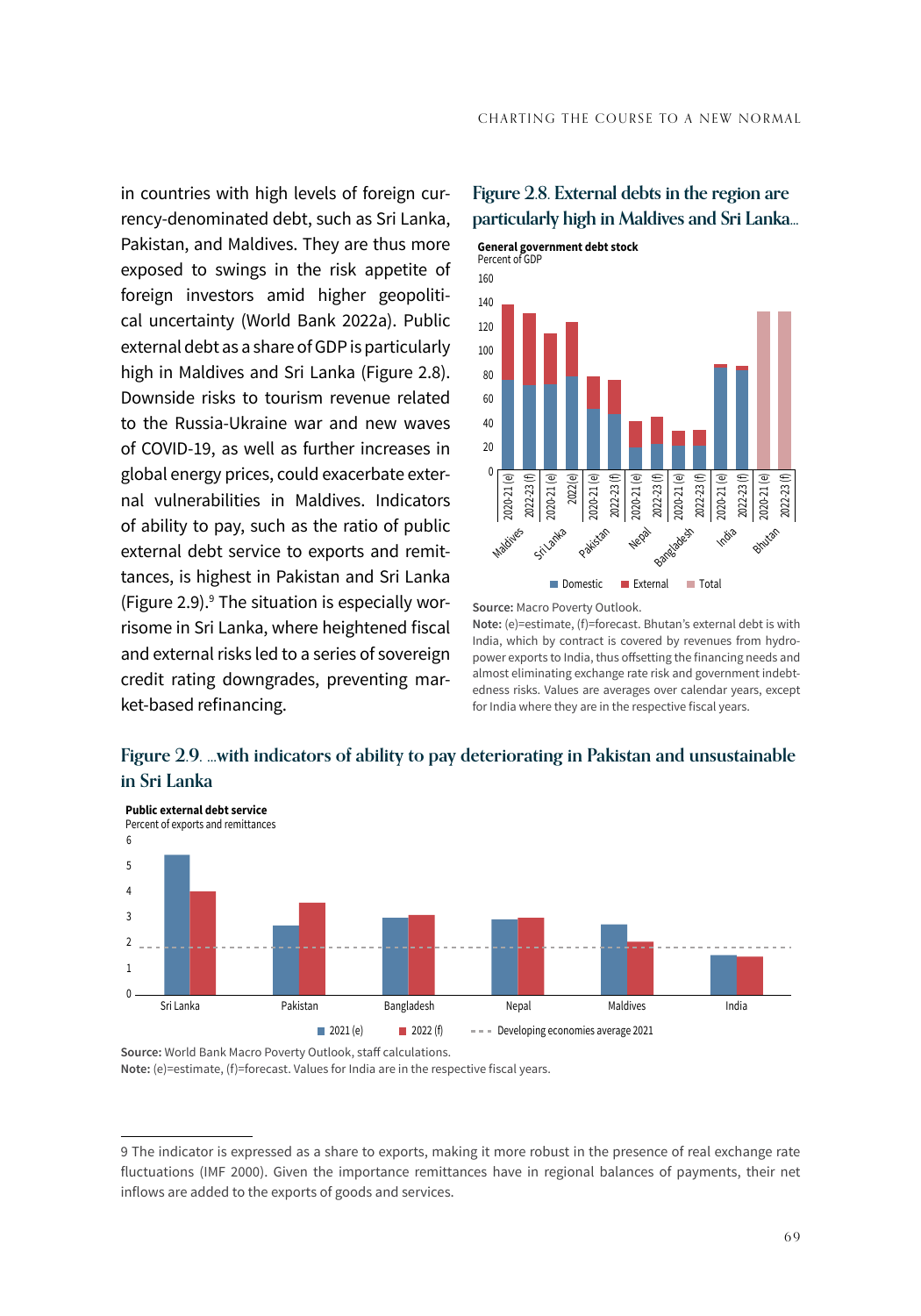in countries with high levels of foreign currency-denominated debt, such as Sri Lanka, Pakistan, and Maldives. They are thus more exposed to swings in the risk appetite of foreign investors amid higher geopolitical uncertainty (World Bank 2022a). Public external debt as a share of GDP is particularly high in Maldives and Sri Lanka (Figure 2.8). Downside risks to tourism revenue related to the Russia-Ukraine war and new waves of COVID-19, as well as further increases in global energy prices, could exacerbate external vulnerabilities in Maldives. Indicators of ability to pay, such as the ratio of public external debt service to exports and remittances, is highest in Pakistan and Sri Lanka (Figure 2.9). $9$  The situation is especially worrisome in Sri Lanka, where heightened fiscal and external risks led to a series of sovereign credit rating downgrades, preventing market-based refinancing.

## **Figure 2.8. External debts in the region are particularly high in Maldives and Sri Lanka...**



**Source:** Macro Poverty Outlook.

**Note:** (e)=estimate, (f)=forecast. Bhutan's external debt is with India, which by contract is covered by revenues from hydropower exports to India, thus offsetting the financing needs and almost eliminating exchange rate risk and government indebtedness risks. Values are averages over calendar years, except for India where they are in the respective fiscal years.

## **Figure 2.9. …with indicators of ability to pay deteriorating in Pakistan and unsustainable in Sri Lanka**



**Source:** World Bank Macro Poverty Outlook, staff calculations. **Note:** (e)=estimate, (f)=forecast. Values for India are in the respective fiscal years.

<sup>9</sup> The indicator is expressed as a share to exports, making it more robust in the presence of real exchange rate fluctuations (IMF 2000). Given the importance remittances have in regional balances of payments, their net inflows are added to the exports of goods and services.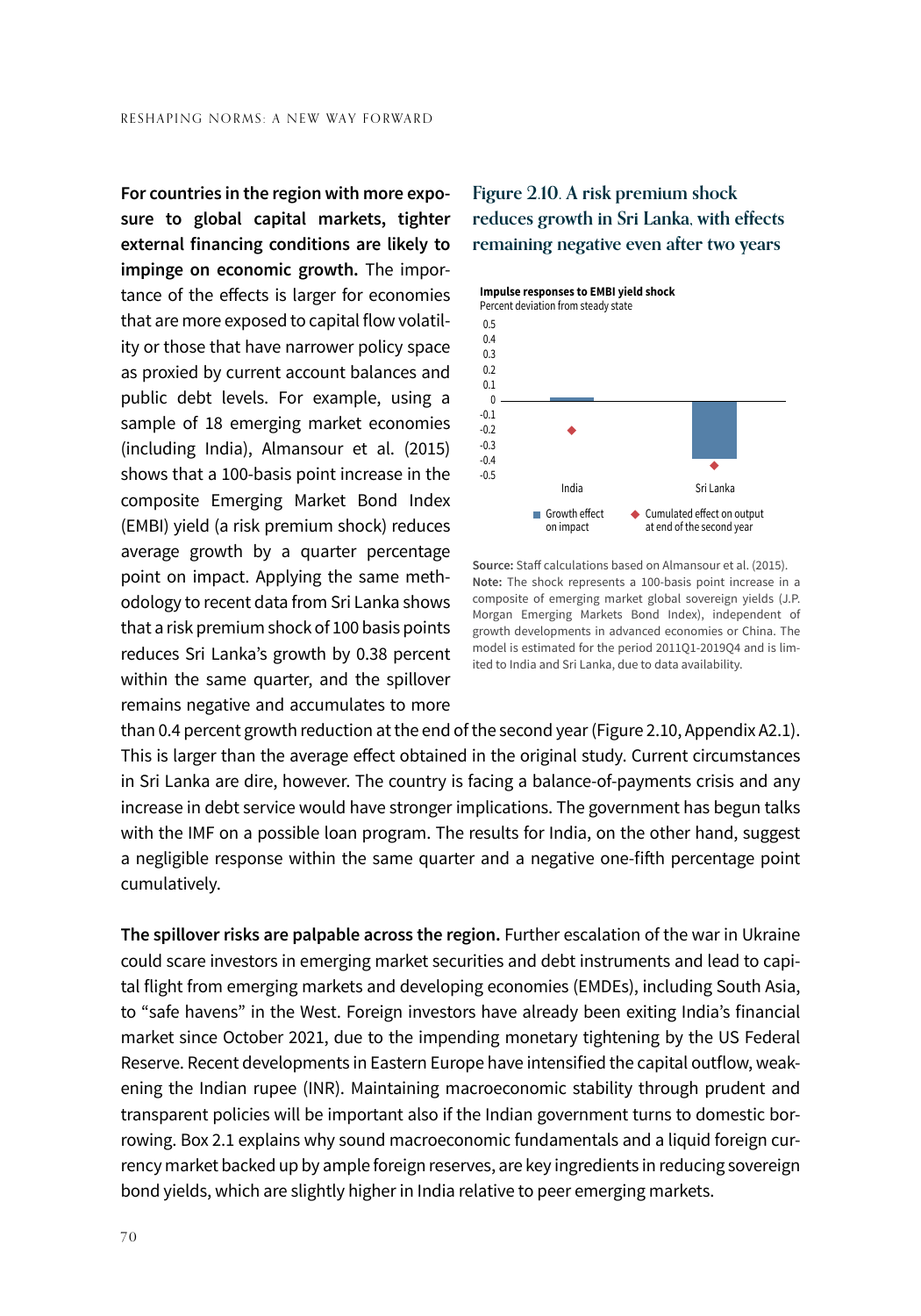**For countries in the region with more exposure to global capital markets, tighter external financing conditions are likely to impinge on economic growth.** The importance of the effects is larger for economies that are more exposed to capital flow volatility or those that have narrower policy space as proxied by current account balances and public debt levels. For example, using a sample of 18 emerging market economies (including India), Almansour et al. (2015) shows that a 100-basis point increase in the composite Emerging Market Bond Index (EMBI) yield (a risk premium shock) reduces average growth by a quarter percentage point on impact. Applying the same methodology to recent data from Sri Lanka shows that a risk premium shock of 100 basis points reduces Sri Lanka's growth by 0.38 percent within the same quarter, and the spillover remains negative and accumulates to more

## **Figure 2.10. A risk premium shock reduces growth in Sri Lanka, with effects remaining negative even after two years**



**Source:** Staff calculations based on Almansour et al. (2015). **Note:** The shock represents a 100-basis point increase in a composite of emerging market global sovereign yields (J.P. Morgan Emerging Markets Bond Index), independent of growth developments in advanced economies or China. The model is estimated for the period 2011Q1-2019Q4 and is limited to India and Sri Lanka, due to data availability.

than 0.4 percent growth reduction at the end of the second year (Figure 2.10, Appendix A2.1). This is larger than the average effect obtained in the original study. Current circumstances in Sri Lanka are dire, however. The country is facing a balance-of-payments crisis and any increase in debt service would have stronger implications. The government has begun talks with the IMF on a possible loan program. The results for India, on the other hand, suggest a negligible response within the same quarter and a negative one-fifth percentage point cumulatively.

**The spillover risks are palpable across the region.** Further escalation of the war in Ukraine could scare investors in emerging market securities and debt instruments and lead to capital flight from emerging markets and developing economies (EMDEs), including South Asia, to "safe havens" in the West. Foreign investors have already been exiting India's financial market since October 2021, due to the impending monetary tightening by the US Federal Reserve. Recent developments in Eastern Europe have intensified the capital outflow, weakening the Indian rupee (INR). Maintaining macroeconomic stability through prudent and transparent policies will be important also if the Indian government turns to domestic borrowing. Box 2.1 explains why sound macroeconomic fundamentals and a liquid foreign currency market backed up by ample foreign reserves, are key ingredients in reducing sovereign bond yields, which are slightly higher in India relative to peer emerging markets.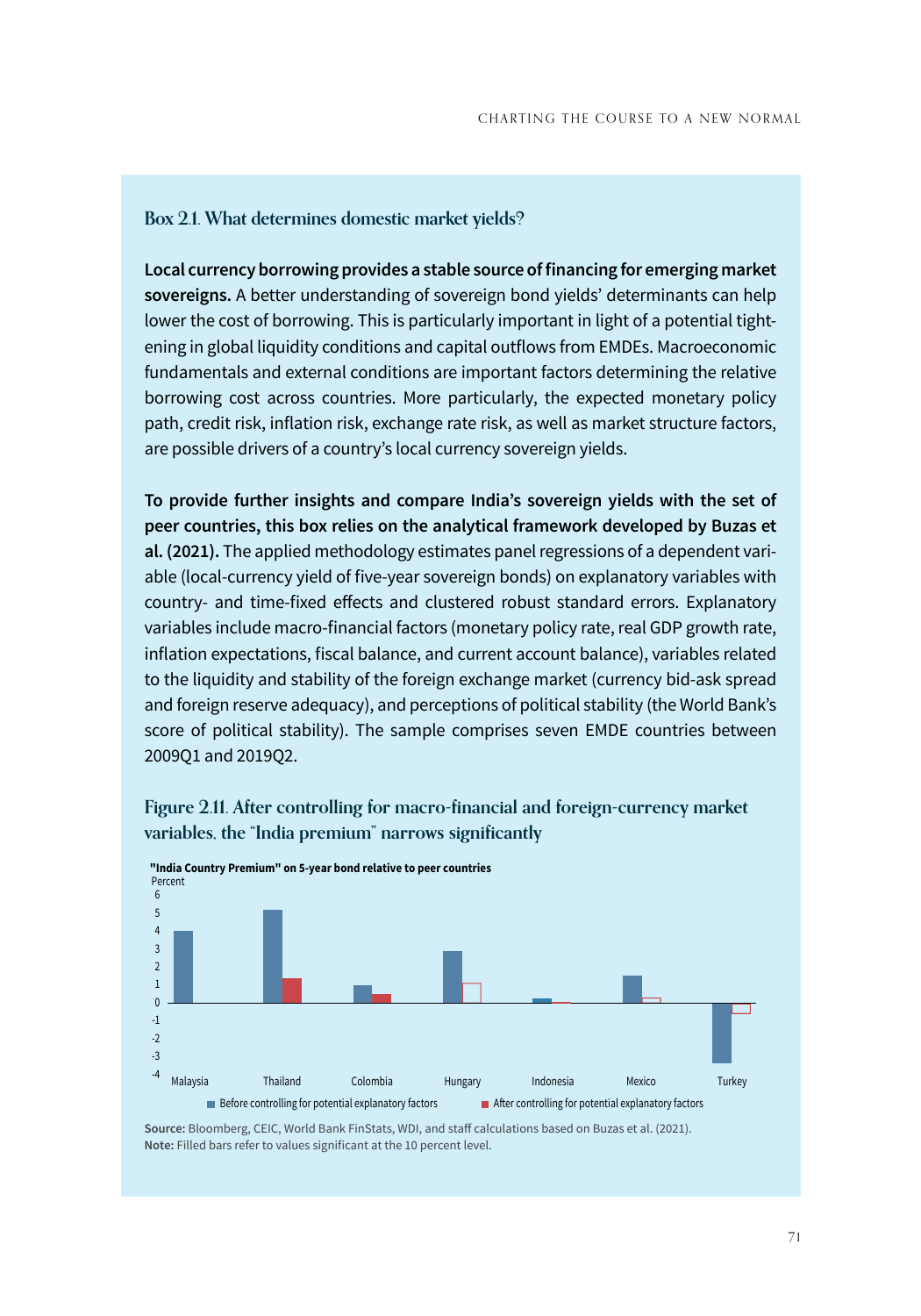**Box 2.1. What determines domestic market yields?**

**Local currency borrowing provides a stable source of financing for emerging market sovereigns.** A better understanding of sovereign bond yields' determinants can help lower the cost of borrowing. This is particularly important in light of a potential tightening in global liquidity conditions and capital outflows from EMDEs. Macroeconomic fundamentals and external conditions are important factors determining the relative borrowing cost across countries. More particularly, the expected monetary policy path, credit risk, inflation risk, exchange rate risk, as well as market structure factors, are possible drivers of a country's local currency sovereign yields.

**To provide further insights and compare India's sovereign yields with the set of peer countries, this box relies on the analytical framework developed by Buzas et al. (2021).** The applied methodology estimates panel regressions of a dependent variable (local-currency yield of five-year sovereign bonds) on explanatory variables with country- and time-fixed effects and clustered robust standard errors. Explanatory variables include macro-financial factors (monetary policy rate, real GDP growth rate, inflation expectations, fiscal balance, and current account balance), variables related to the liquidity and stability of the foreign exchange market (currency bid-ask spread and foreign reserve adequacy), and perceptions of political stability (the World Bank's score of political stability). The sample comprises seven EMDE countries between 2009Q1 and 2019Q2.



**Figure 2.11. After controlling for macro-financial and foreign-currency market variables, the "India premium" narrows significantly**

**Source:** Bloomberg, CEIC, World Bank FinStats, WDI, and staff calculations based on Buzas et al. (2021). **Note:** Filled bars refer to values significant at the 10 percent level.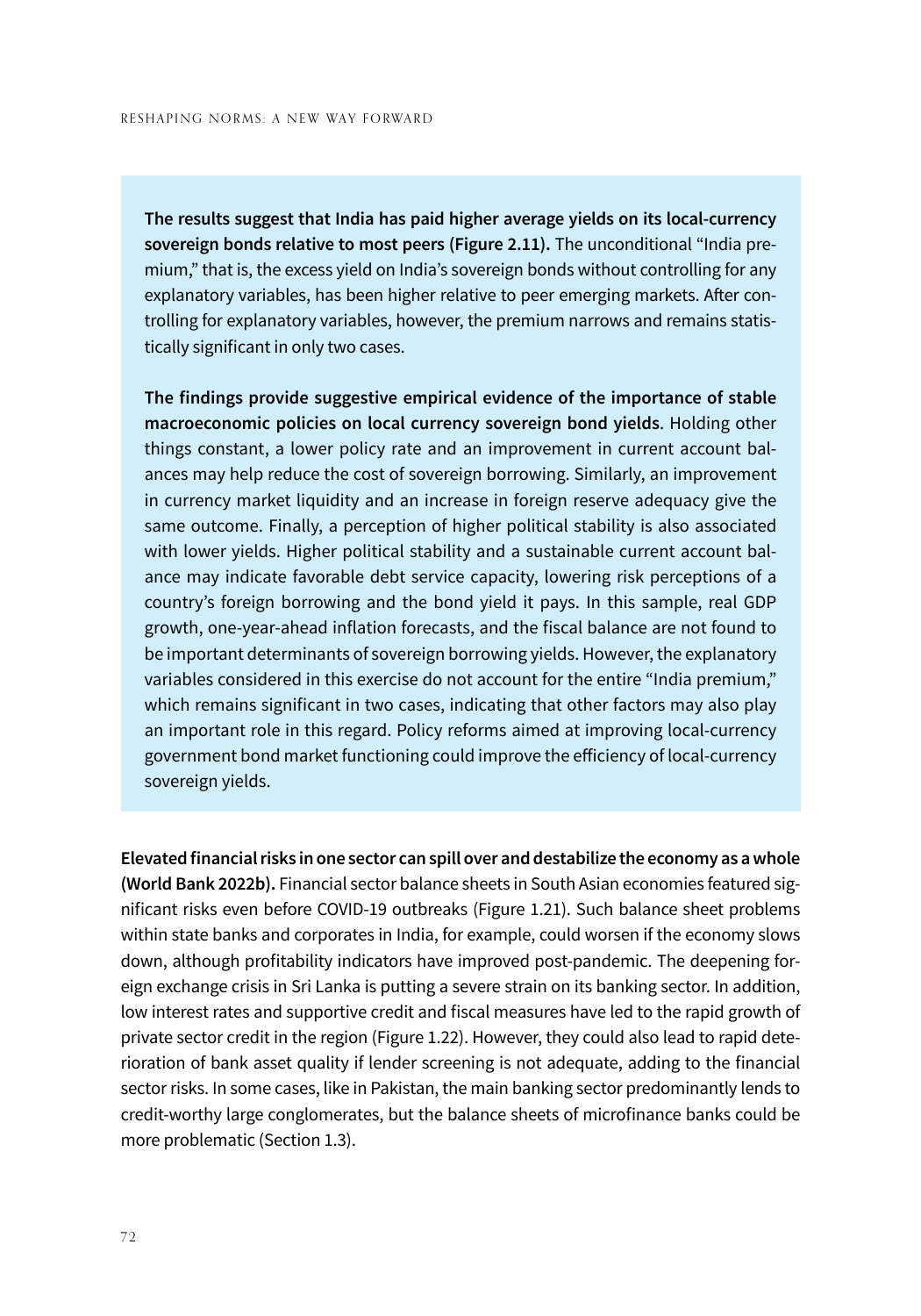**The results suggest that India has paid higher average yields on its local-currency sovereign bonds relative to most peers (Figure 2.11).** The unconditional "India premium," that is, the excess yield on India's sovereign bonds without controlling for any explanatory variables, has been higher relative to peer emerging markets. After controlling for explanatory variables, however, the premium narrows and remains statistically significant in only two cases.

**The findings provide suggestive empirical evidence of the importance of stable macroeconomic policies on local currency sovereign bond yields**. Holding other things constant, a lower policy rate and an improvement in current account balances may help reduce the cost of sovereign borrowing. Similarly, an improvement in currency market liquidity and an increase in foreign reserve adequacy give the same outcome. Finally, a perception of higher political stability is also associated with lower yields. Higher political stability and a sustainable current account balance may indicate favorable debt service capacity, lowering risk perceptions of a country's foreign borrowing and the bond yield it pays. In this sample, real GDP growth, one-year-ahead inflation forecasts, and the fiscal balance are not found to be important determinants of sovereign borrowing yields. However, the explanatory variables considered in this exercise do not account for the entire "India premium," which remains significant in two cases, indicating that other factors may also play an important role in this regard. Policy reforms aimed at improving local-currency government bond market functioning could improve the efficiency of local-currency sovereign yields.

**Elevated financial risks in one sector can spill over and destabilize the economy as a whole (World Bank 2022b).** Financial sector balance sheets in South Asian economies featured significant risks even before COVID-19 outbreaks (Figure 1.21). Such balance sheet problems within state banks and corporates in India, for example, could worsen if the economy slows down, although profitability indicators have improved post-pandemic. The deepening foreign exchange crisis in Sri Lanka is putting a severe strain on its banking sector. In addition, low interest rates and supportive credit and fiscal measures have led to the rapid growth of private sector credit in the region (Figure 1.22). However, they could also lead to rapid deterioration of bank asset quality if lender screening is not adequate, adding to the financial sector risks. In some cases, like in Pakistan, the main banking sector predominantly lends to credit-worthy large conglomerates, but the balance sheets of microfinance banks could be more problematic (Section 1.3).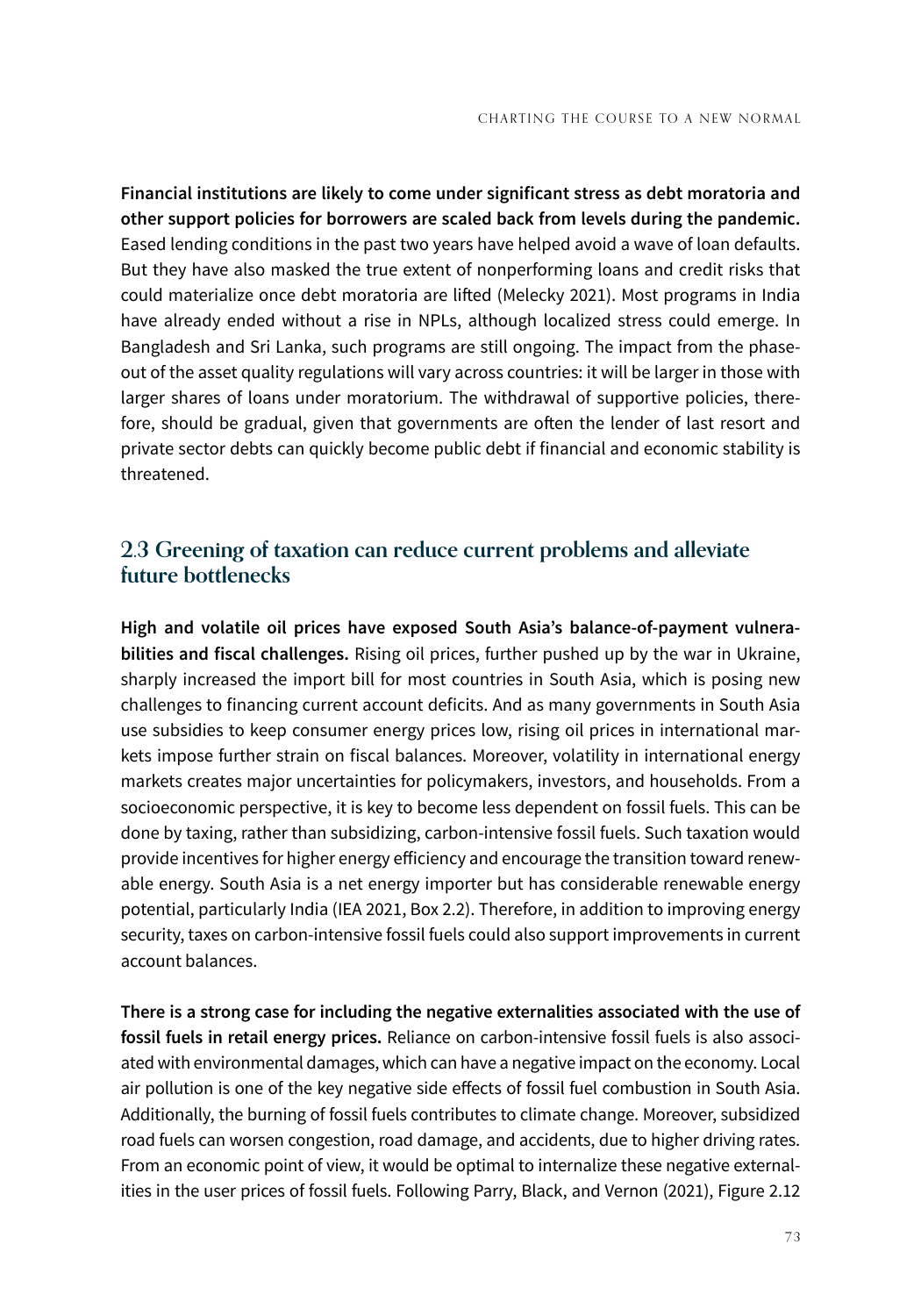**Financial institutions are likely to come under significant stress as debt moratoria and other support policies for borrowers are scaled back from levels during the pandemic.** Eased lending conditions in the past two years have helped avoid a wave of loan defaults. But they have also masked the true extent of nonperforming loans and credit risks that could materialize once debt moratoria are lifted (Melecky 2021). Most programs in India have already ended without a rise in NPLs, although localized stress could emerge. In Bangladesh and Sri Lanka, such programs are still ongoing. The impact from the phaseout of the asset quality regulations will vary across countries: it will be larger in those with larger shares of loans under moratorium. The withdrawal of supportive policies, therefore, should be gradual, given that governments are often the lender of last resort and private sector debts can quickly become public debt if financial and economic stability is threatened.

## **2.3 Greening of taxation can reduce current problems and alleviate future bottlenecks**

**High and volatile oil prices have exposed South Asia's balance-of-payment vulnerabilities and fiscal challenges.** Rising oil prices, further pushed up by the war in Ukraine, sharply increased the import bill for most countries in South Asia, which is posing new challenges to financing current account deficits. And as many governments in South Asia use subsidies to keep consumer energy prices low, rising oil prices in international markets impose further strain on fiscal balances. Moreover, volatility in international energy markets creates major uncertainties for policymakers, investors, and households. From a socioeconomic perspective, it is key to become less dependent on fossil fuels. This can be done by taxing, rather than subsidizing, carbon-intensive fossil fuels. Such taxation would provide incentives for higher energy efficiency and encourage the transition toward renewable energy. South Asia is a net energy importer but has considerable renewable energy potential, particularly India (IEA 2021, Box 2.2). Therefore, in addition to improving energy security, taxes on carbon-intensive fossil fuels could also support improvements in current account balances.

**There is a strong case for including the negative externalities associated with the use of fossil fuels in retail energy prices.** Reliance on carbon-intensive fossil fuels is also associated with environmental damages, which can have a negative impact on the economy. Local air pollution is one of the key negative side effects of fossil fuel combustion in South Asia. Additionally, the burning of fossil fuels contributes to climate change. Moreover, subsidized road fuels can worsen congestion, road damage, and accidents, due to higher driving rates. From an economic point of view, it would be optimal to internalize these negative externalities in the user prices of fossil fuels. Following Parry, Black, and Vernon (2021), Figure 2.12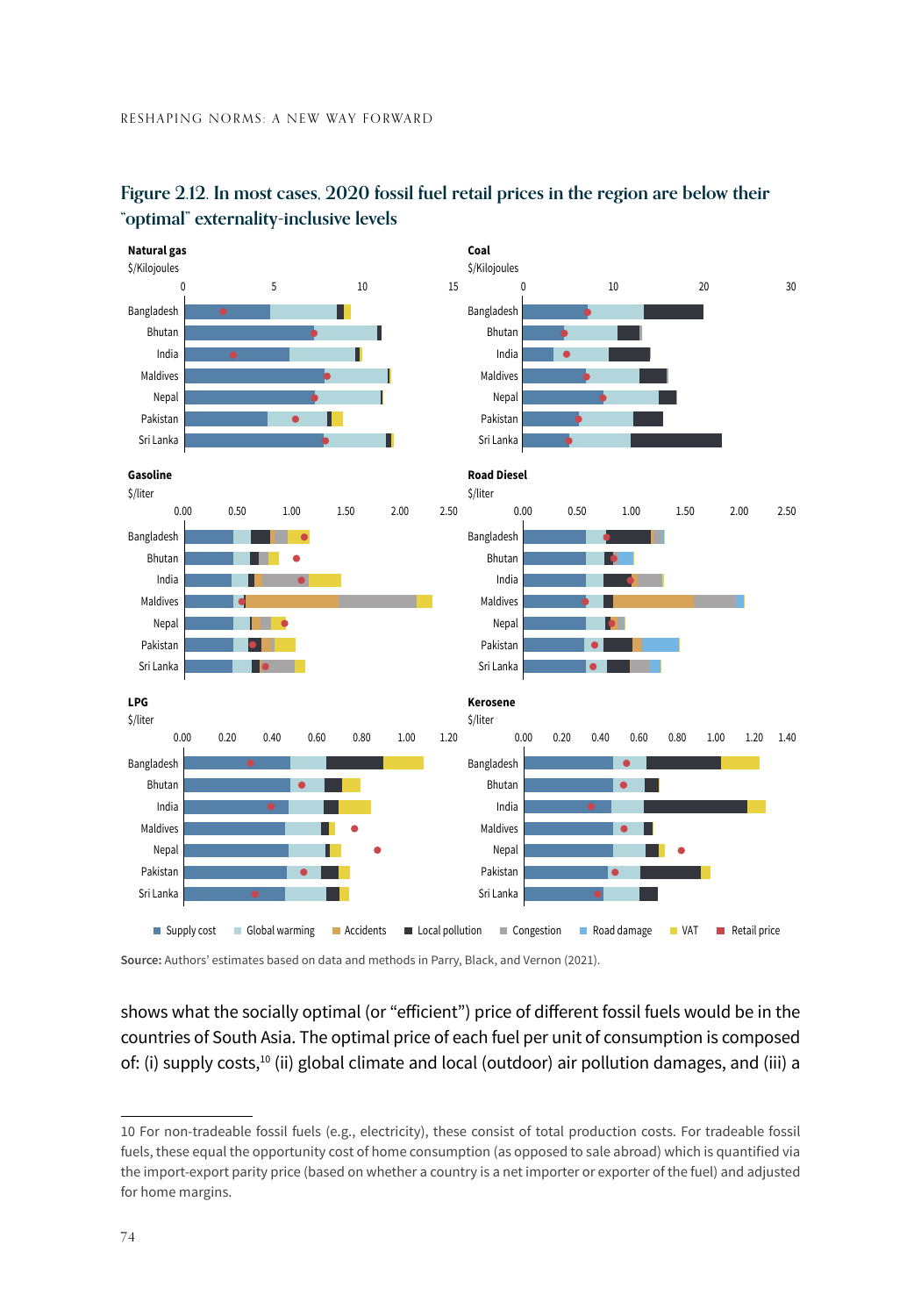

## **Figure 2.12. In most cases, 2020 fossil fuel retail prices in the region are below their "optimal" externality-inclusive levels**

**Source:** Authors' estimates based on data and methods in Parry, Black, and Vernon (2021).

shows what the socially optimal (or "efficient") price of different fossil fuels would be in the countries of South Asia. The optimal price of each fuel per unit of consumption is composed of: (i) supply costs,<sup>10</sup> (ii) global climate and local (outdoor) air pollution damages, and (iii) a

<sup>10</sup> For non-tradeable fossil fuels (e.g., electricity), these consist of total production costs. For tradeable fossil fuels, these equal the opportunity cost of home consumption (as opposed to sale abroad) which is quantified via the import-export parity price (based on whether a country is a net importer or exporter of the fuel) and adjusted for home margins.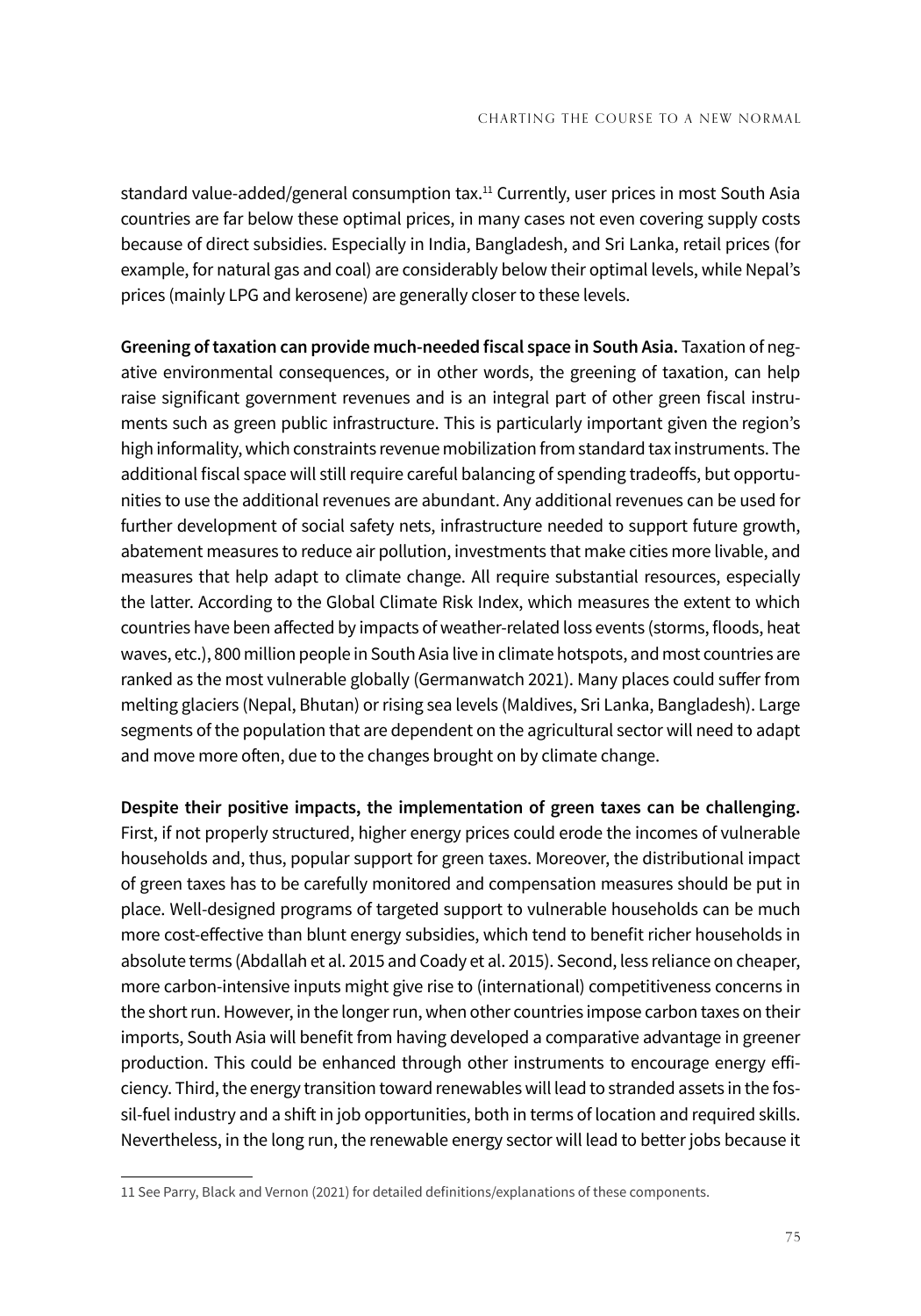standard value-added/general consumption tax.<sup>11</sup> Currently, user prices in most South Asia countries are far below these optimal prices, in many cases not even covering supply costs because of direct subsidies. Especially in India, Bangladesh, and Sri Lanka, retail prices (for example, for natural gas and coal) are considerably below their optimal levels, while Nepal's prices (mainly LPG and kerosene) are generally closer to these levels.

**Greening of taxation can provide much-needed fiscal space in South Asia.** Taxation of negative environmental consequences, or in other words, the greening of taxation, can help raise significant government revenues and is an integral part of other green fiscal instruments such as green public infrastructure. This is particularly important given the region's high informality, which constraints revenue mobilization from standard tax instruments. The additional fiscal space will still require careful balancing of spending tradeoffs, but opportunities to use the additional revenues are abundant. Any additional revenues can be used for further development of social safety nets, infrastructure needed to support future growth, abatement measures to reduce air pollution, investments that make cities more livable, and measures that help adapt to climate change. All require substantial resources, especially the latter. According to the Global Climate Risk Index, which measures the extent to which countries have been affected by impacts of weather-related loss events (storms, floods, heat waves, etc.), 800 million people in South Asia live in climate hotspots, and most countries are ranked as the most vulnerable globally (Germanwatch 2021). Many places could suffer from melting glaciers (Nepal, Bhutan) or rising sea levels (Maldives, Sri Lanka, Bangladesh). Large segments of the population that are dependent on the agricultural sector will need to adapt and move more often, due to the changes brought on by climate change.

**Despite their positive impacts, the implementation of green taxes can be challenging.** First, if not properly structured, higher energy prices could erode the incomes of vulnerable households and, thus, popular support for green taxes. Moreover, the distributional impact of green taxes has to be carefully monitored and compensation measures should be put in place. Well-designed programs of targeted support to vulnerable households can be much more cost-effective than blunt energy subsidies, which tend to benefit richer households in absolute terms (Abdallah et al. 2015 and Coady et al. 2015). Second, less reliance on cheaper, more carbon-intensive inputs might give rise to (international) competitiveness concerns in the short run. However, in the longer run, when other countries impose carbon taxes on their imports, South Asia will benefit from having developed a comparative advantage in greener production. This could be enhanced through other instruments to encourage energy efficiency. Third, the energy transition toward renewables will lead to stranded assets in the fossil-fuel industry and a shift in job opportunities, both in terms of location and required skills. Nevertheless, in the long run, the renewable energy sector will lead to better jobs because it

<sup>11</sup> See Parry, Black and Vernon (2021) for detailed definitions/explanations of these components.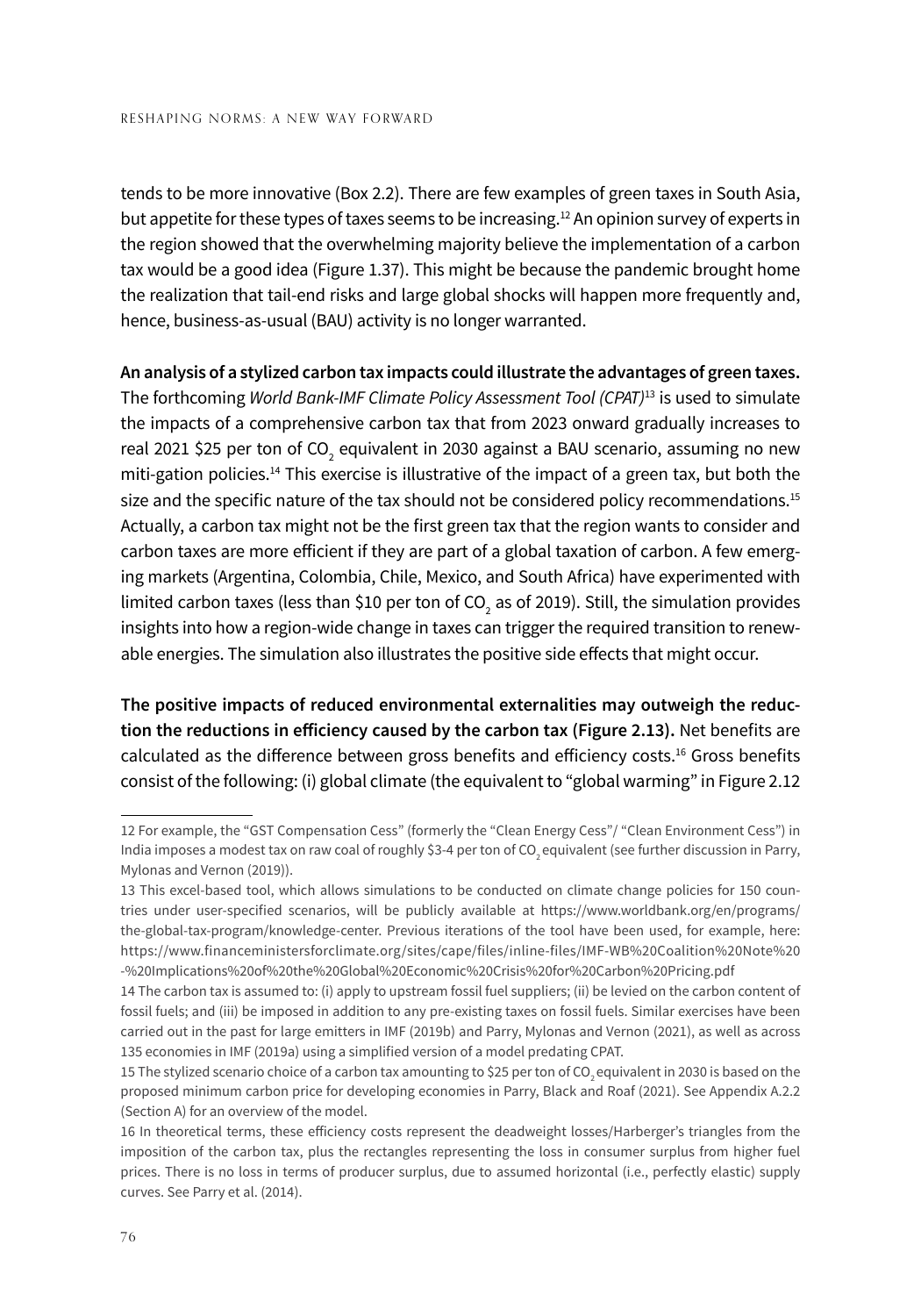tends to be more innovative (Box 2.2). There are few examples of green taxes in South Asia, but appetite for these types of taxes seems to be increasing.<sup>12</sup> An opinion survey of experts in the region showed that the overwhelming majority believe the implementation of a carbon tax would be a good idea (Figure 1.37). This might be because the pandemic brought home the realization that tail-end risks and large global shocks will happen more frequently and, hence, business-as-usual (BAU) activity is no longer warranted.

#### **An analysis of a stylized carbon tax impacts could illustrate the advantages of green taxes.**

The forthcoming *World Bank-IMF Climate Policy Assessment Tool (CPAT)*13 is used to simulate the impacts of a comprehensive carbon tax that from 2023 onward gradually increases to real 2021 \$25 per ton of CO<sub>2</sub> equivalent in 2030 against a BAU scenario, assuming no new miti-gation policies.14 This exercise is illustrative of the impact of a green tax, but both the size and the specific nature of the tax should not be considered policy recommendations.<sup>15</sup> Actually, a carbon tax might not be the first green tax that the region wants to consider and carbon taxes are more efficient if they are part of a global taxation of carbon. A few emerging markets (Argentina, Colombia, Chile, Mexico, and South Africa) have experimented with limited carbon taxes (less than \$10 per ton of CO<sub>2</sub> as of 2019). Still, the simulation provides insights into how a region-wide change in taxes can trigger the required transition to renewable energies. The simulation also illustrates the positive side effects that might occur.

**The positive impacts of reduced environmental externalities may outweigh the reduction the reductions in efficiency caused by the carbon tax (Figure 2.13).** Net benefits are calculated as the difference between gross benefits and efficiency costs.16 Gross benefits consist of the following: (i) global climate (the equivalent to "global warming" in Figure 2.12

<sup>12</sup> For example, the "GST Compensation Cess" (formerly the "Clean Energy Cess"/ "Clean Environment Cess") in India imposes a modest tax on raw coal of roughly \$3-4 per ton of CO<sub>2</sub> equivalent (see further discussion in Parry, Mylonas and Vernon (2019)).

<sup>13</sup> This excel-based tool, which allows simulations to be conducted on climate change policies for 150 countries under user-specified scenarios, will be publicly available at [https://www.worldbank.org/en/programs/](https://www.worldbank.org/en/programs/the-global-tax-program/knowledge-center) [the-global-tax-program/knowledge-center](https://www.worldbank.org/en/programs/the-global-tax-program/knowledge-center). Previous iterations of the tool have been used, for example, here: [https://www.financeministersforclimate.org/sites/cape/files/inline-files/IMF-WB%20Coalition%20Note%20](https://www.financeministersforclimate.org/sites/cape/files/inline-files/IMF-WB%20Coalition%20Note%20-%20Implications%20of%20the%20Global%20Economic%20Crisis%20for%20Carbon%20Pricing.pdf) [-%20Implications%20of%20the%20Global%20Economic%20Crisis%20for%20Carbon%20Pricing.pdf](https://www.financeministersforclimate.org/sites/cape/files/inline-files/IMF-WB%20Coalition%20Note%20-%20Implications%20of%20the%20Global%20Economic%20Crisis%20for%20Carbon%20Pricing.pdf)

<sup>14</sup> The carbon tax is assumed to: (i) apply to upstream fossil fuel suppliers; (ii) be levied on the carbon content of fossil fuels; and (iii) be imposed in addition to any pre-existing taxes on fossil fuels. Similar exercises have been carried out in the past for large emitters in IMF (2019b) and Parry, Mylonas and Vernon (2021), as well as across 135 economies in IMF (2019a) using a simplified version of a model predating CPAT.

<sup>15</sup> The stylized scenario choice of a carbon tax amounting to \$25 per ton of CO<sub>2</sub> equivalent in 2030 is based on the proposed minimum carbon price for developing economies in Parry, Black and Roaf (2021). See Appendix A.2.2 (Section A) for an overview of the model.

<sup>16</sup> In theoretical terms, these efficiency costs represent the deadweight losses/Harberger's triangles from the imposition of the carbon tax, plus the rectangles representing the loss in consumer surplus from higher fuel prices. There is no loss in terms of producer surplus, due to assumed horizontal (i.e., perfectly elastic) supply curves. See Parry et al. (2014).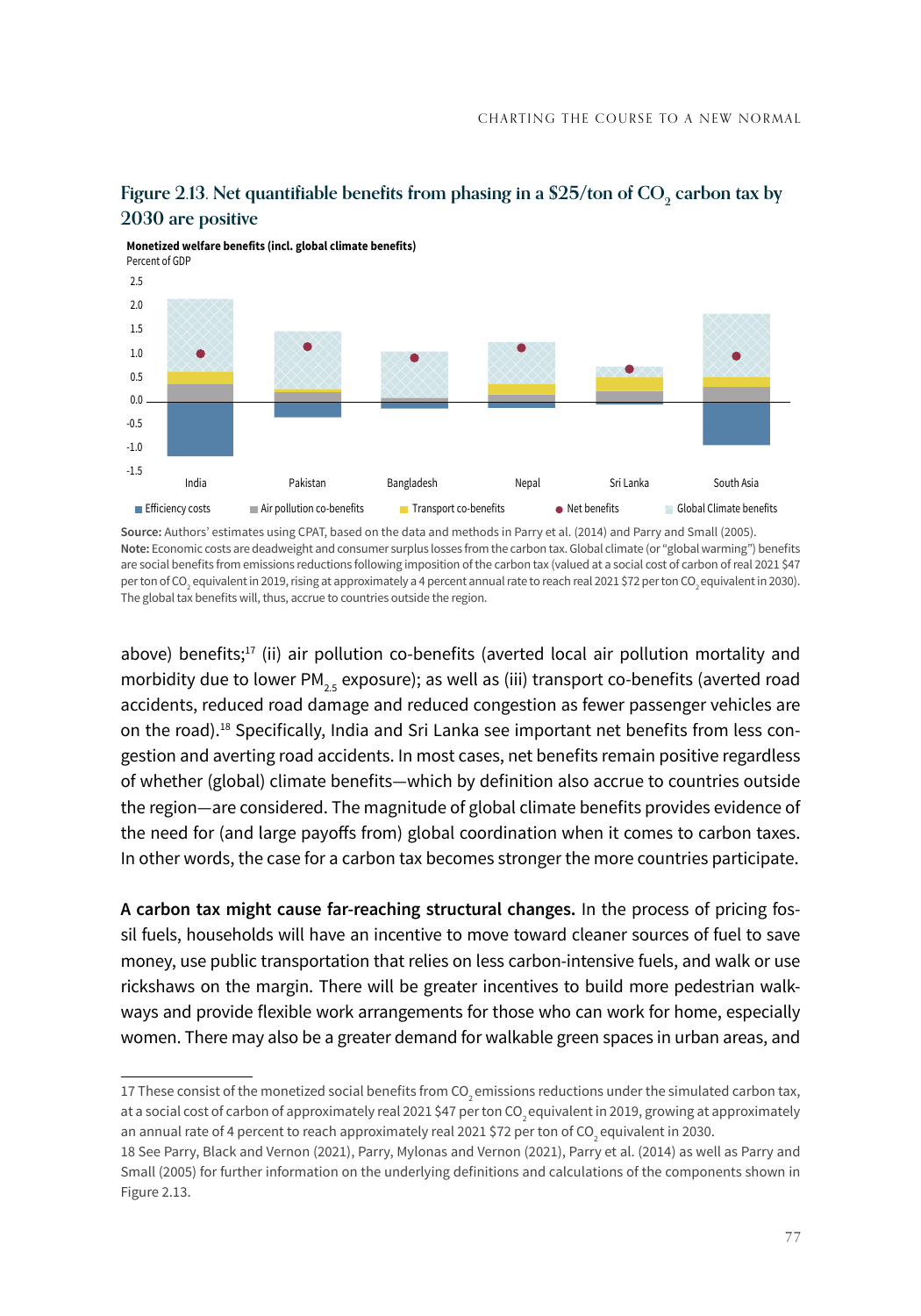

## Figure 2.13. Net quantifiable benefits from phasing in a \$25/ton of CO<sub>2</sub> carbon tax by **2030 are positive**

**Monetized welfare benefits (incl. global climate benefits)**

**Source:** Authors' estimates using CPAT, based on the data and methods in Parry et al. (2014) and Parry and Small (2005). **Note:** Economic costs are deadweight and consumer surplus losses from the carbon tax. Global climate (or "global warming") benefits are social benefits from emissions reductions following imposition of the carbon tax (valued at a social cost of carbon of real 2021 \$47 per ton of CO<sub>2</sub> equivalent in 2019, rising at approximately a 4 percent annual rate to reach real 2021 \$72 per ton CO<sub>2</sub> equivalent in 2030). The global tax benefits will, thus, accrue to countries outside the region.

above) benefits;<sup>17</sup> (ii) air pollution co-benefits (averted local air pollution mortality and morbidity due to lower PM<sub>3.5</sub> exposure); as well as (iii) transport co-benefits (averted road accidents, reduced road damage and reduced congestion as fewer passenger vehicles are on the road).18 Specifically, India and Sri Lanka see important net benefits from less congestion and averting road accidents. In most cases, net benefits remain positive regardless of whether (global) climate benefits—which by definition also accrue to countries outside the region—are considered. The magnitude of global climate benefits provides evidence of the need for (and large payoffs from) global coordination when it comes to carbon taxes. In other words, the case for a carbon tax becomes stronger the more countries participate.

**A carbon tax might cause far-reaching structural changes.** In the process of pricing fossil fuels, households will have an incentive to move toward cleaner sources of fuel to save money, use public transportation that relies on less carbon-intensive fuels, and walk or use rickshaws on the margin. There will be greater incentives to build more pedestrian walkways and provide flexible work arrangements for those who can work for home, especially women. There may also be a greater demand for walkable green spaces in urban areas, and

<sup>17</sup> These consist of the monetized social benefits from CO<sub>2</sub> emissions reductions under the simulated carbon tax, at a social cost of carbon of approximately real 2021 \$47 per ton CO<sub>2</sub> equivalent in 2019, growing at approximately an annual rate of 4 percent to reach approximately real 2021 \$72 per ton of CO<sub>2</sub> equivalent in 2030.

<sup>18</sup> See Parry, Black and Vernon (2021), Parry, Mylonas and Vernon (2021), Parry et al. (2014) as well as Parry and Small (2005) for further information on the underlying definitions and calculations of the components shown in Figure 2.13.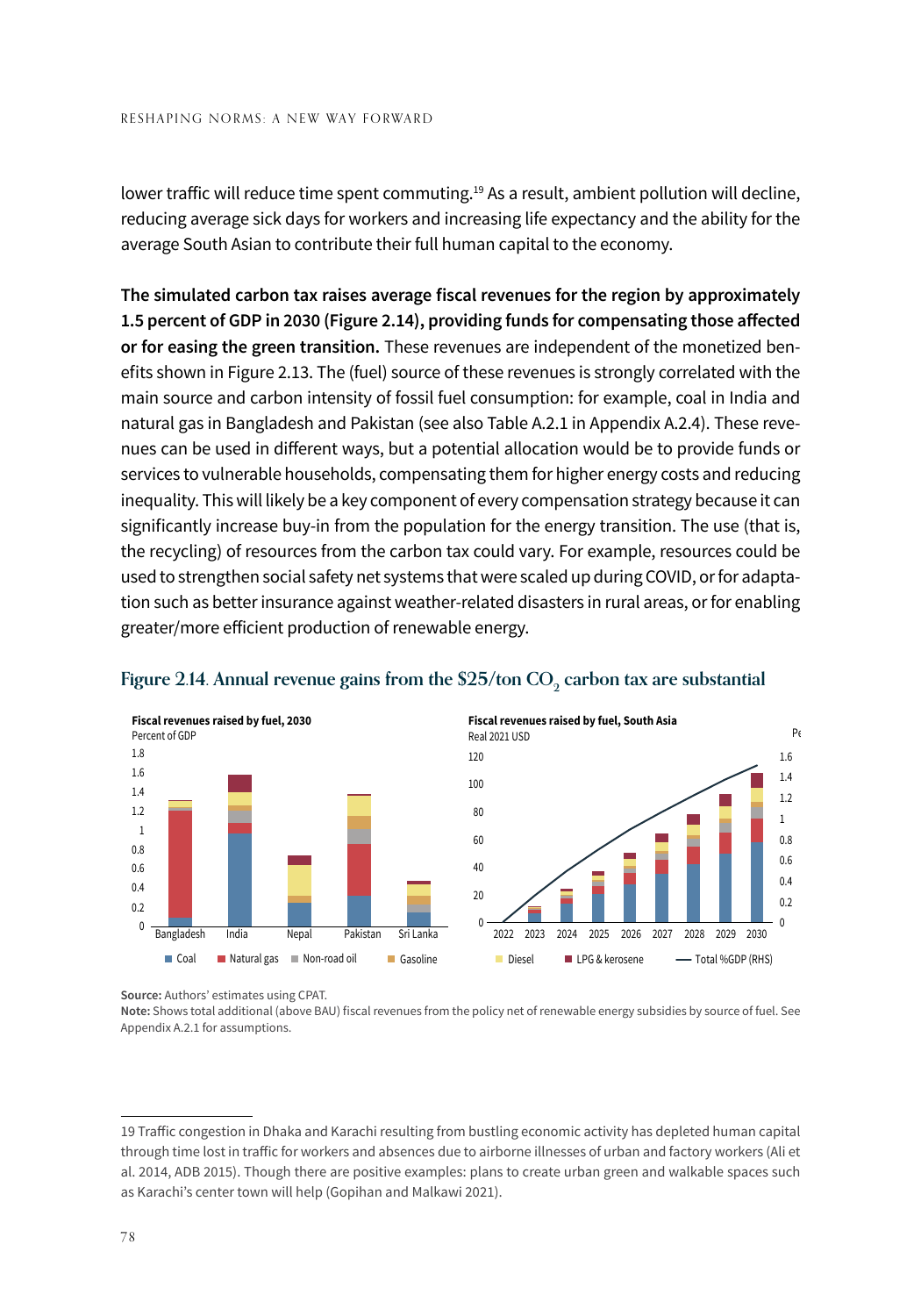lower traffic will reduce time spent commuting.<sup>19</sup> As a result, ambient pollution will decline, reducing average sick days for workers and increasing life expectancy and the ability for the average South Asian to contribute their full human capital to the economy.

**The simulated carbon tax raises average fiscal revenues for the region by approximately 1.5 percent of GDP in 2030 (Figure 2.14), providing funds for compensating those affected or for easing the green transition.** These revenues are independent of the monetized benefits shown in Figure 2.13. The (fuel) source of these revenues is strongly correlated with the main source and carbon intensity of fossil fuel consumption: for example, coal in India and natural gas in Bangladesh and Pakistan (see also Table A.2.1 in Appendix A.2.4). These revenues can be used in different ways, but a potential allocation would be to provide funds or services to vulnerable households, compensating them for higher energy costs and reducing inequality. This will likely be a key component of every compensation strategy because it can significantly increase buy-in from the population for the energy transition. The use (that is, the recycling) of resources from the carbon tax could vary. For example, resources could be used to strengthen social safety net systems that were scaled up during COVID, or for adaptation such as better insurance against weather-related disasters in rural areas, or for enabling greater/more efficient production of renewable energy.



#### Figure 2.14. Annual revenue gains from the \$25/ton CO<sub>2</sub> carbon tax are substantial

**Source:** Authors' estimates using CPAT.

**Note:** Shows total additional (above BAU) fiscal revenues from the policy net of renewable energy subsidies by source of fuel. See Appendix A.2.1 for assumptions.

<sup>19</sup> Traffic congestion in Dhaka and Karachi resulting from bustling economic activity has depleted human capital through time lost in traffic for workers and absences due to airborne illnesses of urban and factory workers (Ali et al. 2014, ADB 2015). Though there are positive examples: plans to create urban green and walkable spaces such as Karachi's center town will help (Gopihan and Malkawi 2021).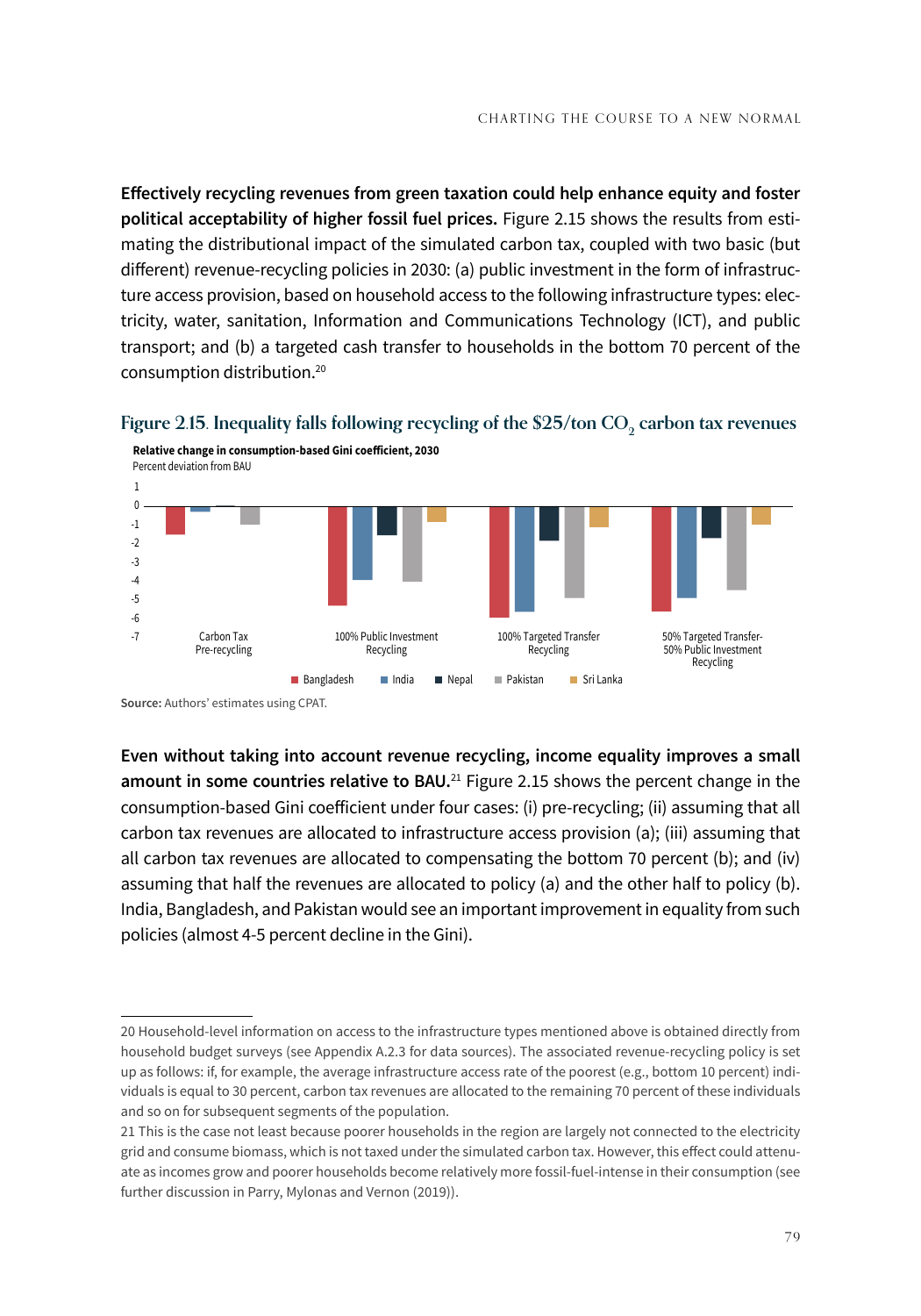**Effectively recycling revenues from green taxation could help enhance equity and foster political acceptability of higher fossil fuel prices.** Figure 2.15 shows the results from estimating the distributional impact of the simulated carbon tax, coupled with two basic (but different) revenue-recycling policies in 2030: (a) public investment in the form of infrastructure access provision, based on household access to the following infrastructure types: electricity, water, sanitation, Information and Communications Technology (ICT), and public transport; and (b) a targeted cash transfer to households in the bottom 70 percent of the consumption distribution.20





**Source:** Authors' estimates using CPAT.

**Even without taking into account revenue recycling, income equality improves a small amount in some countries relative to BAU.**<sup>21</sup> Figure 2.15 shows the percent change in the consumption-based Gini coefficient under four cases: (i) pre-recycling; (ii) assuming that all carbon tax revenues are allocated to infrastructure access provision (a); (iii) assuming that all carbon tax revenues are allocated to compensating the bottom 70 percent (b); and (iv) assuming that half the revenues are allocated to policy (a) and the other half to policy (b). India, Bangladesh, and Pakistan would see an important improvement in equality from such policies (almost 4-5 percent decline in the Gini).

<sup>20</sup> Household-level information on access to the infrastructure types mentioned above is obtained directly from household budget surveys (see Appendix A.2.3 for data sources). The associated revenue-recycling policy is set up as follows: if, for example, the average infrastructure access rate of the poorest (e.g., bottom 10 percent) individuals is equal to 30 percent, carbon tax revenues are allocated to the remaining 70 percent of these individuals and so on for subsequent segments of the population.

<sup>21</sup> This is the case not least because poorer households in the region are largely not connected to the electricity grid and consume biomass, which is not taxed under the simulated carbon tax. However, this effect could attenuate as incomes grow and poorer households become relatively more fossil-fuel-intense in their consumption (see further discussion in Parry, Mylonas and Vernon (2019)).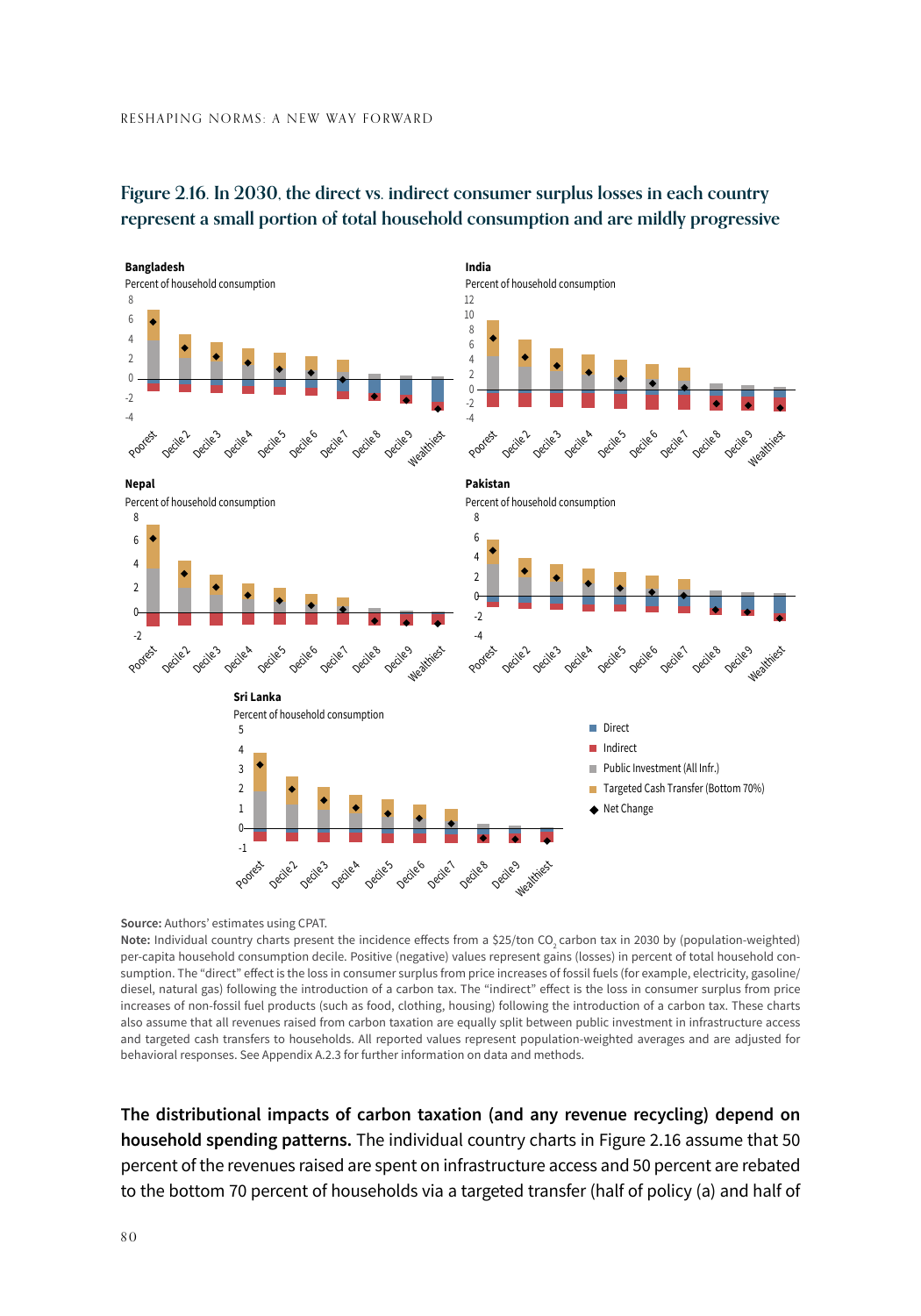

## **Figure 2.16. In 2030, the direct vs. indirect consumer surplus losses in each country represent a small portion of total household consumption and are mildly progressive**

**Source:** Authors' estimates using CPAT.

Note: Individual country charts present the incidence effects from a \$25/ton CO<sub>2</sub> carbon tax in 2030 by (population-weighted) per-capita household consumption decile. Positive (negative) values represent gains (losses) in percent of total household consumption. The "direct" effect is the loss in consumer surplus from price increases of fossil fuels (for example, electricity, gasoline/ diesel, natural gas) following the introduction of a carbon tax. The "indirect" effect is the loss in consumer surplus from price increases of non-fossil fuel products (such as food, clothing, housing) following the introduction of a carbon tax. These charts also assume that all revenues raised from carbon taxation are equally split between public investment in infrastructure access and targeted cash transfers to households. All reported values represent population-weighted averages and are adjusted for behavioral responses. See Appendix A.2.3 for further information on data and methods.

**The distributional impacts of carbon taxation (and any revenue recycling) depend on household spending patterns.** The individual country charts in Figure 2.16 assume that 50 percent of the revenues raised are spent on infrastructure access and 50 percent are rebated to the bottom 70 percent of households via a targeted transfer (half of policy (a) and half of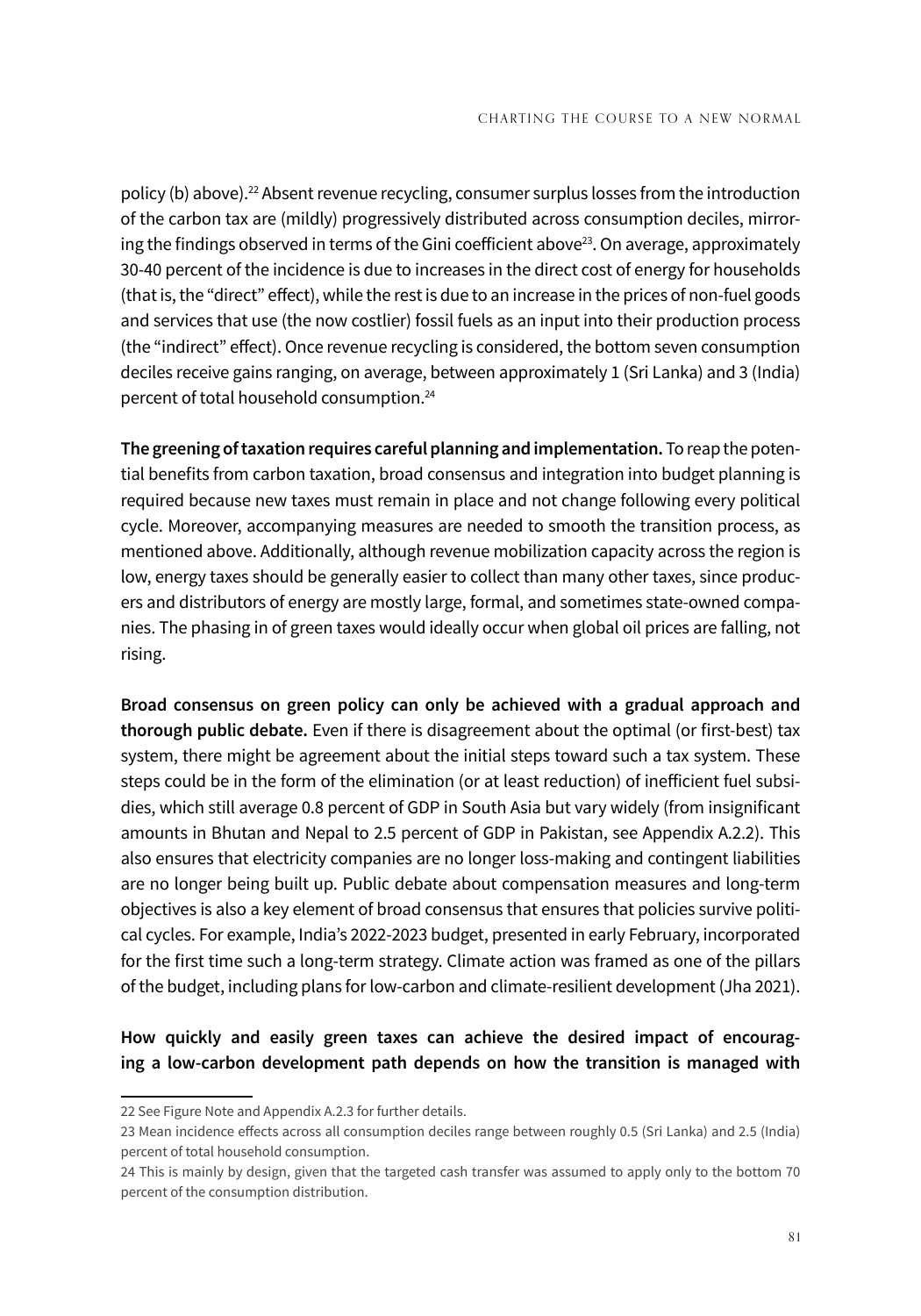policy (b) above).<sup>22</sup> Absent revenue recycling, consumer surplus losses from the introduction of the carbon tax are (mildly) progressively distributed across consumption deciles, mirroring the findings observed in terms of the Gini coefficient above $^{23}$ . On average, approximately 30-40 percent of the incidence is due to increases in the direct cost of energy for households (that is, the "direct" effect), while the rest is due to an increase in the prices of non-fuel goods and services that use (the now costlier) fossil fuels as an input into their production process (the "indirect" effect). Once revenue recycling is considered, the bottom seven consumption deciles receive gains ranging, on average, between approximately 1 (Sri Lanka) and 3 (India) percent of total household consumption.24

**The greening of taxation requires careful planning and implementation.** To reap the potential benefits from carbon taxation, broad consensus and integration into budget planning is required because new taxes must remain in place and not change following every political cycle. Moreover, accompanying measures are needed to smooth the transition process, as mentioned above. Additionally, although revenue mobilization capacity across the region is low, energy taxes should be generally easier to collect than many other taxes, since producers and distributors of energy are mostly large, formal, and sometimes state-owned companies. The phasing in of green taxes would ideally occur when global oil prices are falling, not rising.

**Broad consensus on green policy can only be achieved with a gradual approach and thorough public debate.** Even if there is disagreement about the optimal (or first-best) tax system, there might be agreement about the initial steps toward such a tax system. These steps could be in the form of the elimination (or at least reduction) of inefficient fuel subsidies, which still average 0.8 percent of GDP in South Asia but vary widely (from insignificant amounts in Bhutan and Nepal to 2.5 percent of GDP in Pakistan, see Appendix A.2.2). This also ensures that electricity companies are no longer loss-making and contingent liabilities are no longer being built up. Public debate about compensation measures and long-term objectives is also a key element of broad consensus that ensures that policies survive political cycles. For example, India's 2022-2023 budget, presented in early February, incorporated for the first time such a long-term strategy. Climate action was framed as one of the pillars of the budget, including plans for low-carbon and climate-resilient development (Jha 2021).

**How quickly and easily green taxes can achieve the desired impact of encouraging a low-carbon development path depends on how the transition is managed with** 

<sup>22</sup> See Figure Note and Appendix A.2.3 for further details.

<sup>23</sup> Mean incidence effects across all consumption deciles range between roughly 0.5 (Sri Lanka) and 2.5 (India) percent of total household consumption.

<sup>24</sup> This is mainly by design, given that the targeted cash transfer was assumed to apply only to the bottom 70 percent of the consumption distribution.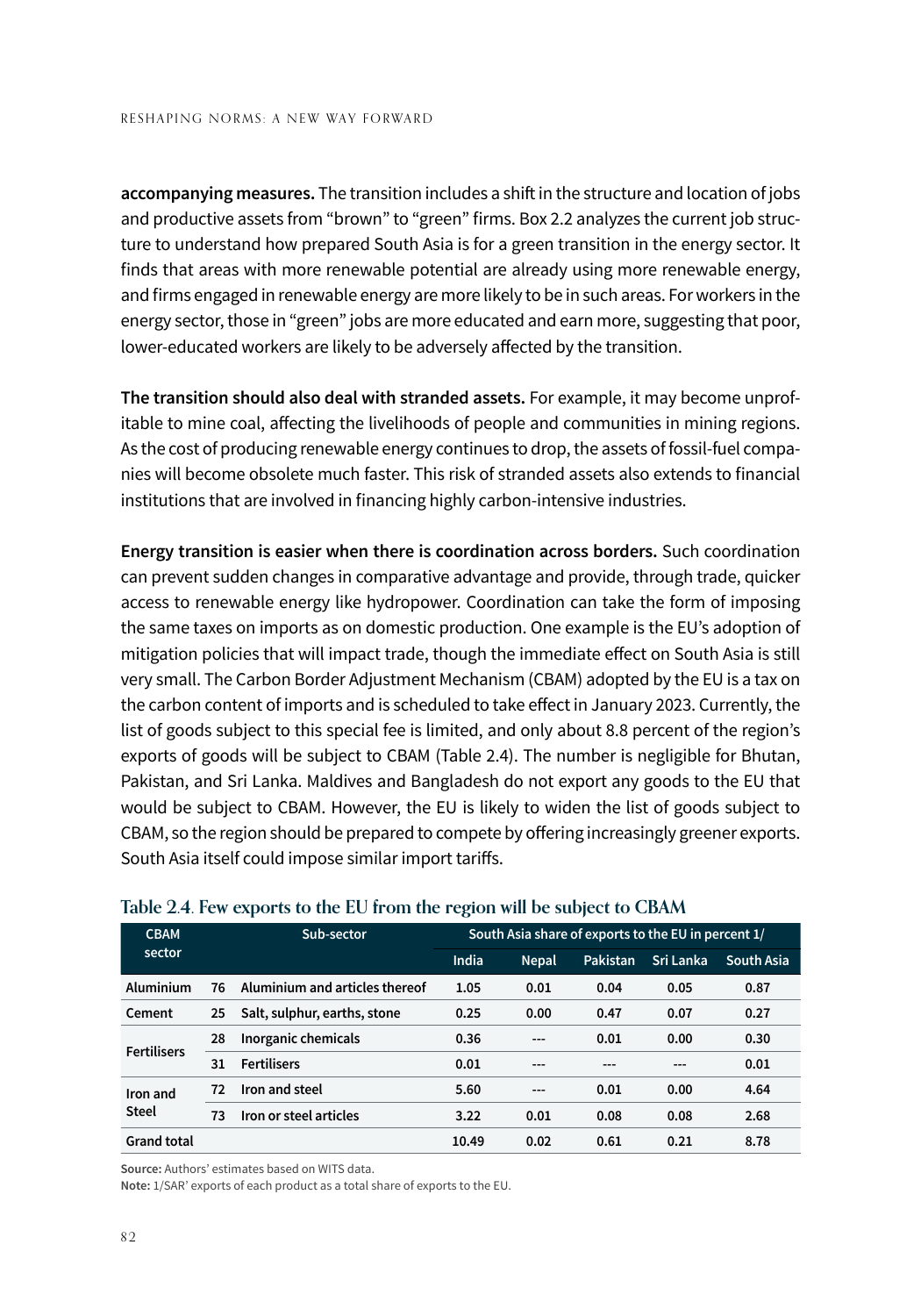**accompanying measures.** The transition includes a shift in the structure and location of jobs and productive assets from "brown" to "green" firms. Box 2.2 analyzes the current job structure to understand how prepared South Asia is for a green transition in the energy sector. It finds that areas with more renewable potential are already using more renewable energy, and firms engaged in renewable energy are more likely to be in such areas. For workers in the energy sector, those in "green" jobs are more educated and earn more, suggesting that poor, lower-educated workers are likely to be adversely affected by the transition.

**The transition should also deal with stranded assets.** For example, it may become unprofitable to mine coal, affecting the livelihoods of people and communities in mining regions. As the cost of producing renewable energy continues to drop, the assets of fossil-fuel companies will become obsolete much faster. This risk of stranded assets also extends to financial institutions that are involved in financing highly carbon-intensive industries.

**Energy transition is easier when there is coordination across borders.** Such coordination can prevent sudden changes in comparative advantage and provide, through trade, quicker access to renewable energy like hydropower. Coordination can take the form of imposing the same taxes on imports as on domestic production. One example is the EU's adoption of mitigation policies that will impact trade, though the immediate effect on South Asia is still very small. The Carbon Border Adjustment Mechanism (CBAM) adopted by the EU is a tax on the carbon content of imports and is scheduled to take effect in January 2023. Currently, the list of goods subject to this special fee is limited, and only about 8.8 percent of the region's exports of goods will be subject to CBAM (Table 2.4). The number is negligible for Bhutan, Pakistan, and Sri Lanka. Maldives and Bangladesh do not export any goods to the EU that would be subject to CBAM. However, the EU is likely to widen the list of goods subject to CBAM, so the region should be prepared to compete by offering increasingly greener exports. South Asia itself could impose similar import tariffs.

| <b>CBAM</b>              |    | Sub-sector                     | South Asia share of exports to the EU in percent 1/ |              |          |           |            |
|--------------------------|----|--------------------------------|-----------------------------------------------------|--------------|----------|-----------|------------|
| sector                   |    |                                |                                                     | <b>Nepal</b> | Pakistan | Sri Lanka | South Asia |
| Aluminium                | 76 | Aluminium and articles thereof | 1.05                                                | 0.01         | 0.04     | 0.05      | 0.87       |
| Cement                   | 25 | Salt, sulphur, earths, stone   | 0.25                                                | 0.00         | 0.47     | 0.07      | 0.27       |
| <b>Fertilisers</b>       | 28 | Inorganic chemicals            | 0.36                                                | $---$        | 0.01     | 0.00      | 0.30       |
|                          | 31 | <b>Fertilisers</b>             | 0.01                                                | $---$        | $---$    | ---       | 0.01       |
| Iron and<br><b>Steel</b> | 72 | Iron and steel                 | 5.60                                                | $---$        | 0.01     | 0.00      | 4.64       |
|                          | 73 | Iron or steel articles         | 3.22                                                | 0.01         | 0.08     | 0.08      | 2.68       |
| <b>Grand total</b>       |    |                                | 10.49                                               | 0.02         | 0.61     | 0.21      | 8.78       |

#### **Table 2.4. Few exports to the EU from the region will be subject to CBAM**

**Source:** Authors' estimates based on WITS data.

**Note:** 1/SAR' exports of each product as a total share of exports to the EU.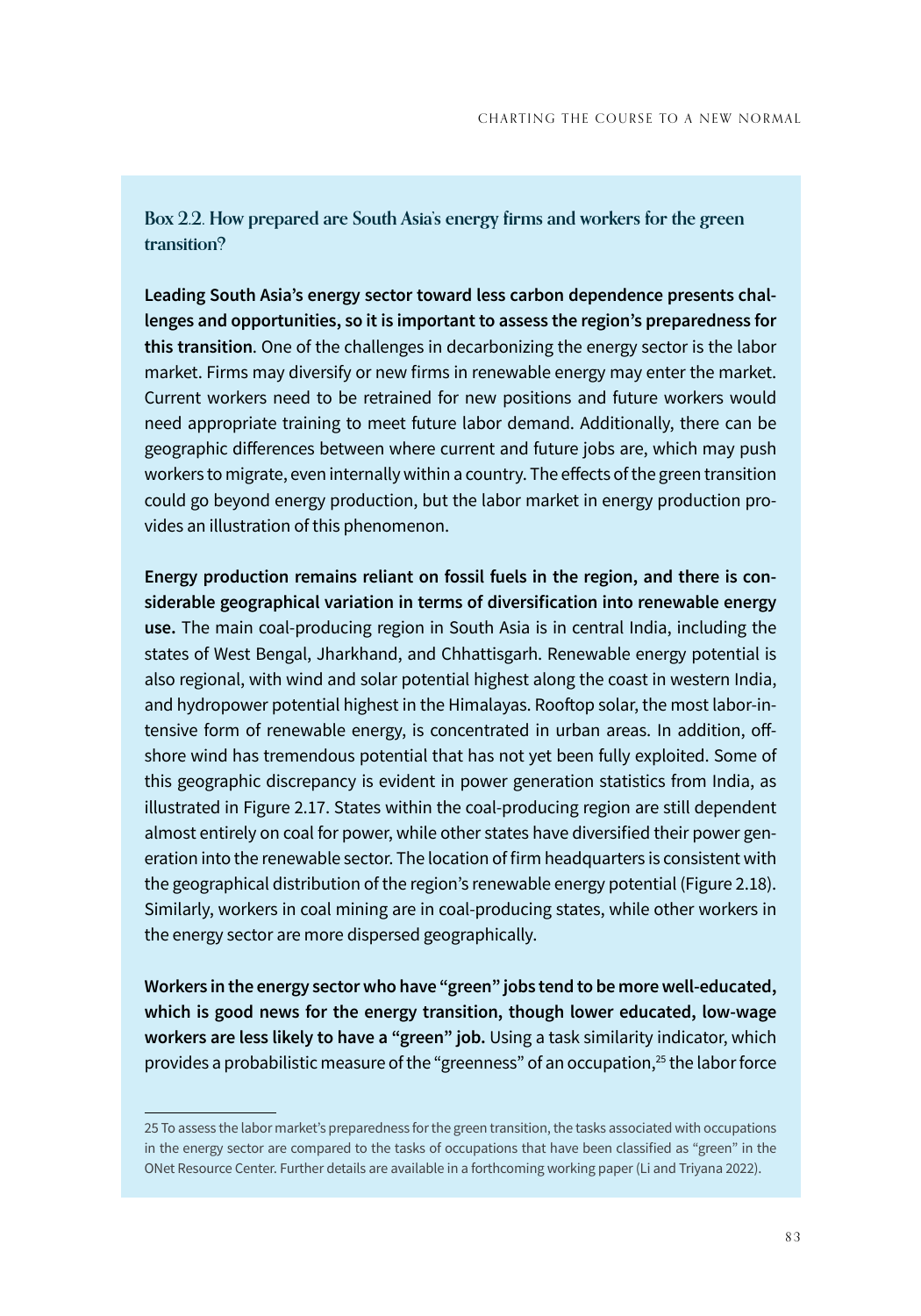**Box 2.2. How prepared are South Asia's energy firms and workers for the green transition?**

**Leading South Asia's energy sector toward less carbon dependence presents challenges and opportunities, so it is important to assess the region's preparedness for this transition**. One of the challenges in decarbonizing the energy sector is the labor market. Firms may diversify or new firms in renewable energy may enter the market. Current workers need to be retrained for new positions and future workers would need appropriate training to meet future labor demand. Additionally, there can be geographic differences between where current and future jobs are, which may push workers to migrate, even internally within a country. The effects of the green transition could go beyond energy production, but the labor market in energy production provides an illustration of this phenomenon.

**Energy production remains reliant on fossil fuels in the region, and there is considerable geographical variation in terms of diversification into renewable energy use.** The main coal-producing region in South Asia is in central India, including the states of West Bengal, Jharkhand, and Chhattisgarh. Renewable energy potential is also regional, with wind and solar potential highest along the coast in western India, and hydropower potential highest in the Himalayas. Rooftop solar, the most labor-intensive form of renewable energy, is concentrated in urban areas. In addition, offshore wind has tremendous potential that has not yet been fully exploited. Some of this geographic discrepancy is evident in power generation statistics from India, as illustrated in Figure 2.17. States within the coal-producing region are still dependent almost entirely on coal for power, while other states have diversified their power generation into the renewable sector. The location of firm headquarters is consistent with the geographical distribution of the region's renewable energy potential (Figure 2.18). Similarly, workers in coal mining are in coal-producing states, while other workers in the energy sector are more dispersed geographically.

**Workers in the energy sector who have "green" jobs tend to be more well-educated, which is good news for the energy transition, though lower educated, low-wage workers are less likely to have a "green" job.** Using a task similarity indicator, which provides a probabilistic measure of the "greenness" of an occupation, $25$  the labor force

<sup>25</sup> To assess the labor market's preparedness for the green transition, the tasks associated with occupations in the energy sector are compared to the tasks of occupations that have been classified as "green" in the ONet Resource Center. Further details are available in a forthcoming working paper (Li and Triyana 2022).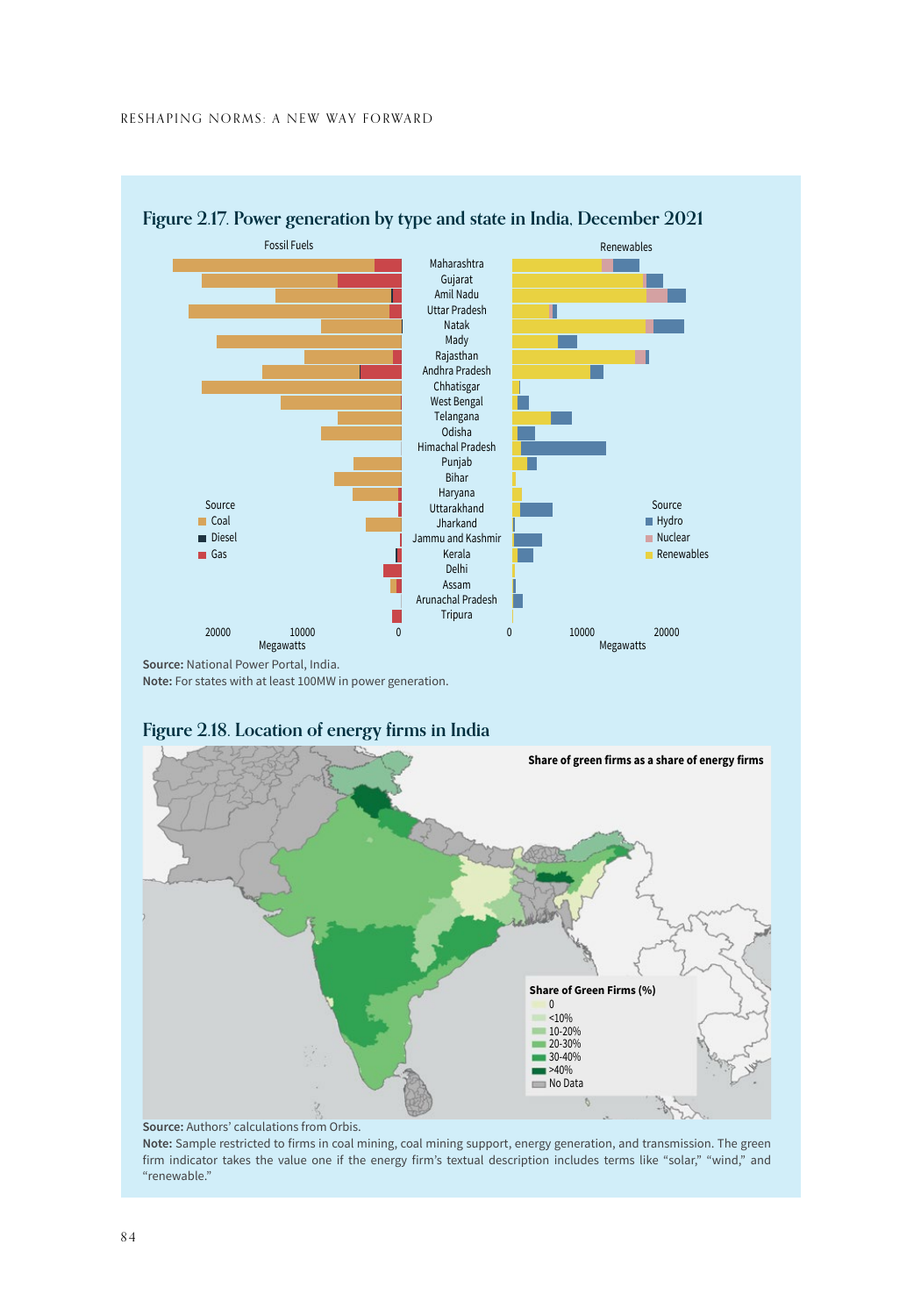

#### **Figure 2.17. Power generation by type and state in India, December 2021**

**Source:** National Power Portal, India. **Note:** For states with at least 100MW in power generation.



### **Figure 2.18. Location of energy firms in India**

**Source:** Authors' calculations from Orbis.

**Note:** Sample restricted to firms in coal mining, coal mining support, energy generation, and transmission. The green firm indicator takes the value one if the energy firm's textual description includes terms like "solar," "wind," and "renewable."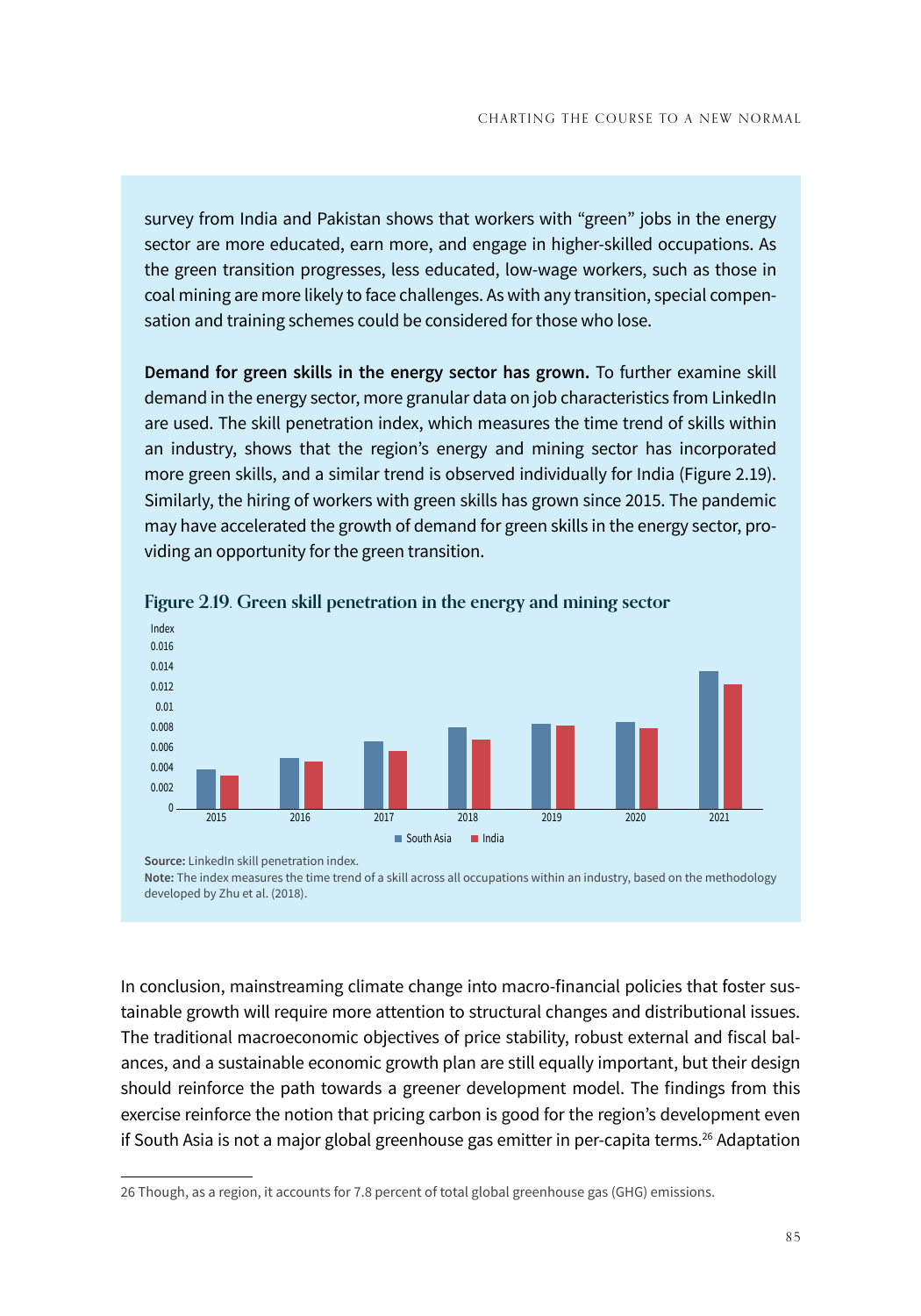survey from India and Pakistan shows that workers with "green" jobs in the energy sector are more educated, earn more, and engage in higher-skilled occupations. As the green transition progresses, less educated, low-wage workers, such as those in coal mining are more likely to face challenges. As with any transition, special compensation and training schemes could be considered for those who lose.

**Demand for green skills in the energy sector has grown.** To further examine skill demand in the energy sector, more granular data on job characteristics from LinkedIn are used. The skill penetration index, which measures the time trend of skills within an industry, shows that the region's energy and mining sector has incorporated more green skills, and a similar trend is observed individually for India (Figure 2.19). Similarly, the hiring of workers with green skills has grown since 2015. The pandemic may have accelerated the growth of demand for green skills in the energy sector, providing an opportunity for the green transition.



**Figure 2.19. Green skill penetration in the energy and mining sector**

**Note:** The index measures the time trend of a skill across all occupations within an industry, based on the methodology developed by Zhu et al. (2018).

In conclusion, mainstreaming climate change into macro-financial policies that foster sustainable growth will require more attention to structural changes and distributional issues. The traditional macroeconomic objectives of price stability, robust external and fiscal balances, and a sustainable economic growth plan are still equally important, but their design should reinforce the path towards a greener development model. The findings from this exercise reinforce the notion that pricing carbon is good for the region's development even if South Asia is not a major global greenhouse gas emitter in per-capita terms.<sup>26</sup> Adaptation

<sup>26</sup> Though, as a region, it accounts for 7.8 percent of total global greenhouse gas (GHG) emissions.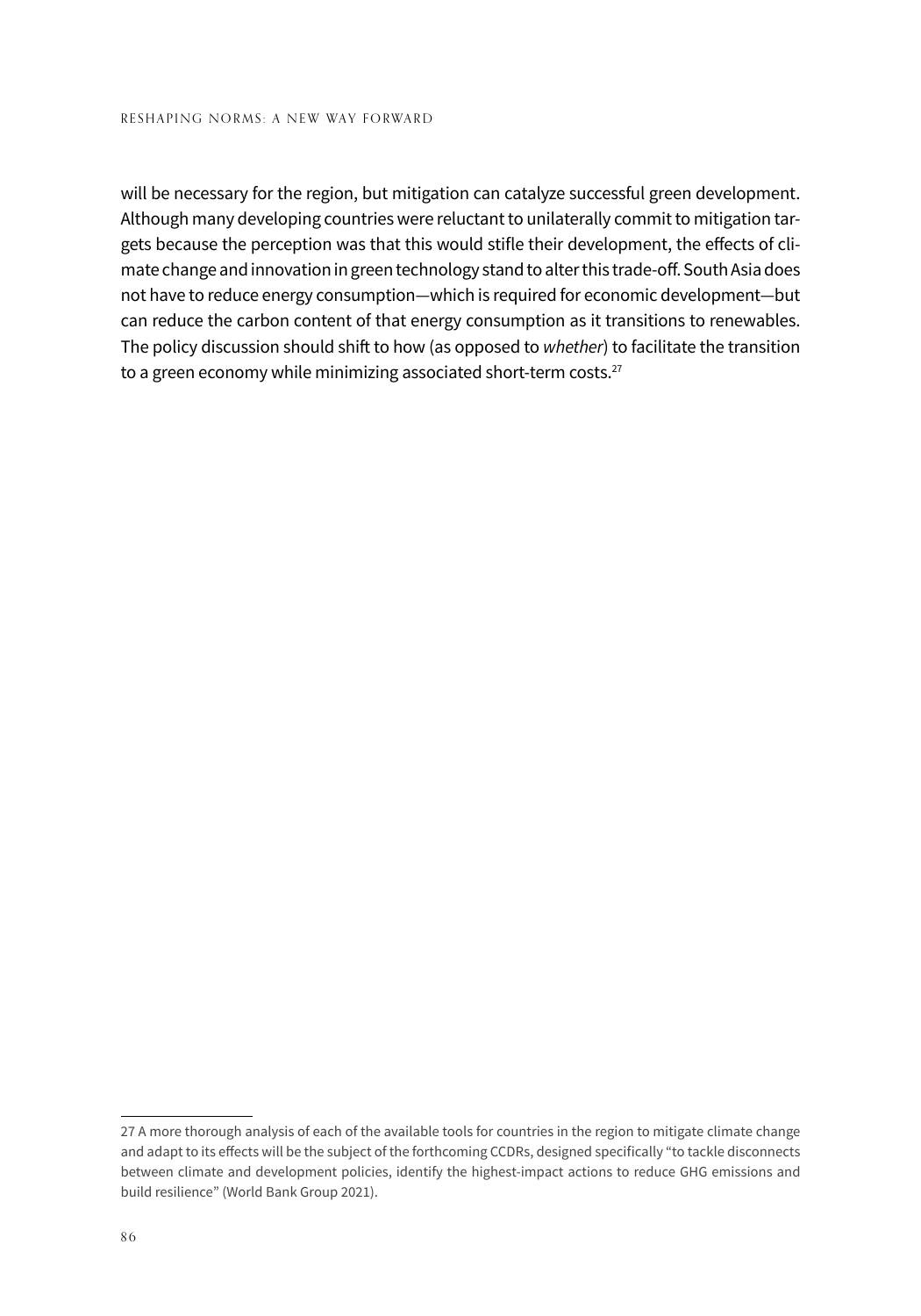will be necessary for the region, but mitigation can catalyze successful green development. Although many developing countries were reluctant to unilaterally commit to mitigation targets because the perception was that this would stifle their development, the effects of climate change and innovation in green technology stand to alter this trade-off. South Asia does not have to reduce energy consumption—which is required for economic development—but can reduce the carbon content of that energy consumption as it transitions to renewables. The policy discussion should shift to how (as opposed to *whether*) to facilitate the transition to a green economy while minimizing associated short-term costs.<sup>27</sup>

<sup>27</sup> A more thorough analysis of each of the available tools for countries in the region to mitigate climate change and adapt to its effects will be the subject of the forthcoming CCDRs, designed specifically "to tackle disconnects between climate and development policies, identify the highest-impact actions to reduce GHG emissions and build resilience" (World Bank Group 2021).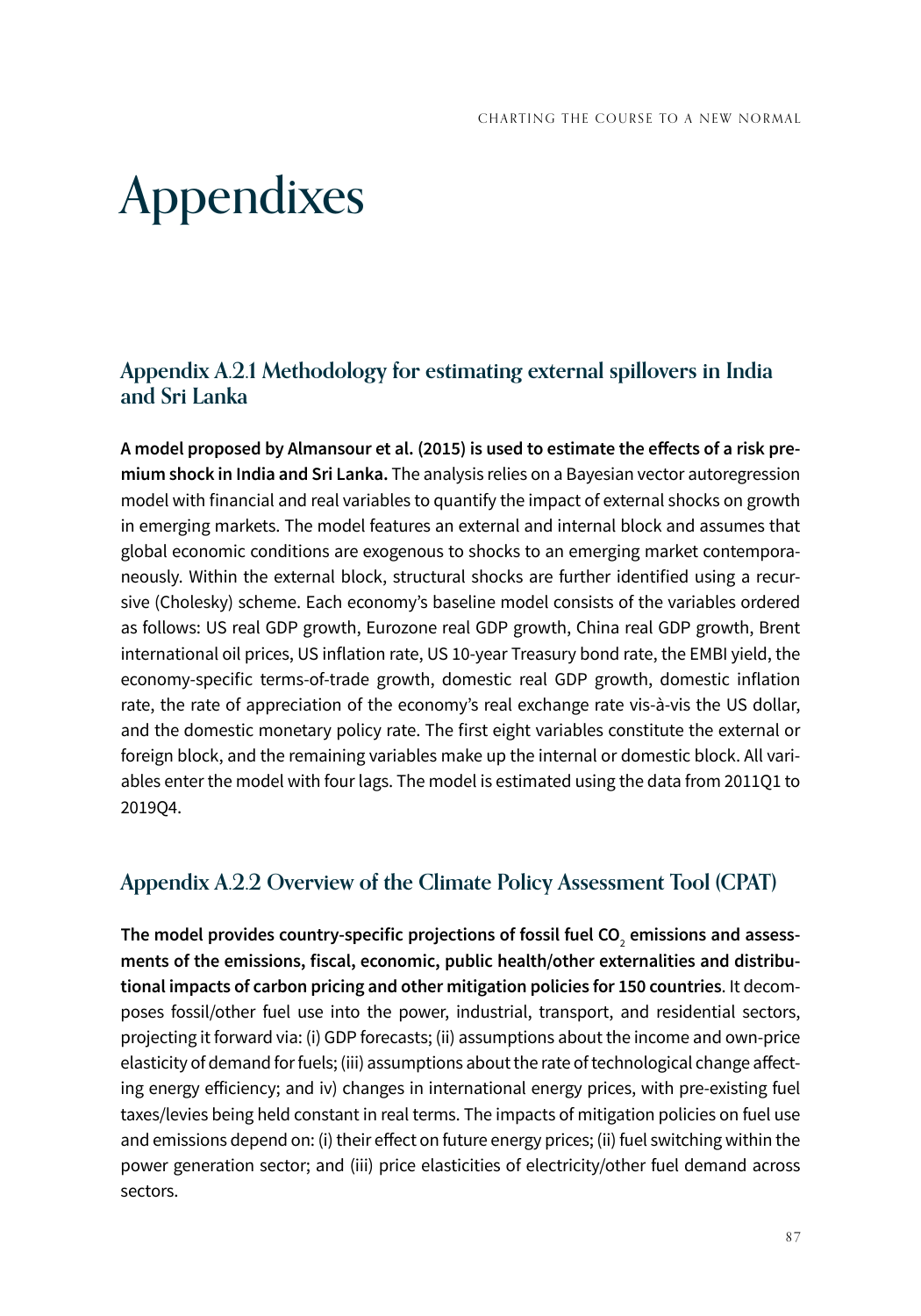# Appendixes

# **Appendix A.2.1 Methodology for estimating external spillovers in India and Sri Lanka**

**A model proposed by Almansour et al. (2015) is used to estimate the effects of a risk premium shock in India and Sri Lanka.** The analysis relies on a Bayesian vector autoregression model with financial and real variables to quantify the impact of external shocks on growth in emerging markets. The model features an external and internal block and assumes that global economic conditions are exogenous to shocks to an emerging market contemporaneously. Within the external block, structural shocks are further identified using a recursive (Cholesky) scheme. Each economy's baseline model consists of the variables ordered as follows: US real GDP growth, Eurozone real GDP growth, China real GDP growth, Brent international oil prices, US inflation rate, US 10-year Treasury bond rate, the EMBI yield, the economy-specific terms-of-trade growth, domestic real GDP growth, domestic inflation rate, the rate of appreciation of the economy's real exchange rate vis-à-vis the US dollar, and the domestic monetary policy rate. The first eight variables constitute the external or foreign block, and the remaining variables make up the internal or domestic block. All variables enter the model with four lags. The model is estimated using the data from 2011Q1 to 2019Q4.

# **Appendix A.2.2 Overview of the Climate Policy Assessment Tool (CPAT)**

The model provides country-specific projections of fossil fuel CO<sub>2</sub> emissions and assess**ments of the emissions, fiscal, economic, public health/other externalities and distributional impacts of carbon pricing and other mitigation policies for 150 countries**. It decomposes fossil/other fuel use into the power, industrial, transport, and residential sectors, projecting it forward via: (i) GDP forecasts; (ii) assumptions about the income and own-price elasticity of demand for fuels; (iii) assumptions about the rate of technological change affecting energy efficiency; and iv) changes in international energy prices, with pre-existing fuel taxes/levies being held constant in real terms. The impacts of mitigation policies on fuel use and emissions depend on: (i) their effect on future energy prices; (ii) fuel switching within the power generation sector; and (iii) price elasticities of electricity/other fuel demand across sectors.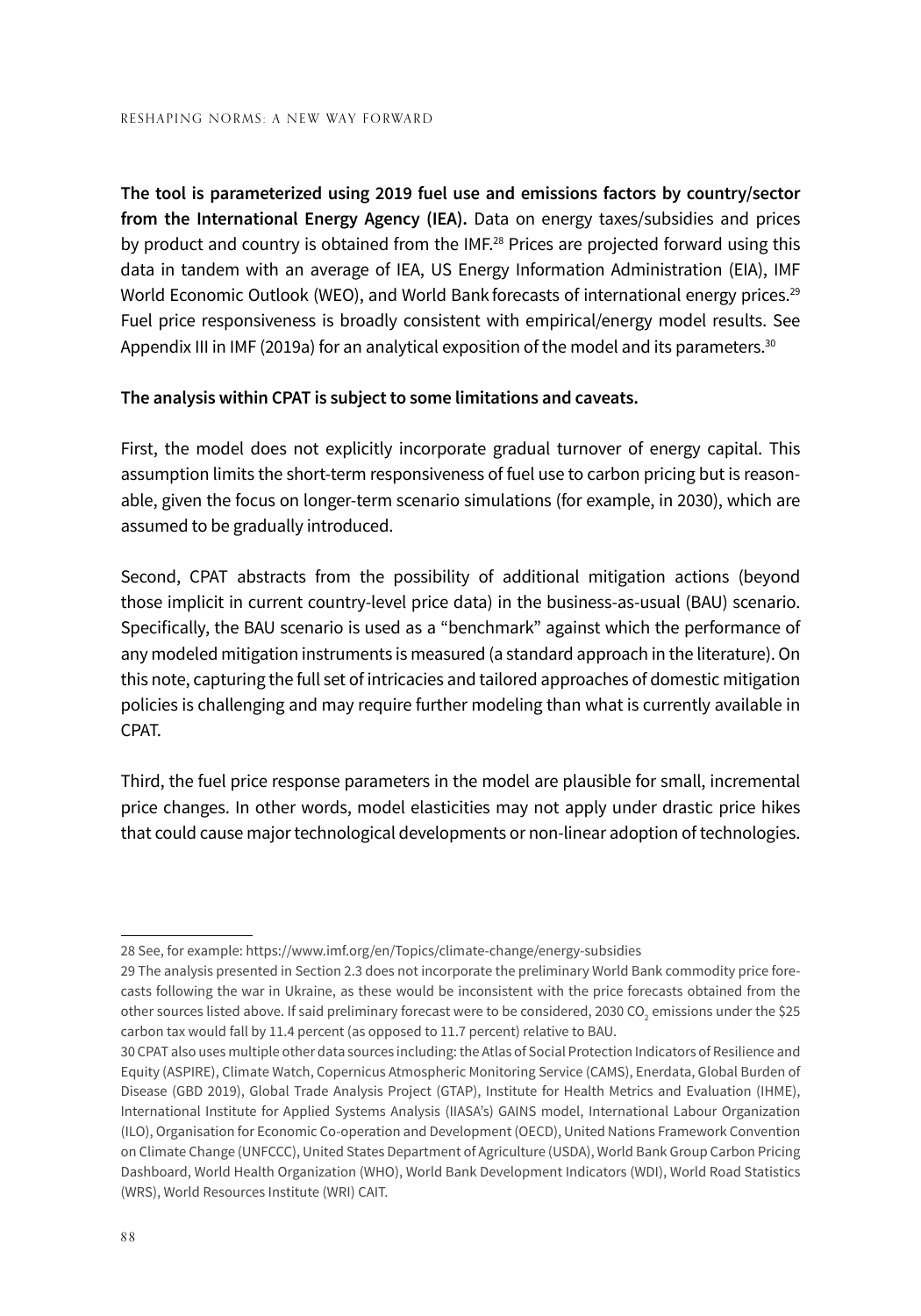**The tool is parameterized using 2019 fuel use and emissions factors by country/sector from the International Energy Agency (IEA).** Data on energy taxes/subsidies and prices by product and country is obtained from the IMF.<sup>28</sup> Prices are projected forward using this data in tandem with an average of IEA, US Energy Information Administration (EIA), IMF World Economic Outlook (WEO), and World Bank forecasts of international energy prices.<sup>29</sup> Fuel price responsiveness is broadly consistent with empirical/energy model results. See Appendix III in IMF (2019a) for an analytical exposition of the model and its parameters.<sup>30</sup>

#### **The analysis within CPAT is subject to some limitations and caveats.**

First, the model does not explicitly incorporate gradual turnover of energy capital. This assumption limits the short-term responsiveness of fuel use to carbon pricing but is reasonable, given the focus on longer-term scenario simulations (for example, in 2030), which are assumed to be gradually introduced.

Second, CPAT abstracts from the possibility of additional mitigation actions (beyond those implicit in current country-level price data) in the business-as-usual (BAU) scenario. Specifically, the BAU scenario is used as a "benchmark" against which the performance of any modeled mitigation instruments is measured (a standard approach in the literature). On this note, capturing the full set of intricacies and tailored approaches of domestic mitigation policies is challenging and may require further modeling than what is currently available in CPAT.

Third, the fuel price response parameters in the model are plausible for small, incremental price changes. In other words, model elasticities may not apply under drastic price hikes that could cause major technological developments or non-linear adoption of technologies.

<sup>28</sup> See, for example: <https://www.imf.org/en/Topics/climate-change/energy-subsidies>

<sup>29</sup> The analysis presented in Section 2.3 does not incorporate the preliminary World Bank commodity price forecasts following the war in Ukraine, as these would be inconsistent with the price forecasts obtained from the other sources listed above. If said preliminary forecast were to be considered, 2030 CO<sub>2</sub> emissions under the \$25 carbon tax would fall by 11.4 percent (as opposed to 11.7 percent) relative to BAU.

<sup>30</sup> CPAT also uses multiple other data sources including: the Atlas of Social Protection Indicators of Resilience and Equity (ASPIRE), Climate Watch, Copernicus Atmospheric Monitoring Service (CAMS), Enerdata, Global Burden of Disease (GBD 2019), Global Trade Analysis Project (GTAP), Institute for Health Metrics and Evaluation (IHME), International Institute for Applied Systems Analysis (IIASA's) GAINS model, International Labour Organization (ILO), Organisation for Economic Co-operation and Development (OECD), United Nations Framework Convention on Climate Change (UNFCCC), United States Department of Agriculture (USDA), World Bank Group Carbon Pricing Dashboard, World Health Organization (WHO), World Bank Development Indicators (WDI), World Road Statistics (WRS), World Resources Institute (WRI) CAIT.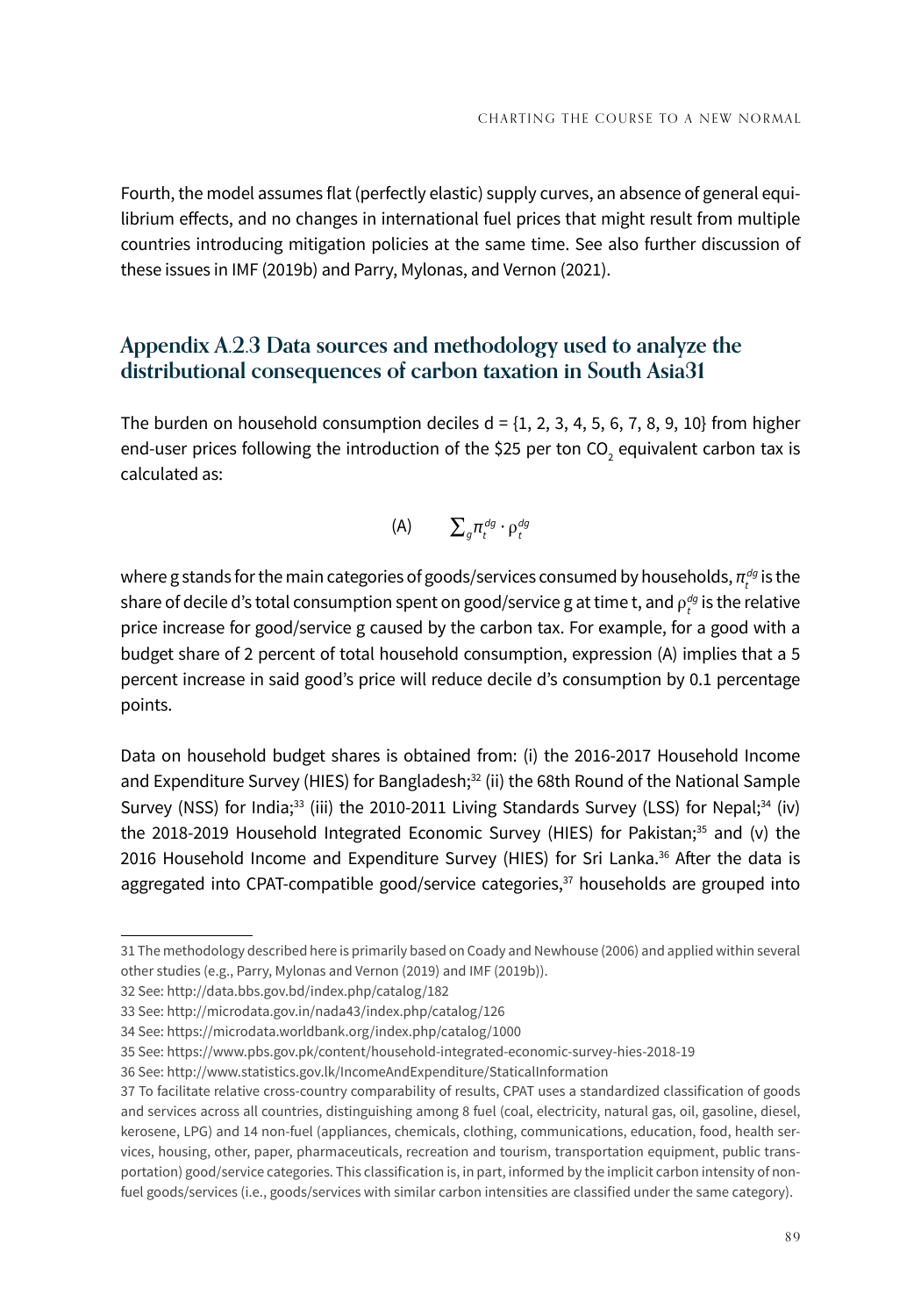Fourth, the model assumes flat (perfectly elastic) supply curves, an absence of general equilibrium effects, and no changes in international fuel prices that might result from multiple countries introducing mitigation policies at the same time. See also further discussion of these issues in IMF (2019b) and Parry, Mylonas, and Vernon (2021).

# **Appendix A.2.3 Data sources and methodology used to analyze the distributional consequences of carbon taxation in South Asia31**

The burden on household consumption deciles  $d = \{1, 2, 3, 4, 5, 6, 7, 8, 9, 10\}$  from higher end-user prices following the introduction of the \$25 per ton CO<sub>2</sub> equivalent carbon tax is calculated as:

$$
(A) \qquad \sum_{g} \pi_t^{dg} \cdot \rho_t^{dg}
$$

where g stands for the main categories of goods/services consumed by households, π $_t^{dg}$  is the share of decile d's total consumption spent on good/service g at time t, and  $\rho_t^{\scriptscriptstyle dg}$  is the relative price increase for good/service g caused by the carbon tax. For example, for a good with a budget share of 2 percent of total household consumption, expression (A) implies that a 5 percent increase in said good's price will reduce decile d's consumption by 0.1 percentage points.

Data on household budget shares is obtained from: (i) the 2016-2017 Household Income and Expenditure Survey (HIES) for Bangladesh; $32$  (ii) the 68th Round of the National Sample Survey (NSS) for India;<sup>33</sup> (iii) the 2010-2011 Living Standards Survey (LSS) for Nepal;<sup>34</sup> (iv) the 2018-2019 Household Integrated Economic Survey (HIES) for Pakistan;<sup>35</sup> and (v) the 2016 Household Income and Expenditure Survey (HIES) for Sri Lanka. $36$  After the data is aggregated into CPAT-compatible good/service categories, $37$  households are grouped into

<sup>31</sup> The methodology described here is primarily based on Coady and Newhouse (2006) and applied within several other studies (e.g., Parry, Mylonas and Vernon (2019) and IMF (2019b)).

<sup>32</sup> See:<http://data.bbs.gov.bd/index.php/catalog/182>

<sup>33</sup> See:<http://microdata.gov.in/nada43/index.php/catalog/126>

<sup>34</sup> See:<https://microdata.worldbank.org/index.php/catalog/1000>

<sup>35</sup> See:<https://www.pbs.gov.pk/content/household-integrated-economic-survey-hies-2018-19>

<sup>36</sup> See:<http://www.statistics.gov.lk/IncomeAndExpenditure/StaticalInformation>

<sup>37</sup> To facilitate relative cross-country comparability of results, CPAT uses a standardized classification of goods and services across all countries, distinguishing among 8 fuel (coal, electricity, natural gas, oil, gasoline, diesel, kerosene, LPG) and 14 non-fuel (appliances, chemicals, clothing, communications, education, food, health services, housing, other, paper, pharmaceuticals, recreation and tourism, transportation equipment, public transportation) good/service categories. This classification is, in part, informed by the implicit carbon intensity of nonfuel goods/services (i.e., goods/services with similar carbon intensities are classified under the same category).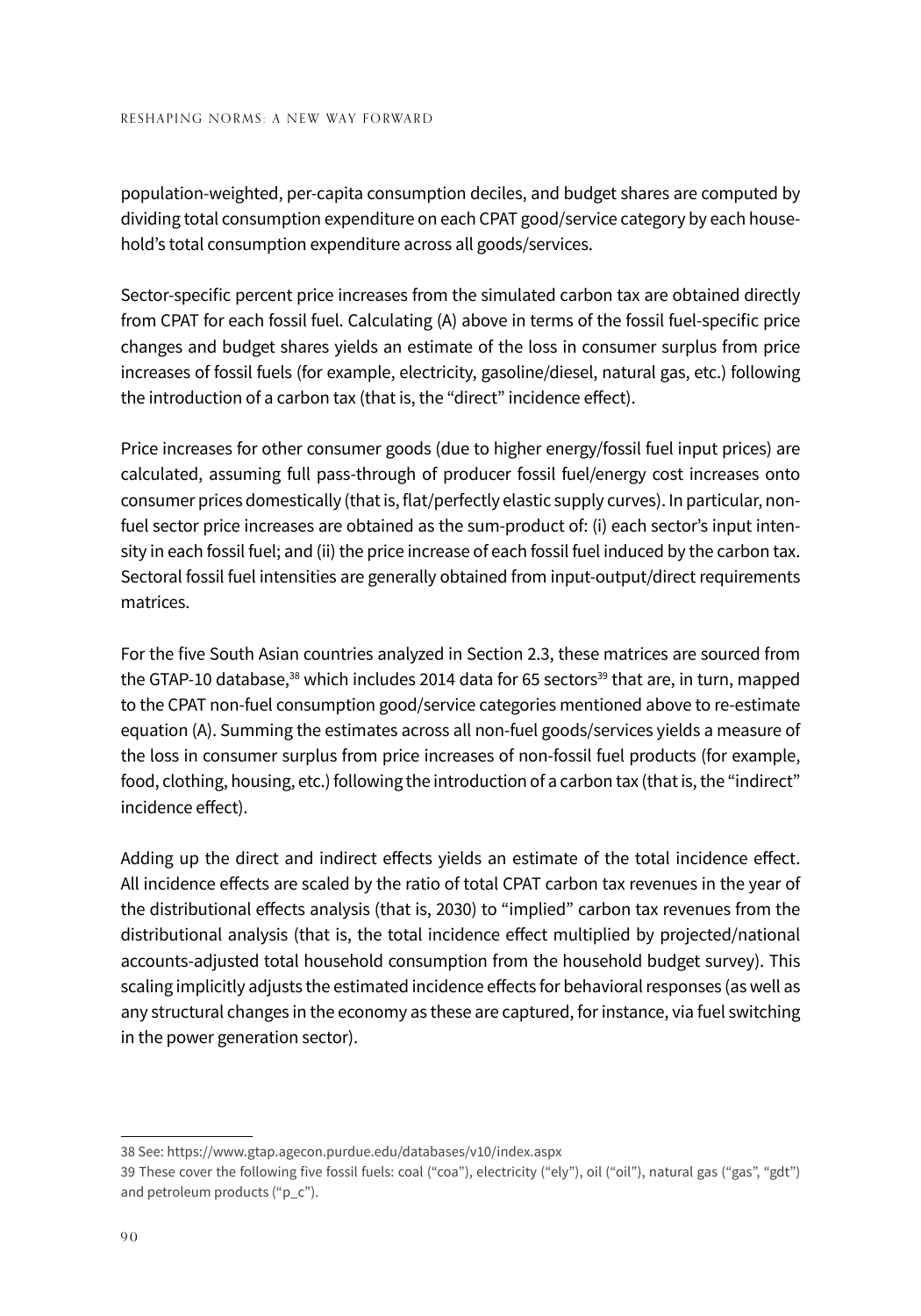population-weighted, per-capita consumption deciles, and budget shares are computed by dividing total consumption expenditure on each CPAT good/service category by each household's total consumption expenditure across all goods/services.

Sector-specific percent price increases from the simulated carbon tax are obtained directly from CPAT for each fossil fuel. Calculating (A) above in terms of the fossil fuel-specific price changes and budget shares yields an estimate of the loss in consumer surplus from price increases of fossil fuels (for example, electricity, gasoline/diesel, natural gas, etc.) following the introduction of a carbon tax (that is, the "direct" incidence effect).

Price increases for other consumer goods (due to higher energy/fossil fuel input prices) are calculated, assuming full pass-through of producer fossil fuel/energy cost increases onto consumer prices domestically (that is, flat/perfectly elastic supply curves). In particular, nonfuel sector price increases are obtained as the sum-product of: (i) each sector's input intensity in each fossil fuel; and (ii) the price increase of each fossil fuel induced by the carbon tax. Sectoral fossil fuel intensities are generally obtained from input-output/direct requirements matrices.

For the five South Asian countries analyzed in Section 2.3, these matrices are sourced from the GTAP-10 database, $38$  which includes 2014 data for 65 sectors<sup>39</sup> that are, in turn, mapped to the CPAT non-fuel consumption good/service categories mentioned above to re-estimate equation (A). Summing the estimates across all non-fuel goods/services yields a measure of the loss in consumer surplus from price increases of non-fossil fuel products (for example, food, clothing, housing, etc.) following the introduction of a carbon tax (that is, the "indirect" incidence effect).

Adding up the direct and indirect effects yields an estimate of the total incidence effect. All incidence effects are scaled by the ratio of total CPAT carbon tax revenues in the year of the distributional effects analysis (that is, 2030) to "implied" carbon tax revenues from the distributional analysis (that is, the total incidence effect multiplied by projected/national accounts-adjusted total household consumption from the household budget survey). This scaling implicitly adjusts the estimated incidence effects for behavioral responses (as well as any structural changes in the economy as these are captured, for instance, via fuel switching in the power generation sector).

<sup>38</sup> See:<https://www.gtap.agecon.purdue.edu/databases/v10/index.aspx>

<sup>39</sup> These cover the following five fossil fuels: coal ("coa"), electricity ("ely"), oil ("oil"), natural gas ("gas", "gdt") and petroleum products ("p\_c").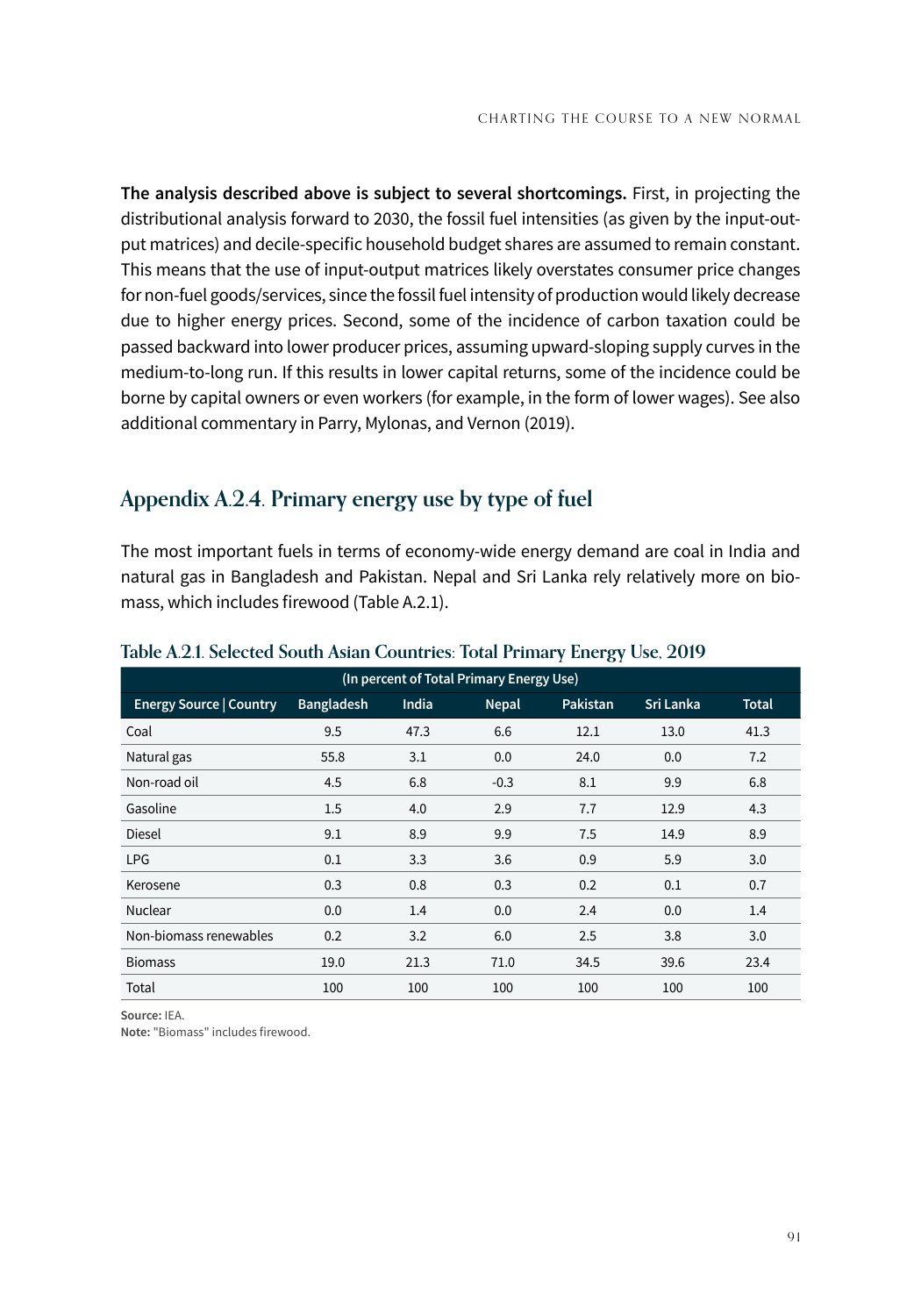**The analysis described above is subject to several shortcomings.** First, in projecting the distributional analysis forward to 2030, the fossil fuel intensities (as given by the input-output matrices) and decile-specific household budget shares are assumed to remain constant. This means that the use of input-output matrices likely overstates consumer price changes for non-fuel goods/services, since the fossil fuel intensity of production would likely decrease due to higher energy prices. Second, some of the incidence of carbon taxation could be passed backward into lower producer prices, assuming upward-sloping supply curves in the medium-to-long run. If this results in lower capital returns, some of the incidence could be borne by capital owners or even workers (for example, in the form of lower wages). See also additional commentary in Parry, Mylonas, and Vernon (2019).

## **Appendix A.2.4. Primary energy use by type of fuel**

The most important fuels in terms of economy-wide energy demand are coal in India and natural gas in Bangladesh and Pakistan. Nepal and Sri Lanka rely relatively more on biomass, which includes firewood (Table A.2.1).

| (In percent of Total Primary Energy Use) |                   |              |              |          |           |       |  |
|------------------------------------------|-------------------|--------------|--------------|----------|-----------|-------|--|
| <b>Energy Source   Country</b>           | <b>Bangladesh</b> | <b>India</b> | <b>Nepal</b> | Pakistan | Sri Lanka | Total |  |
| Coal                                     | 9.5               | 47.3         | 6.6          | 12.1     | 13.0      | 41.3  |  |
| Natural gas                              | 55.8              | 3.1          | 0.0          | 24.0     | 0.0       | 7.2   |  |
| Non-road oil                             | 4.5               | 6.8          | $-0.3$       | 8.1      | 9.9       | 6.8   |  |
| Gasoline                                 | 1.5               | 4.0          | 2.9          | 7.7      | 12.9      | 4.3   |  |
| Diesel                                   | 9.1               | 8.9          | 9.9          | 7.5      | 14.9      | 8.9   |  |
| <b>LPG</b>                               | 0.1               | 3.3          | 3.6          | 0.9      | 5.9       | 3.0   |  |
| Kerosene                                 | 0.3               | 0.8          | 0.3          | 0.2      | 0.1       | 0.7   |  |
| Nuclear                                  | 0.0               | 1.4          | 0.0          | 2.4      | 0.0       | 1.4   |  |
| Non-biomass renewables                   | 0.2               | 3.2          | 6.0          | 2.5      | 3.8       | 3.0   |  |
| <b>Biomass</b>                           | 19.0              | 21.3         | 71.0         | 34.5     | 39.6      | 23.4  |  |
| Total                                    | 100               | 100          | 100          | 100      | 100       | 100   |  |

#### **Table A.2.1. Selected South Asian Countries: Total Primary Energy Use, 2019**

**Source:** IEA.

**Note:** "Biomass" includes firewood.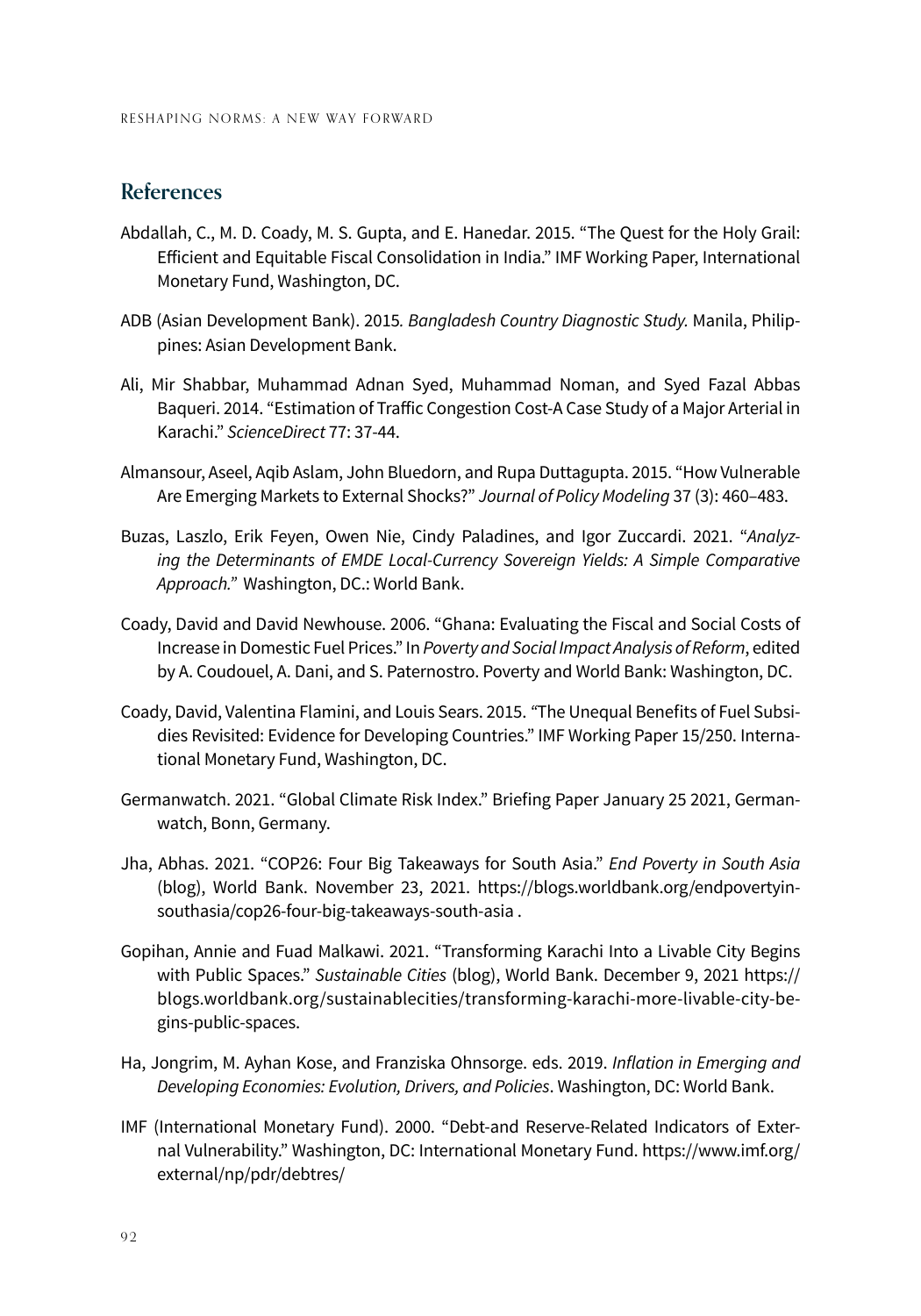## **References**

- Abdallah, C., M. D. Coady, M. S. Gupta, and E. Hanedar. 2015. "The Quest for the Holy Grail: Efficient and Equitable Fiscal Consolidation in India." IMF Working Paper, International Monetary Fund, Washington, DC.
- ADB (Asian Development Bank). 2015*. Bangladesh Country Diagnostic Study.* Manila, Philippines: Asian Development Bank.
- Ali, Mir Shabbar, Muhammad Adnan Syed, Muhammad Noman, and Syed Fazal Abbas Baqueri. 2014. "Estimation of Traffic Congestion Cost-A Case Study of a Major Arterial in Karachi." *ScienceDirect* 77: 37-44.
- Almansour, Aseel, Aqib Aslam, John Bluedorn, and Rupa Duttagupta. 2015. "How Vulnerable Are Emerging Markets to External Shocks?" *Journal of Policy Modeling* 37 (3): 460–483.
- Buzas, Laszlo, Erik Feyen, Owen Nie, Cindy Paladines, and Igor Zuccardi. 2021. "*Analyzing the Determinants of EMDE Local-Currency Sovereign Yields: A Simple Comparative Approach."* Washington, DC.: World Bank.
- Coady, David and David Newhouse. 2006. "Ghana: Evaluating the Fiscal and Social Costs of Increase in Domestic Fuel Prices." In *Poverty and Social Impact Analysis of Reform*, edited by A. Coudouel, A. Dani, and S. Paternostro. Poverty and World Bank: Washington, DC.
- Coady, David, Valentina Flamini, and Louis Sears. 2015. *"*The Unequal Benefits of Fuel Subsidies Revisited: Evidence for Developing Countries." IMF Working Paper 15/250. International Monetary Fund, Washington, DC.
- Germanwatch. 2021. "Global Climate Risk Index." Briefing Paper January 25 2021, Germanwatch, Bonn, Germany.
- Jha, Abhas. 2021. "COP26: Four Big Takeaways for South Asia." *End Poverty in South Asia* (blog), World Bank. November 23, 2021. [https://blogs.worldbank.org/endpovertyin](https://blogs.worldbank.org/endpovertyinsouthasia/cop26-four-big-takeaways-south-asia)[southasia/cop26-four-big-takeaways-south-asia](https://blogs.worldbank.org/endpovertyinsouthasia/cop26-four-big-takeaways-south-asia) .
- Gopihan, Annie and Fuad Malkawi. 2021. "Transforming Karachi Into a Livable City Begins with Public Spaces." *Sustainable Cities* (blog), World Bank. December 9, 2021 [https://](https://blogs.worldbank.org/sustainablecities/transforming-karachi-more-livable-city-begins-public-spaces) [blogs.worldbank.org/sustainablecities/transforming-karachi-more-livable-city-be](https://blogs.worldbank.org/sustainablecities/transforming-karachi-more-livable-city-begins-public-spaces)[gins-public-spaces.](https://blogs.worldbank.org/sustainablecities/transforming-karachi-more-livable-city-begins-public-spaces)
- Ha, Jongrim, M. Ayhan Kose, and Franziska Ohnsorge. eds. 2019. Inflation in Emerging and *Developing Economies: Evolution, Drivers, and Policies*. Washington, DC: World Bank.
- IMF (International Monetary Fund). 2000. "Debt-and Reserve-Related Indicators of External Vulnerability." Washington, DC: International Monetary Fund. [https://www.imf.org/](https://www.imf.org/external/np/pdr/debtres/) [external/np/pdr/debtres/](https://www.imf.org/external/np/pdr/debtres/)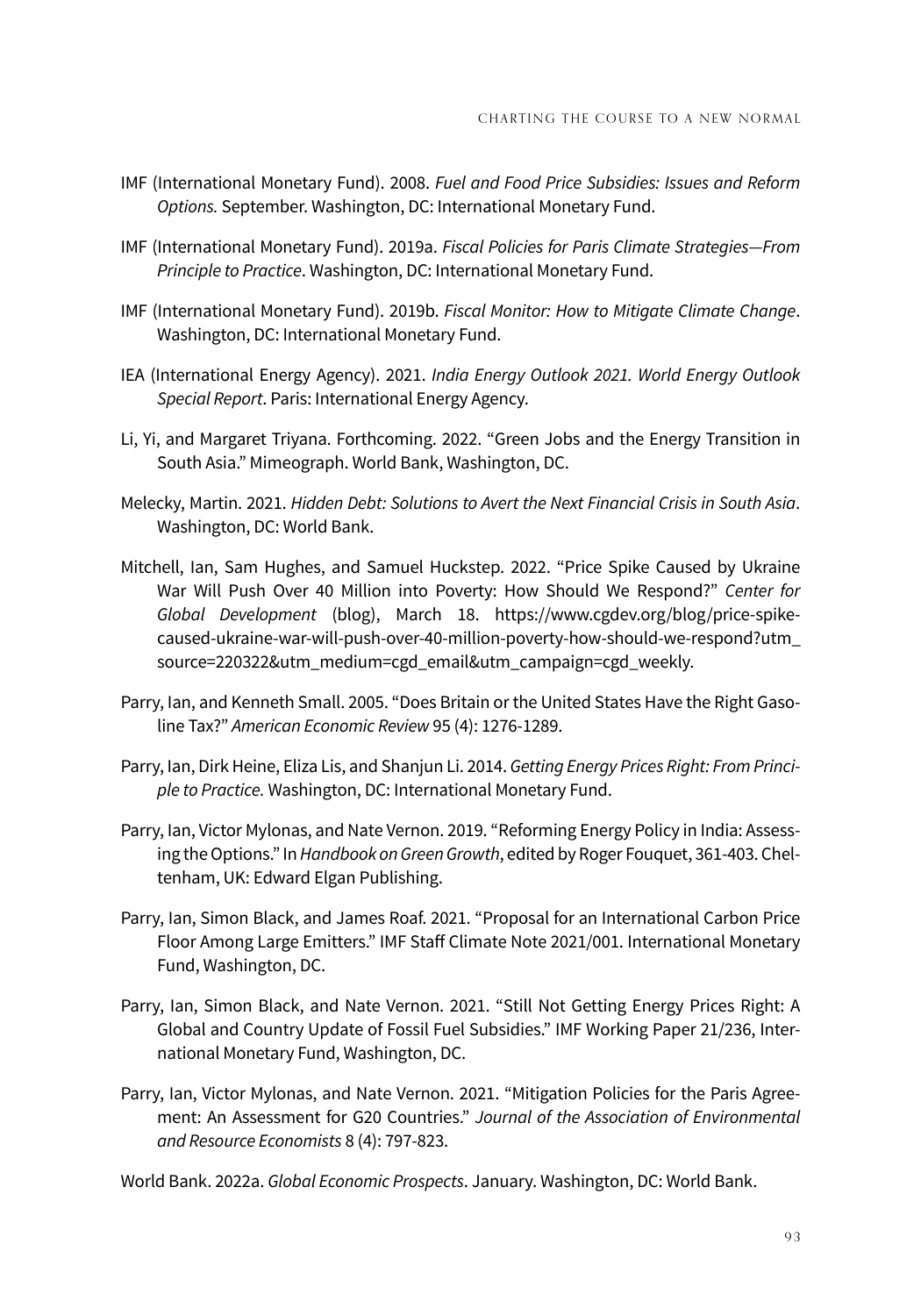- IMF (International Monetary Fund). 2008. *Fuel and Food Price Subsidies: Issues and Reform Options.* September. Washington, DC: International Monetary Fund.
- IMF (International Monetary Fund). 2019a. *Fiscal Policies for Paris Climate Strategies—From Principle to Practice*. Washington, DC: International Monetary Fund.
- IMF (International Monetary Fund). 2019b. *Fiscal Monitor: How to Mitigate Climate Change*. Washington, DC: International Monetary Fund.
- IEA (International Energy Agency). 2021. *India Energy Outlook 2021. World Energy Outlook Special Report*. Paris: International Energy Agency.
- Li, Yi, and Margaret Triyana. Forthcoming. 2022. "Green Jobs and the Energy Transition in South Asia." Mimeograph. World Bank, Washington, DC.
- Melecky, Martin. 2021. *Hidden Debt: Solutions to Avert the Next Financial Crisis in South Asia*. Washington, DC: World Bank.
- Mitchell, Ian, Sam Hughes, and Samuel Huckstep. 2022. "Price Spike Caused by Ukraine War Will Push Over 40 Million into Poverty: How Should We Respond?" *Center for*  Global Development (blog), March 18. [https://www.cgdev.org/blog/price-spike](https://www.cgdev.org/blog/price-spike-caused-ukraine-war-will-push-over-40-million-poverty-how-should-we-respond?utm_source=220322&utm_medium=cgd_email&utm_campaign=cgd_weekly)[caused-ukraine-war-will-push-over-40-million-poverty-how-should-we-respond?utm\\_](https://www.cgdev.org/blog/price-spike-caused-ukraine-war-will-push-over-40-million-poverty-how-should-we-respond?utm_source=220322&utm_medium=cgd_email&utm_campaign=cgd_weekly) [source=220322&utm\\_medium=cgd\\_email&utm\\_campaign=cgd\\_weekly](https://www.cgdev.org/blog/price-spike-caused-ukraine-war-will-push-over-40-million-poverty-how-should-we-respond?utm_source=220322&utm_medium=cgd_email&utm_campaign=cgd_weekly).
- Parry, Ian, and Kenneth Small. 2005. "Does Britain or the United States Have the Right Gasoline Tax?" *American Economic Review* 95 (4): 1276-1289.
- Parry, Ian, Dirk Heine, Eliza Lis, and Shanjun Li. 2014. Getting Energy Prices Right: From Princi*ple to Practice.* Washington, DC: International Monetary Fund.
- Parry, Ian, Victor Mylonas, and Nate Vernon. 2019. "Reforming Energy Policy in India: Assessing the Options." In Handbook on Green Growth, edited by Roger Fouquet, 361-403. Cheltenham, UK: Edward Elgan Publishing.
- Parry, Ian, Simon Black, and James Roaf. 2021. "Proposal for an International Carbon Price Floor Among Large Emitters." IMF Staff Climate Note 2021/001. International Monetary Fund, Washington, DC.
- Parry, Ian, Simon Black, and Nate Vernon. 2021. "Still Not Getting Energy Prices Right: A Global and Country Update of Fossil Fuel Subsidies." IMF Working Paper 21/236, International Monetary Fund, Washington, DC.
- Parry, Ian, Victor Mylonas, and Nate Vernon. 2021. "Mitigation Policies for the Paris Agreement: An Assessment for G20 Countries." *Journal of the Association of Environmental and Resource Economists* 8 (4): 797-823.

World Bank. 2022a. Global Economic Prospects. January. Washington, DC: World Bank.